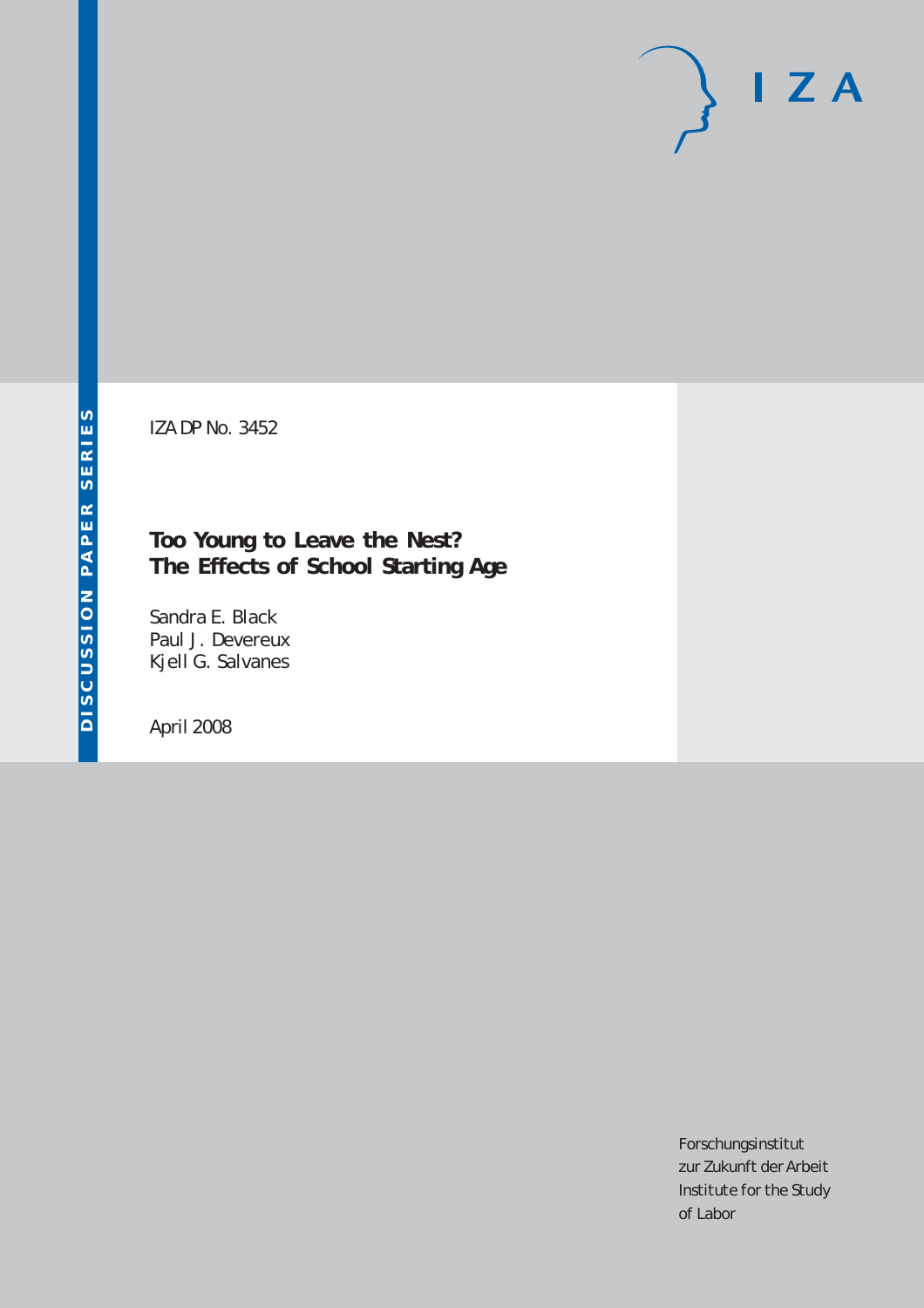# $I Z A$

IZA DP No. 3452

# **Too Young to Leave the Nest? The Effects of School Starting Age**

Sandra E. Black Paul J. Devereux Kjell G. Salvanes

April 2008

Forschungsinstitut zur Zukunft der Arbeit Institute for the Study of Labor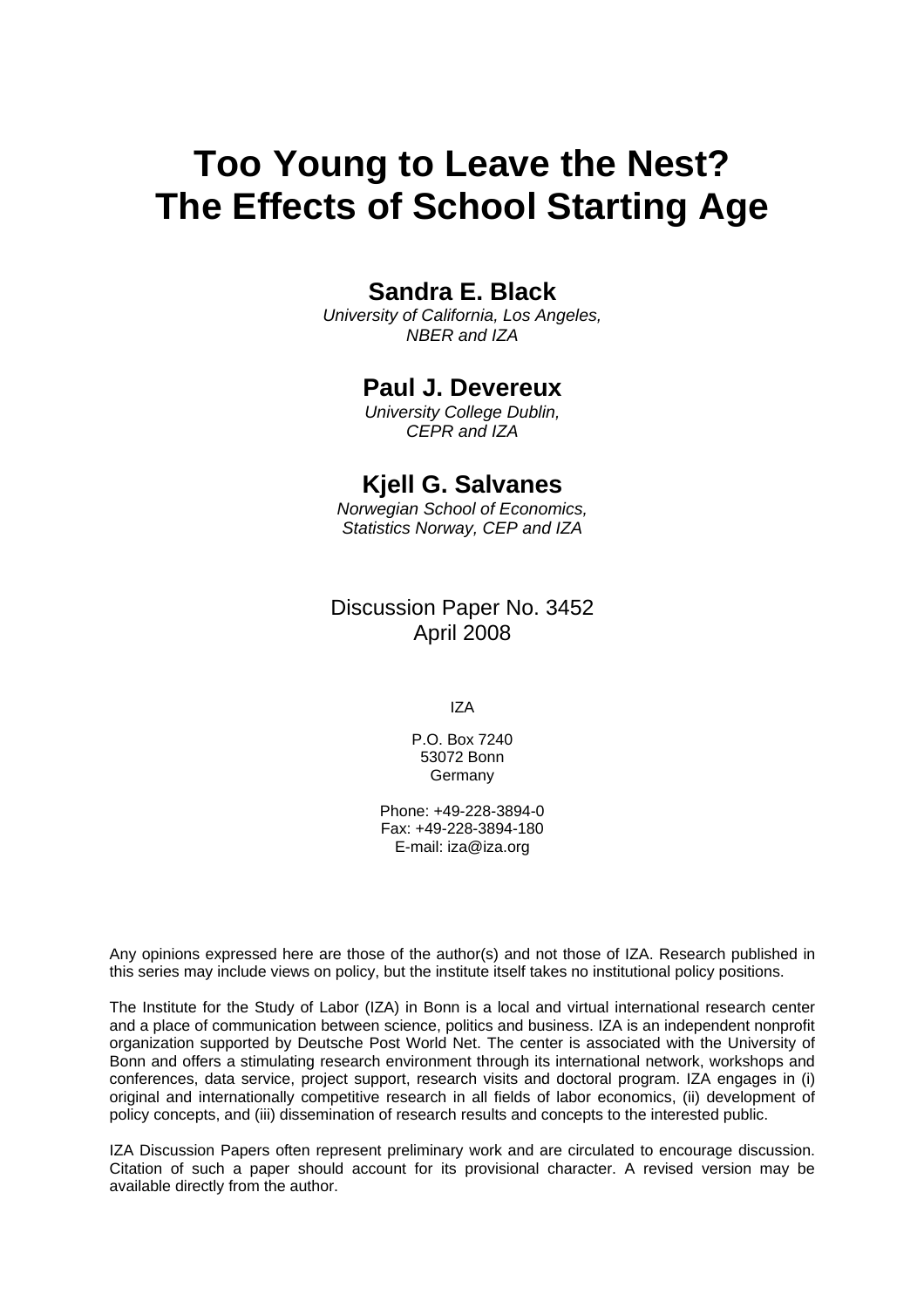# **Too Young to Leave the Nest? The Effects of School Starting Age**

# **Sandra E. Black**

*University of California, Los Angeles, NBER and IZA* 

### **Paul J. Devereux**

*University College Dublin, CEPR and IZA* 

## **Kjell G. Salvanes**

*Norwegian School of Economics, Statistics Norway, CEP and IZA* 

Discussion Paper No. 3452 April 2008

IZA

P.O. Box 7240 53072 Bonn Germany

Phone: +49-228-3894-0 Fax: +49-228-3894-180 E-mail: [iza@iza.org](mailto:iza@iza.org)

Any opinions expressed here are those of the author(s) and not those of IZA. Research published in this series may include views on policy, but the institute itself takes no institutional policy positions.

The Institute for the Study of Labor (IZA) in Bonn is a local and virtual international research center and a place of communication between science, politics and business. IZA is an independent nonprofit organization supported by Deutsche Post World Net. The center is associated with the University of Bonn and offers a stimulating research environment through its international network, workshops and conferences, data service, project support, research visits and doctoral program. IZA engages in (i) original and internationally competitive research in all fields of labor economics, (ii) development of policy concepts, and (iii) dissemination of research results and concepts to the interested public.

IZA Discussion Papers often represent preliminary work and are circulated to encourage discussion. Citation of such a paper should account for its provisional character. A revised version may be available directly from the author.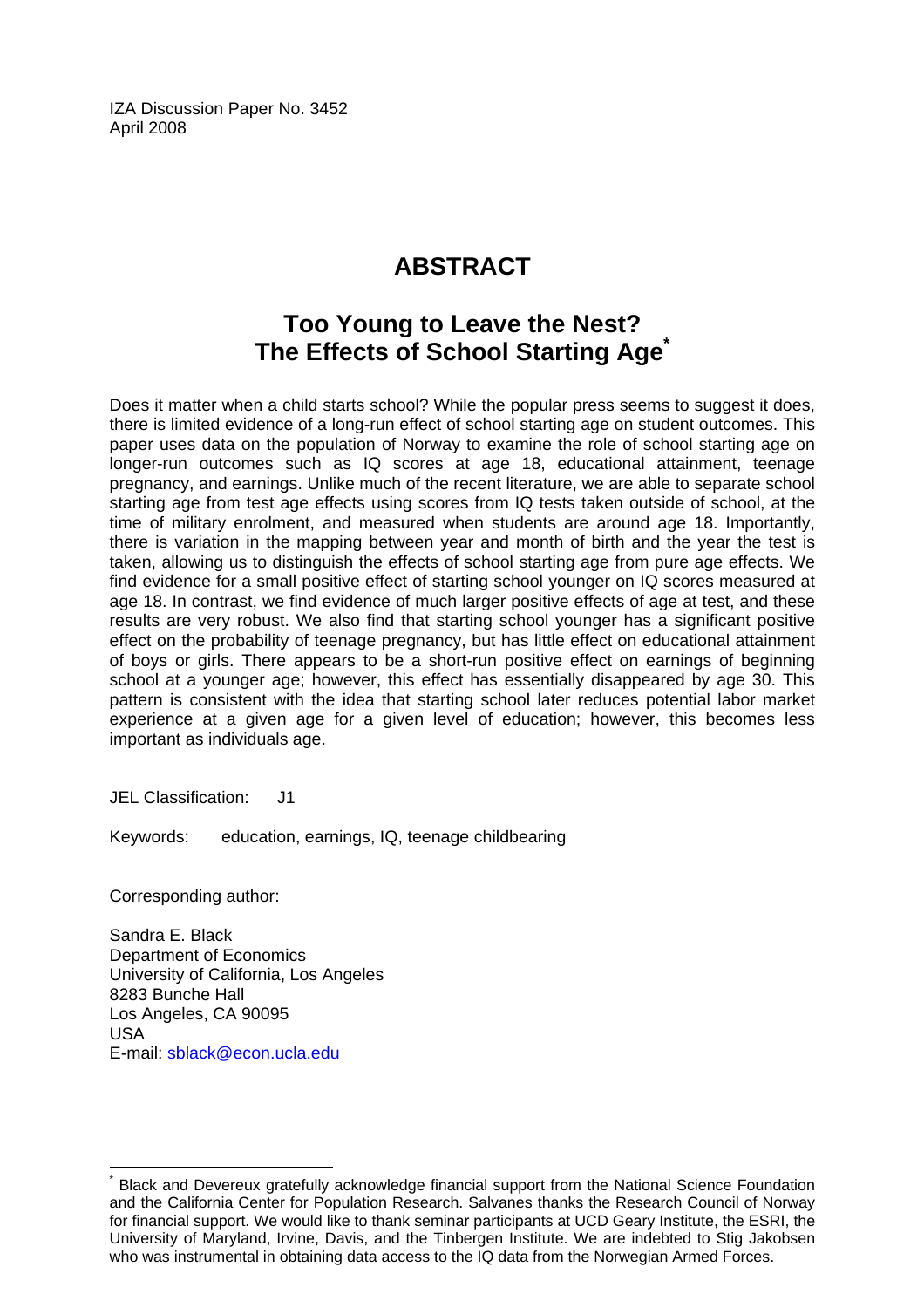IZA Discussion Paper No. 3452 April 2008

# **ABSTRACT**

# **Too Young to Leave the Nest? The Effects of School Starting Age[\\*](#page-2-0)**

Does it matter when a child starts school? While the popular press seems to suggest it does, there is limited evidence of a long-run effect of school starting age on student outcomes. This paper uses data on the population of Norway to examine the role of school starting age on longer-run outcomes such as IQ scores at age 18, educational attainment, teenage pregnancy, and earnings. Unlike much of the recent literature, we are able to separate school starting age from test age effects using scores from IQ tests taken outside of school, at the time of military enrolment, and measured when students are around age 18. Importantly, there is variation in the mapping between year and month of birth and the year the test is taken, allowing us to distinguish the effects of school starting age from pure age effects. We find evidence for a small positive effect of starting school younger on IQ scores measured at age 18. In contrast, we find evidence of much larger positive effects of age at test, and these results are very robust. We also find that starting school younger has a significant positive effect on the probability of teenage pregnancy, but has little effect on educational attainment of boys or girls. There appears to be a short-run positive effect on earnings of beginning school at a younger age; however, this effect has essentially disappeared by age 30. This pattern is consistent with the idea that starting school later reduces potential labor market experience at a given age for a given level of education; however, this becomes less important as individuals age.

JEL Classification: J1

Keywords: education, earnings, IQ, teenage childbearing

Corresponding author:

 $\overline{a}$ 

Sandra E. Black Department of Economics University of California, Los Angeles 8283 Bunche Hall Los Angeles, CA 90095 USA E-mail: [sblack@econ.ucla.edu](mailto:sblack@econ.ucla.edu) 

<span id="page-2-0"></span><sup>\*</sup> Black and Devereux gratefully acknowledge financial support from the National Science Foundation and the California Center for Population Research. Salvanes thanks the Research Council of Norway for financial support. We would like to thank seminar participants at UCD Geary Institute, the ESRI, the University of Maryland, Irvine, Davis, and the Tinbergen Institute. We are indebted to Stig Jakobsen who was instrumental in obtaining data access to the IQ data from the Norwegian Armed Forces.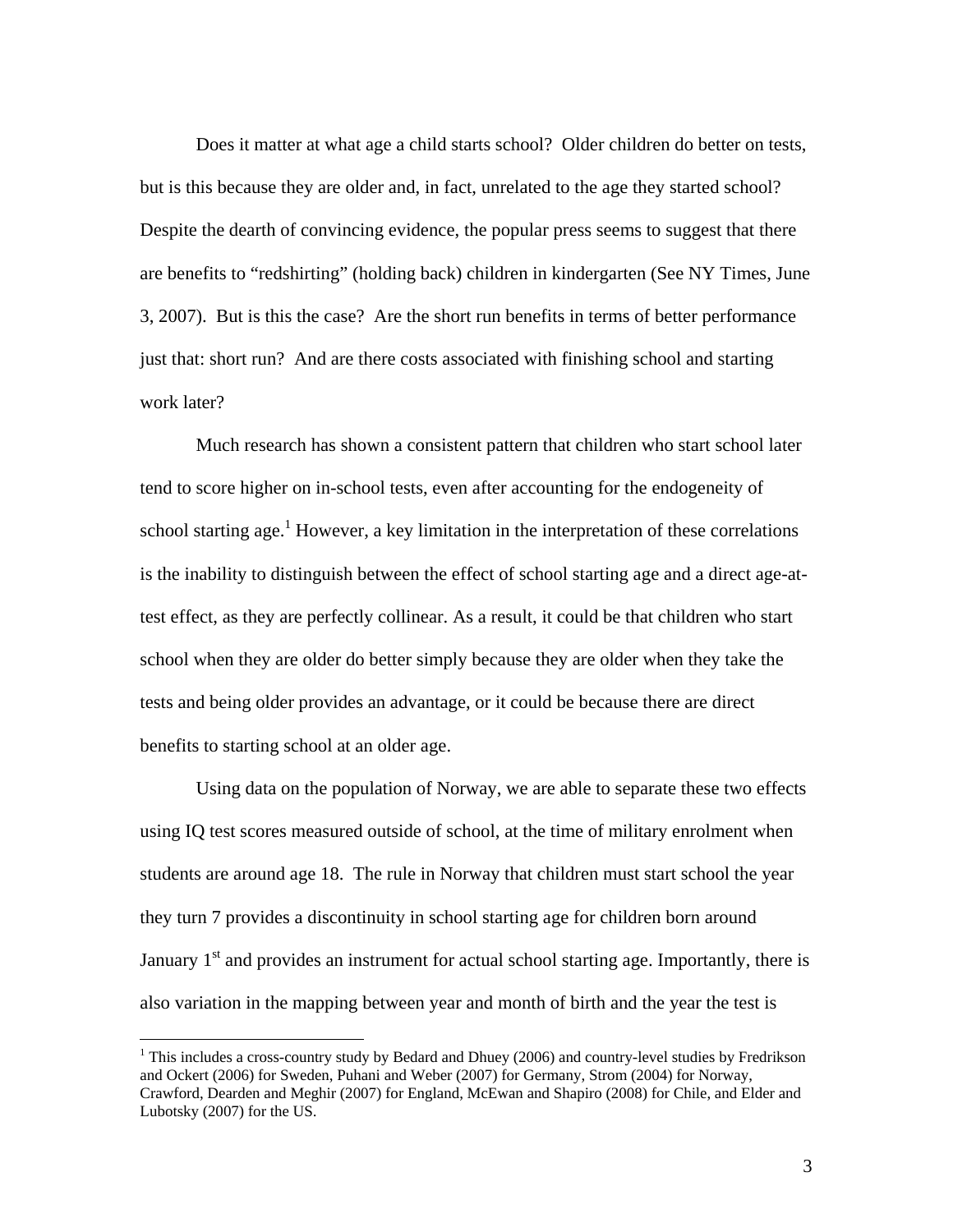Does it matter at what age a child starts school? Older children do better on tests, but is this because they are older and, in fact, unrelated to the age they started school? Despite the dearth of convincing evidence, the popular press seems to suggest that there are benefits to "redshirting" (holding back) children in kindergarten (See NY Times, June 3, 2007). But is this the case? Are the short run benefits in terms of better performance just that: short run? And are there costs associated with finishing school and starting work later?

 Much research has shown a consistent pattern that children who start school later tend to score higher on in-school tests, even after accounting for the endogeneity of school starting age.<sup>1</sup> However, a key limitation in the interpretation of these correlations is the inability to distinguish between the effect of school starting age and a direct age-attest effect, as they are perfectly collinear. As a result, it could be that children who start school when they are older do better simply because they are older when they take the tests and being older provides an advantage, or it could be because there are direct benefits to starting school at an older age.

Using data on the population of Norway, we are able to separate these two effects using IQ test scores measured outside of school, at the time of military enrolment when students are around age 18. The rule in Norway that children must start school the year they turn 7 provides a discontinuity in school starting age for children born around January  $1<sup>st</sup>$  and provides an instrument for actual school starting age. Importantly, there is also variation in the mapping between year and month of birth and the year the test is

<sup>&</sup>lt;sup>1</sup> This includes a cross-country study by Bedard and Dhuey (2006) and country-level studies by Fredrikson and Ockert (2006) for Sweden, Puhani and Weber (2007) for Germany, Strom (2004) for Norway, Crawford, Dearden and Meghir (2007) for England, McEwan and Shapiro (2008) for Chile, and Elder and Lubotsky (2007) for the US.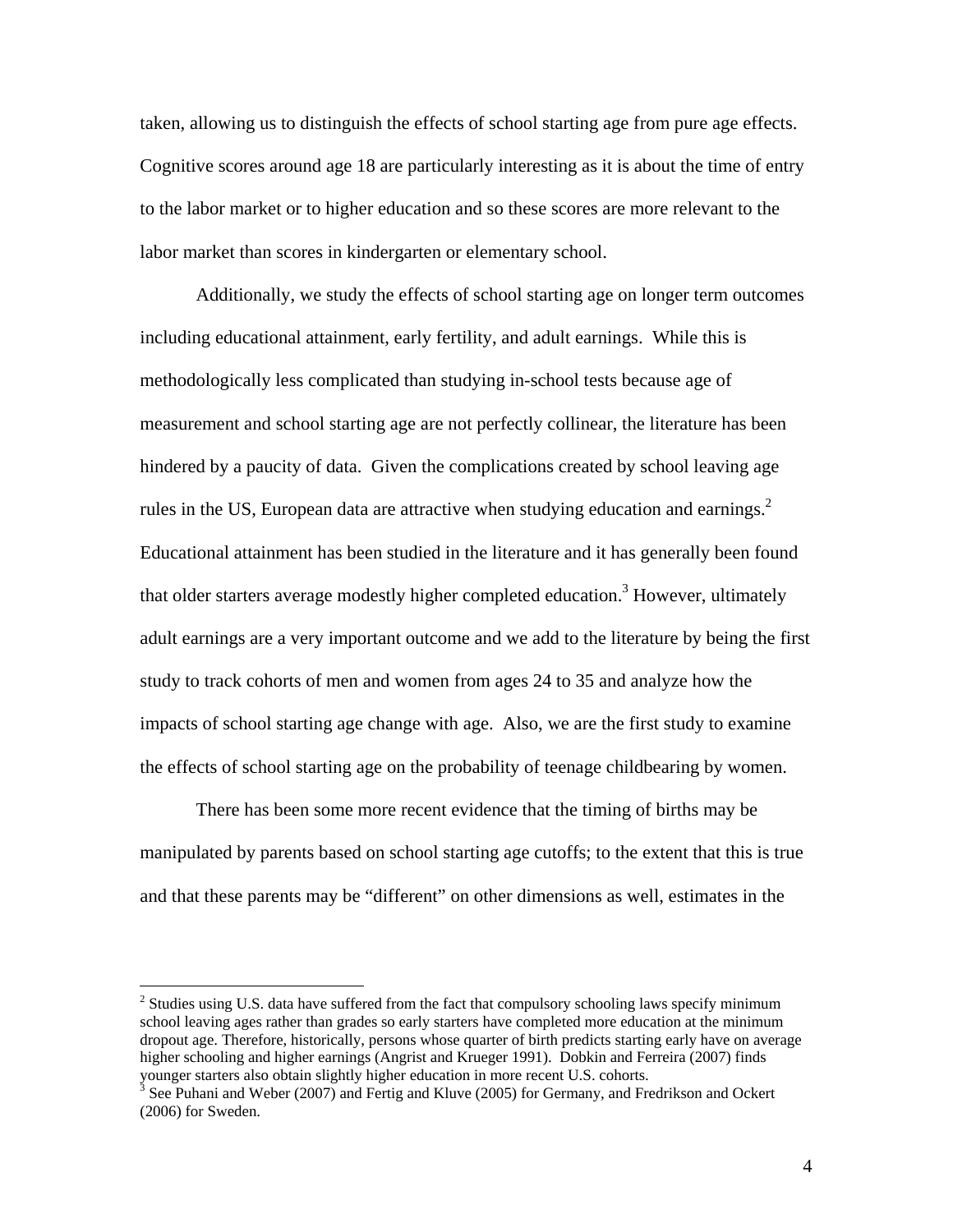taken, allowing us to distinguish the effects of school starting age from pure age effects. Cognitive scores around age 18 are particularly interesting as it is about the time of entry to the labor market or to higher education and so these scores are more relevant to the labor market than scores in kindergarten or elementary school.

Additionally, we study the effects of school starting age on longer term outcomes including educational attainment, early fertility, and adult earnings. While this is methodologically less complicated than studying in-school tests because age of measurement and school starting age are not perfectly collinear, the literature has been hindered by a paucity of data. Given the complications created by school leaving age rules in the US, European data are attractive when studying education and earnings.<sup>2</sup> Educational attainment has been studied in the literature and it has generally been found that older starters average modestly higher completed education.<sup>3</sup> However, ultimately adult earnings are a very important outcome and we add to the literature by being the first study to track cohorts of men and women from ages 24 to 35 and analyze how the impacts of school starting age change with age. Also, we are the first study to examine the effects of school starting age on the probability of teenage childbearing by women.

There has been some more recent evidence that the timing of births may be manipulated by parents based on school starting age cutoffs; to the extent that this is true and that these parents may be "different" on other dimensions as well, estimates in the

<sup>&</sup>lt;sup>2</sup> Studies using U.S. data have suffered from the fact that compulsory schooling laws specify minimum school leaving ages rather than grades so early starters have completed more education at the minimum dropout age. Therefore, historically, persons whose quarter of birth predicts starting early have on average higher schooling and higher earnings (Angrist and Krueger 1991). Dobkin and Ferreira (2007) finds younger starters also obtain slightly higher education in more recent U.S. cohorts.

<sup>&</sup>lt;sup>3</sup> See Puhani and Weber (2007) and Fertig and Kluve (2005) for Germany, and Fredrikson and Ockert (2006) for Sweden.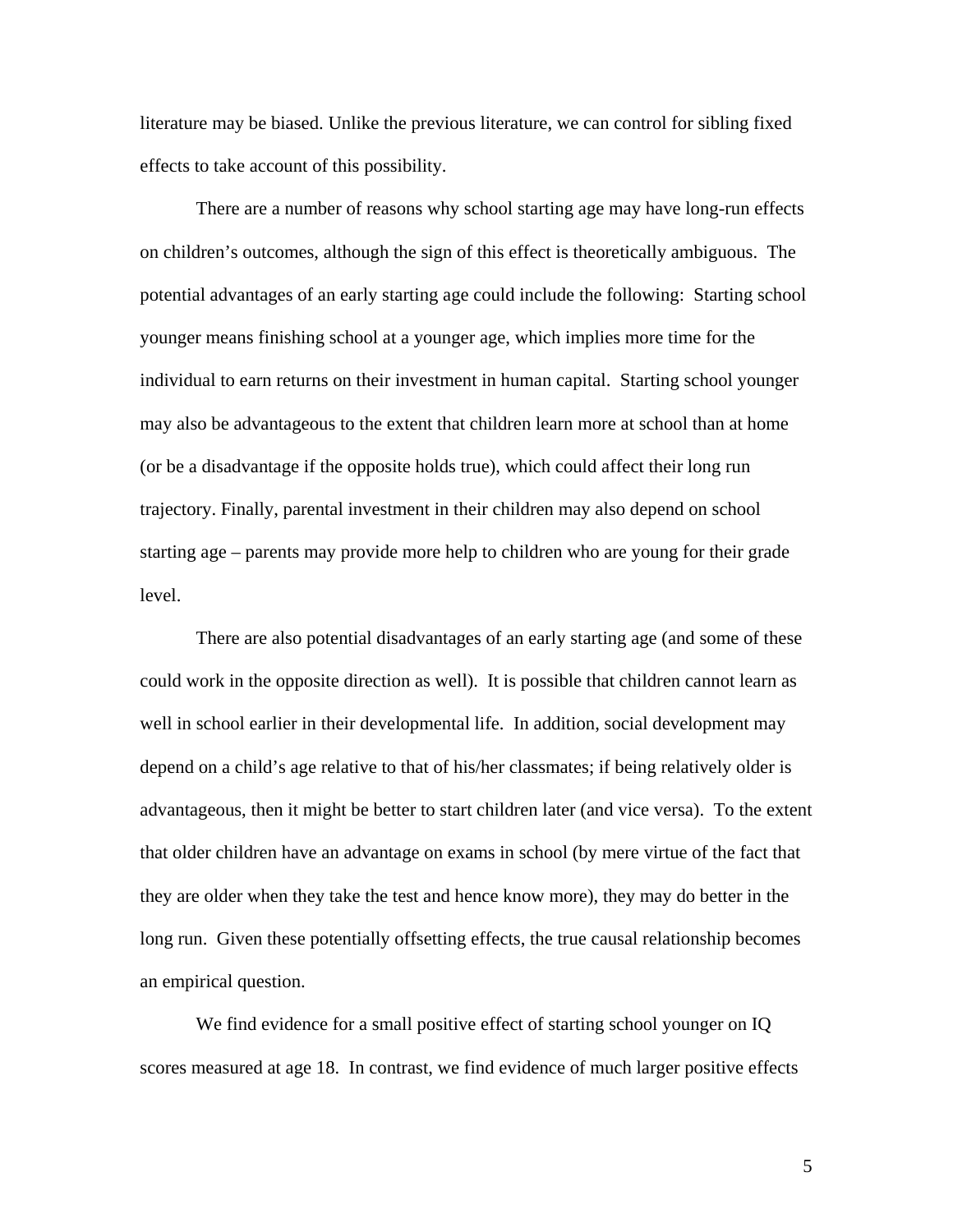literature may be biased. Unlike the previous literature, we can control for sibling fixed effects to take account of this possibility.

There are a number of reasons why school starting age may have long-run effects on children's outcomes, although the sign of this effect is theoretically ambiguous. The potential advantages of an early starting age could include the following: Starting school younger means finishing school at a younger age, which implies more time for the individual to earn returns on their investment in human capital. Starting school younger may also be advantageous to the extent that children learn more at school than at home (or be a disadvantage if the opposite holds true), which could affect their long run trajectory. Finally, parental investment in their children may also depend on school starting age – parents may provide more help to children who are young for their grade level.

There are also potential disadvantages of an early starting age (and some of these could work in the opposite direction as well). It is possible that children cannot learn as well in school earlier in their developmental life. In addition, social development may depend on a child's age relative to that of his/her classmates; if being relatively older is advantageous, then it might be better to start children later (and vice versa). To the extent that older children have an advantage on exams in school (by mere virtue of the fact that they are older when they take the test and hence know more), they may do better in the long run. Given these potentially offsetting effects, the true causal relationship becomes an empirical question.

We find evidence for a small positive effect of starting school younger on IQ scores measured at age 18. In contrast, we find evidence of much larger positive effects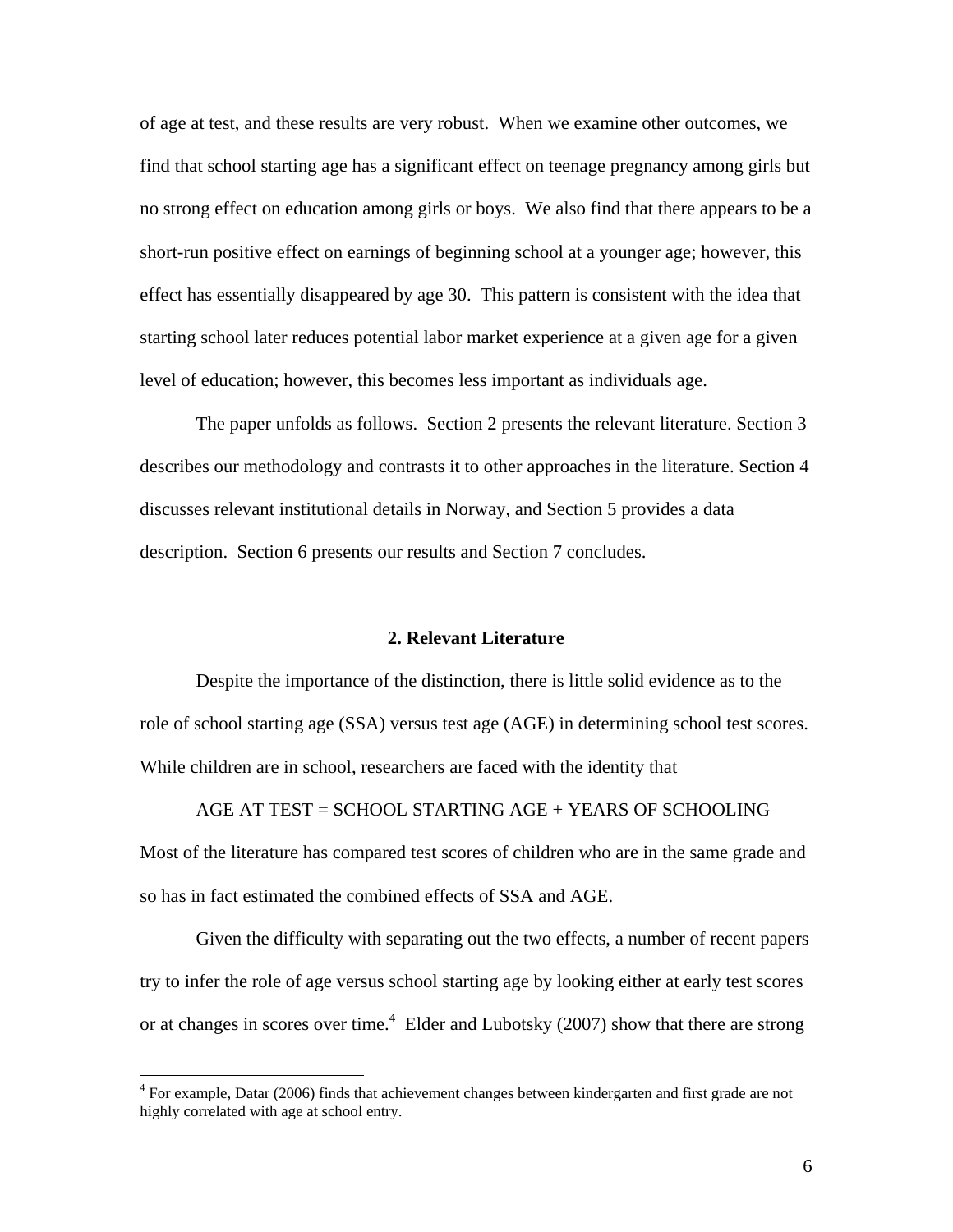of age at test, and these results are very robust. When we examine other outcomes, we find that school starting age has a significant effect on teenage pregnancy among girls but no strong effect on education among girls or boys. We also find that there appears to be a short-run positive effect on earnings of beginning school at a younger age; however, this effect has essentially disappeared by age 30. This pattern is consistent with the idea that starting school later reduces potential labor market experience at a given age for a given level of education; however, this becomes less important as individuals age.

The paper unfolds as follows. Section 2 presents the relevant literature. Section 3 describes our methodology and contrasts it to other approaches in the literature. Section 4 discusses relevant institutional details in Norway, and Section 5 provides a data description. Section 6 presents our results and Section 7 concludes.

### **2. Relevant Literature**

Despite the importance of the distinction, there is little solid evidence as to the role of school starting age (SSA) versus test age (AGE) in determining school test scores. While children are in school, researchers are faced with the identity that

AGE AT TEST = SCHOOL STARTING AGE + YEARS OF SCHOOLING Most of the literature has compared test scores of children who are in the same grade and so has in fact estimated the combined effects of SSA and AGE.

Given the difficulty with separating out the two effects, a number of recent papers try to infer the role of age versus school starting age by looking either at early test scores or at changes in scores over time.<sup>4</sup> Elder and Lubotsky (2007) show that there are strong

<sup>&</sup>lt;sup>4</sup> For example, Datar (2006) finds that achievement changes between kindergarten and first grade are not highly correlated with age at school entry.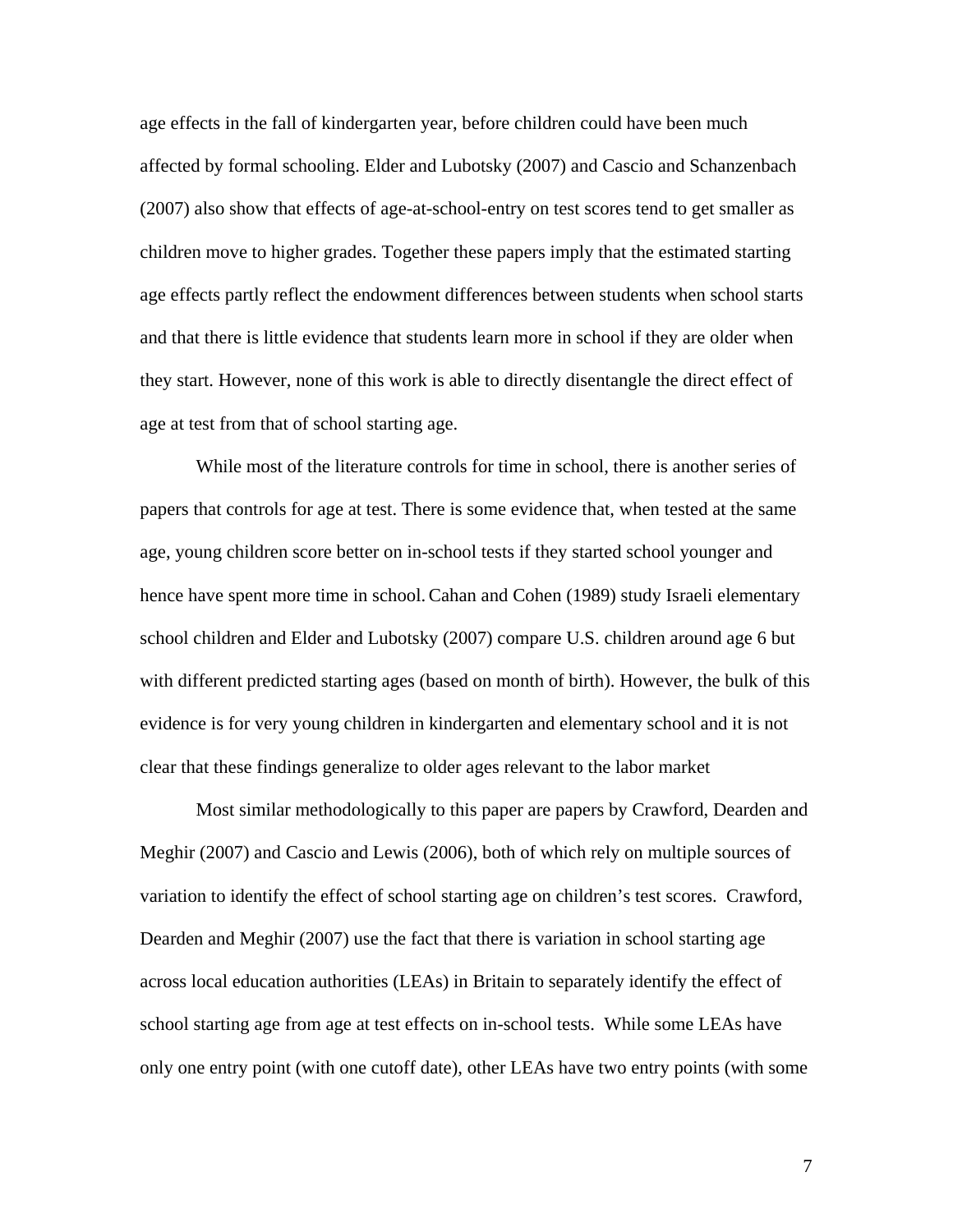age effects in the fall of kindergarten year, before children could have been much affected by formal schooling. Elder and Lubotsky (2007) and Cascio and Schanzenbach (2007) also show that effects of age-at-school-entry on test scores tend to get smaller as children move to higher grades. Together these papers imply that the estimated starting age effects partly reflect the endowment differences between students when school starts and that there is little evidence that students learn more in school if they are older when they start. However, none of this work is able to directly disentangle the direct effect of age at test from that of school starting age.

While most of the literature controls for time in school, there is another series of papers that controls for age at test. There is some evidence that, when tested at the same age, young children score better on in-school tests if they started school younger and hence have spent more time in school.Cahan and Cohen (1989) study Israeli elementary school children and Elder and Lubotsky (2007) compare U.S. children around age 6 but with different predicted starting ages (based on month of birth). However, the bulk of this evidence is for very young children in kindergarten and elementary school and it is not clear that these findings generalize to older ages relevant to the labor market

Most similar methodologically to this paper are papers by Crawford, Dearden and Meghir (2007) and Cascio and Lewis (2006), both of which rely on multiple sources of variation to identify the effect of school starting age on children's test scores. Crawford, Dearden and Meghir (2007) use the fact that there is variation in school starting age across local education authorities (LEAs) in Britain to separately identify the effect of school starting age from age at test effects on in-school tests. While some LEAs have only one entry point (with one cutoff date), other LEAs have two entry points (with some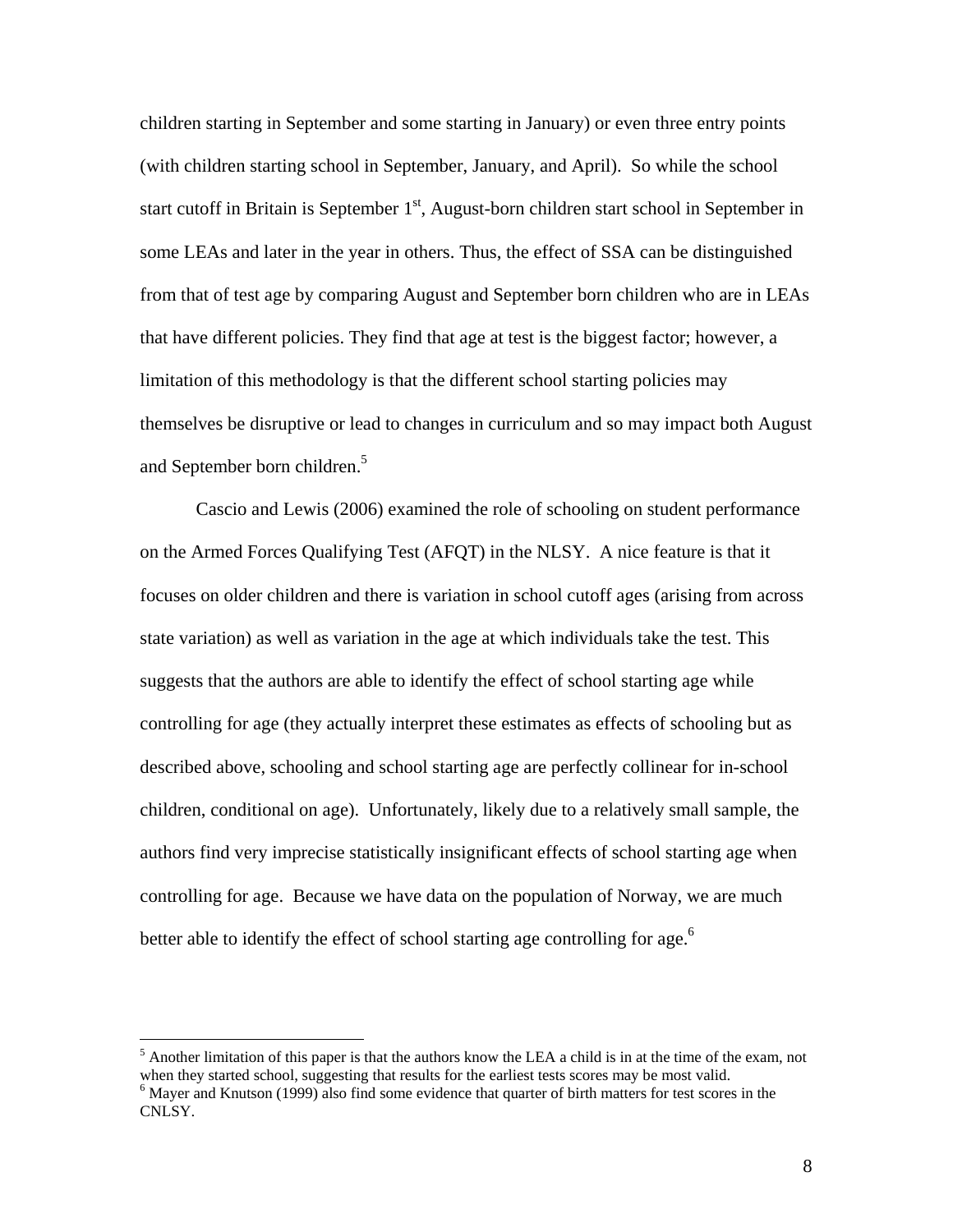children starting in September and some starting in January) or even three entry points (with children starting school in September, January, and April). So while the school start cutoff in Britain is September  $1<sup>st</sup>$ , August-born children start school in September in some LEAs and later in the year in others. Thus, the effect of SSA can be distinguished from that of test age by comparing August and September born children who are in LEAs that have different policies. They find that age at test is the biggest factor; however, a limitation of this methodology is that the different school starting policies may themselves be disruptive or lead to changes in curriculum and so may impact both August and September born children.<sup>5</sup>

Cascio and Lewis (2006) examined the role of schooling on student performance on the Armed Forces Qualifying Test (AFQT) in the NLSY. A nice feature is that it focuses on older children and there is variation in school cutoff ages (arising from across state variation) as well as variation in the age at which individuals take the test. This suggests that the authors are able to identify the effect of school starting age while controlling for age (they actually interpret these estimates as effects of schooling but as described above, schooling and school starting age are perfectly collinear for in-school children, conditional on age). Unfortunately, likely due to a relatively small sample, the authors find very imprecise statistically insignificant effects of school starting age when controlling for age. Because we have data on the population of Norway, we are much better able to identify the effect of school starting age controlling for age.<sup>6</sup>

 $<sup>5</sup>$  Another limitation of this paper is that the authors know the LEA a child is in at the time of the exam, not</sup> when they started school, suggesting that results for the earliest tests scores may be most valid.

<sup>&</sup>lt;sup>6</sup> Mayer and Knutson (1999) also find some evidence that quarter of birth matters for test scores in the CNLSY.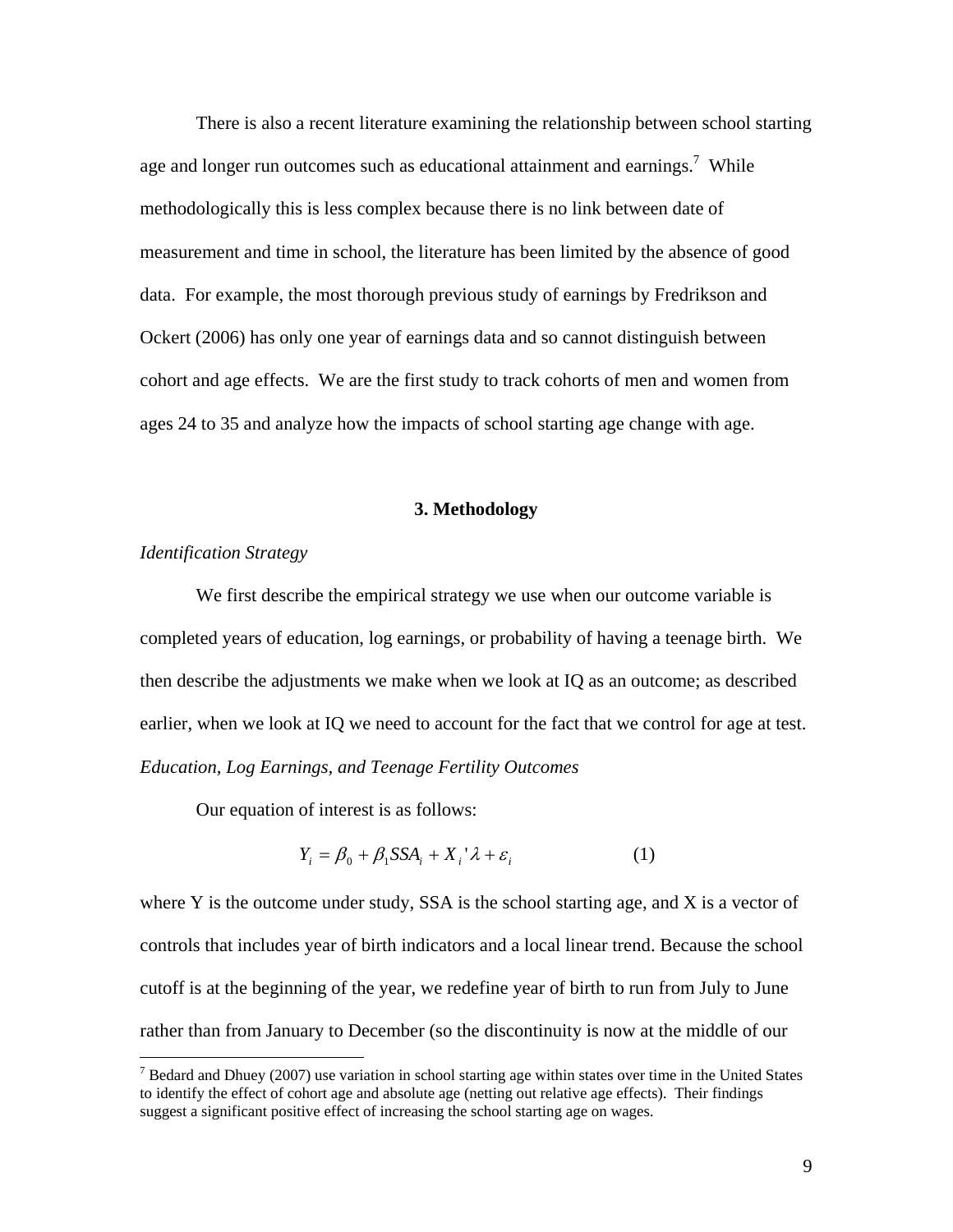There is also a recent literature examining the relationship between school starting age and longer run outcomes such as educational attainment and earnings.<sup>7</sup> While methodologically this is less complex because there is no link between date of measurement and time in school, the literature has been limited by the absence of good data. For example, the most thorough previous study of earnings by Fredrikson and Ockert (2006) has only one year of earnings data and so cannot distinguish between cohort and age effects. We are the first study to track cohorts of men and women from ages 24 to 35 and analyze how the impacts of school starting age change with age.

### **3. Methodology**

### *Identification Strategy*

 $\overline{a}$ 

 We first describe the empirical strategy we use when our outcome variable is completed years of education, log earnings, or probability of having a teenage birth. We then describe the adjustments we make when we look at IQ as an outcome; as described earlier, when we look at IQ we need to account for the fact that we control for age at test. *Education, Log Earnings, and Teenage Fertility Outcomes* 

Our equation of interest is as follows:

$$
Y_i = \beta_0 + \beta_1 \text{SSA}_i + X_i^{\dagger} \lambda + \varepsilon_i \tag{1}
$$

where Y is the outcome under study, SSA is the school starting age, and X is a vector of controls that includes year of birth indicators and a local linear trend. Because the school cutoff is at the beginning of the year, we redefine year of birth to run from July to June rather than from January to December (so the discontinuity is now at the middle of our

 $<sup>7</sup>$  Bedard and Dhuey (2007) use variation in school starting age within states over time in the United States</sup> to identify the effect of cohort age and absolute age (netting out relative age effects). Their findings suggest a significant positive effect of increasing the school starting age on wages.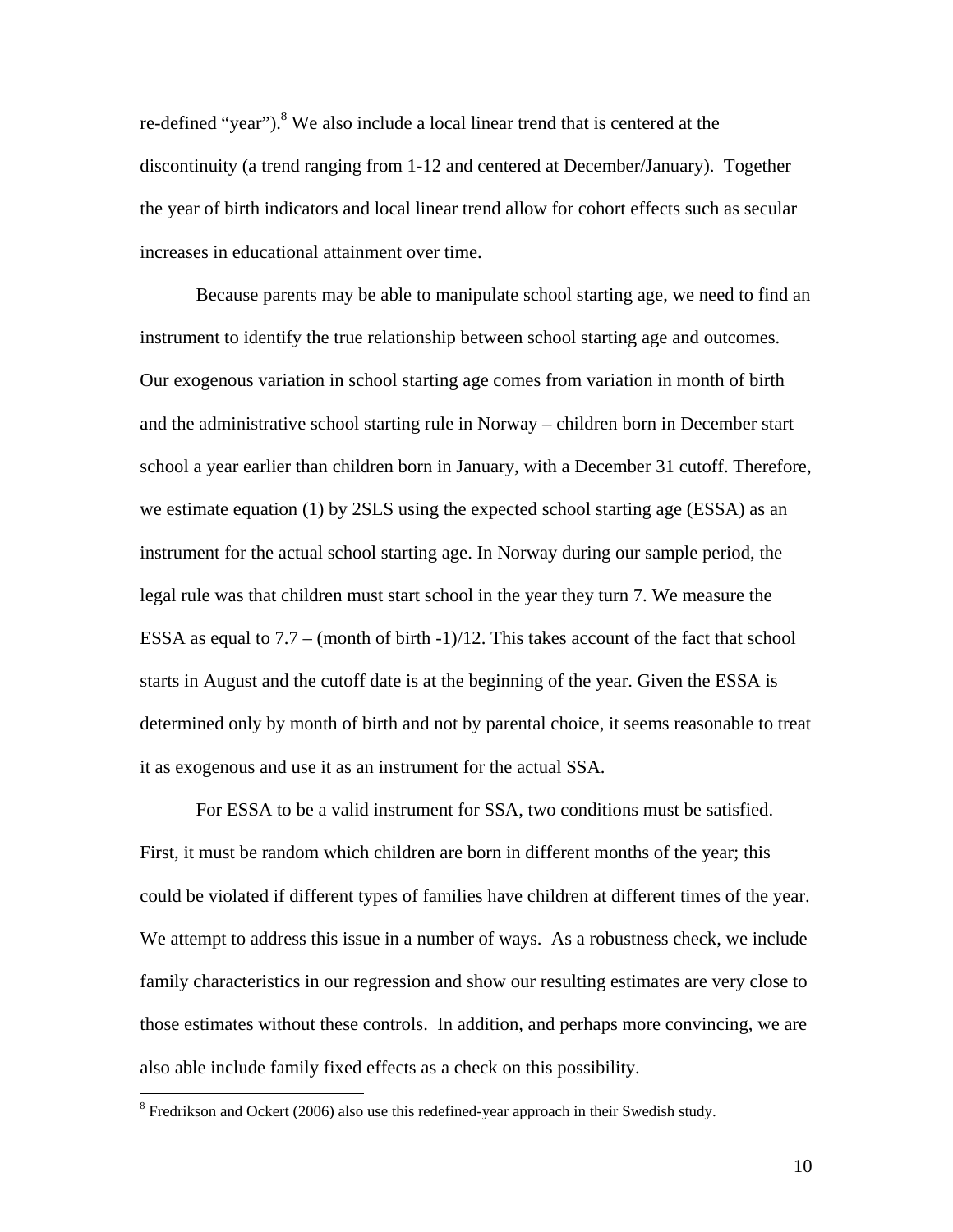re-defined "year").<sup>8</sup> We also include a local linear trend that is centered at the discontinuity (a trend ranging from 1-12 and centered at December/January). Together the year of birth indicators and local linear trend allow for cohort effects such as secular increases in educational attainment over time.

 Because parents may be able to manipulate school starting age, we need to find an instrument to identify the true relationship between school starting age and outcomes. Our exogenous variation in school starting age comes from variation in month of birth and the administrative school starting rule in Norway – children born in December start school a year earlier than children born in January, with a December 31 cutoff. Therefore, we estimate equation (1) by 2SLS using the expected school starting age (ESSA) as an instrument for the actual school starting age. In Norway during our sample period, the legal rule was that children must start school in the year they turn 7. We measure the ESSA as equal to 7.7 – (month of birth -1)/12. This takes account of the fact that school starts in August and the cutoff date is at the beginning of the year. Given the ESSA is determined only by month of birth and not by parental choice, it seems reasonable to treat it as exogenous and use it as an instrument for the actual SSA.

For ESSA to be a valid instrument for SSA, two conditions must be satisfied. First, it must be random which children are born in different months of the year; this could be violated if different types of families have children at different times of the year. We attempt to address this issue in a number of ways. As a robustness check, we include family characteristics in our regression and show our resulting estimates are very close to those estimates without these controls. In addition, and perhaps more convincing, we are also able include family fixed effects as a check on this possibility.

<sup>&</sup>lt;sup>8</sup> Fredrikson and Ockert (2006) also use this redefined-year approach in their Swedish study.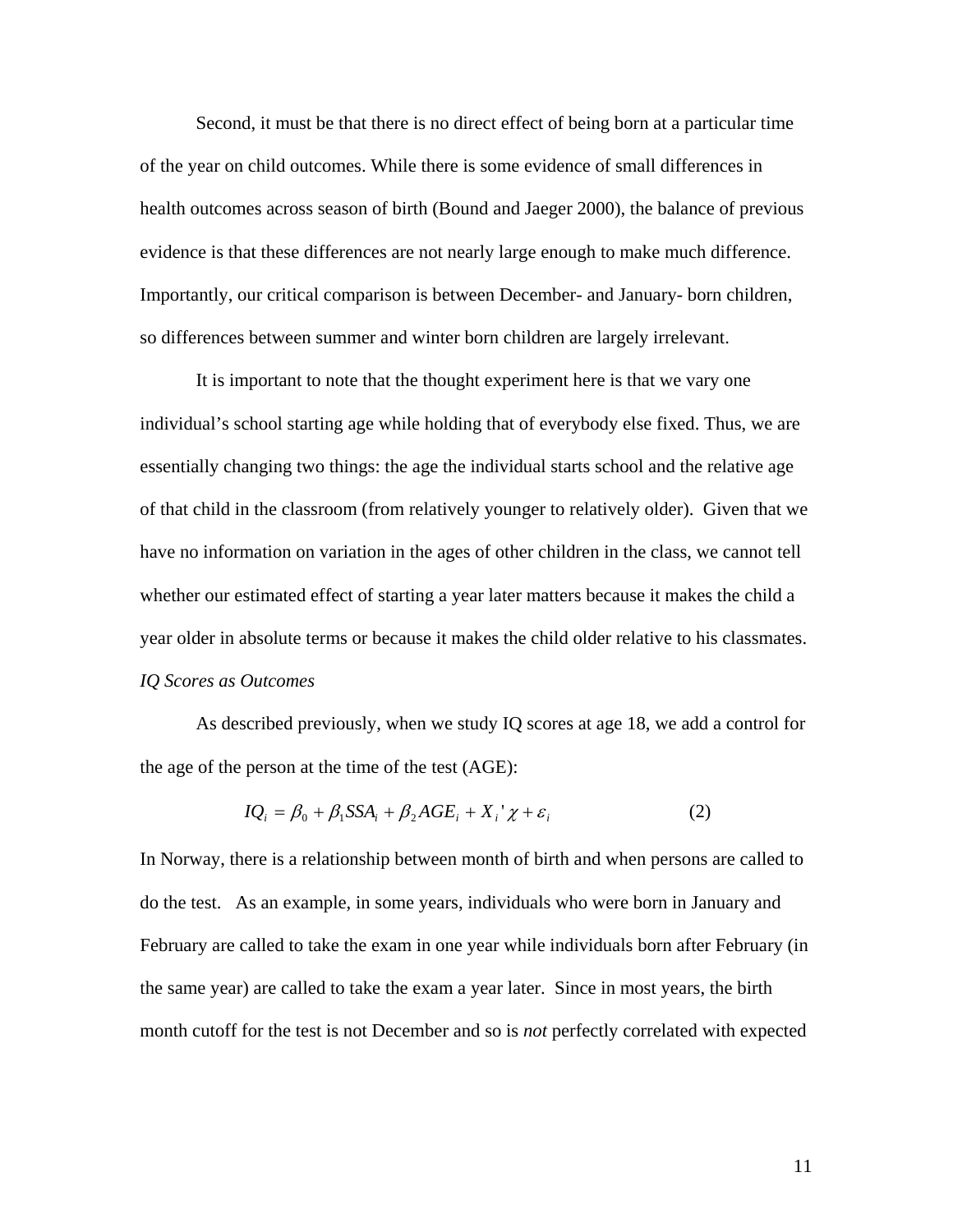Second, it must be that there is no direct effect of being born at a particular time of the year on child outcomes. While there is some evidence of small differences in health outcomes across season of birth (Bound and Jaeger 2000), the balance of previous evidence is that these differences are not nearly large enough to make much difference. Importantly, our critical comparison is between December- and January- born children, so differences between summer and winter born children are largely irrelevant.

 It is important to note that the thought experiment here is that we vary one individual's school starting age while holding that of everybody else fixed. Thus, we are essentially changing two things: the age the individual starts school and the relative age of that child in the classroom (from relatively younger to relatively older). Given that we have no information on variation in the ages of other children in the class, we cannot tell whether our estimated effect of starting a year later matters because it makes the child a year older in absolute terms or because it makes the child older relative to his classmates. *IQ Scores as Outcomes* 

 As described previously, when we study IQ scores at age 18, we add a control for the age of the person at the time of the test (AGE):

$$
IQ_i = \beta_0 + \beta_1 \text{SSA}_i + \beta_2 AGE_i + X_i^{\dagger} \chi + \varepsilon_i \tag{2}
$$

In Norway, there is a relationship between month of birth and when persons are called to do the test. As an example, in some years, individuals who were born in January and February are called to take the exam in one year while individuals born after February (in the same year) are called to take the exam a year later. Since in most years, the birth month cutoff for the test is not December and so is *not* perfectly correlated with expected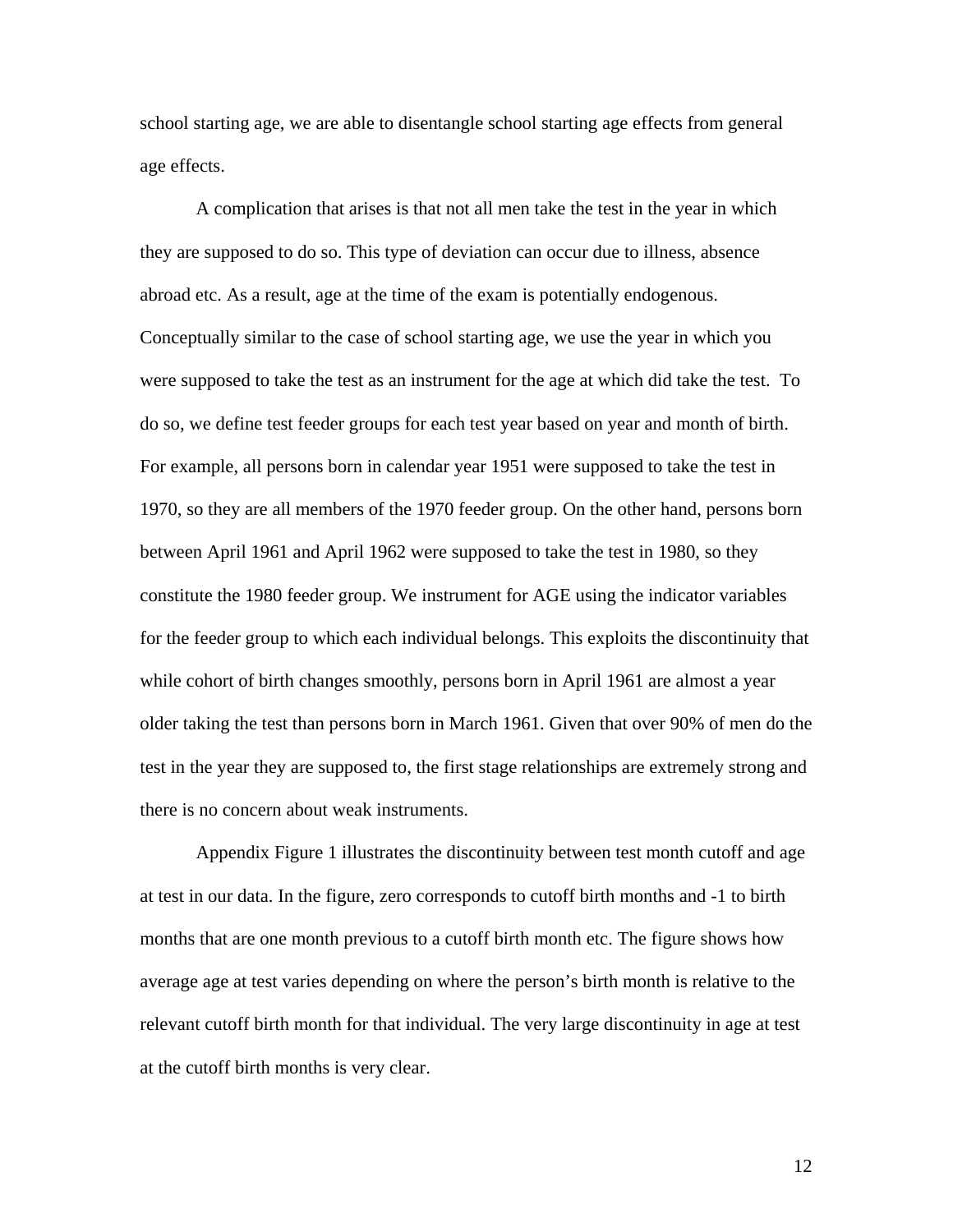school starting age, we are able to disentangle school starting age effects from general age effects.

A complication that arises is that not all men take the test in the year in which they are supposed to do so. This type of deviation can occur due to illness, absence abroad etc. As a result, age at the time of the exam is potentially endogenous. Conceptually similar to the case of school starting age, we use the year in which you were supposed to take the test as an instrument for the age at which did take the test. To do so, we define test feeder groups for each test year based on year and month of birth. For example, all persons born in calendar year 1951 were supposed to take the test in 1970, so they are all members of the 1970 feeder group. On the other hand, persons born between April 1961 and April 1962 were supposed to take the test in 1980, so they constitute the 1980 feeder group. We instrument for AGE using the indicator variables for the feeder group to which each individual belongs. This exploits the discontinuity that while cohort of birth changes smoothly, persons born in April 1961 are almost a year older taking the test than persons born in March 1961. Given that over 90% of men do the test in the year they are supposed to, the first stage relationships are extremely strong and there is no concern about weak instruments.

 Appendix Figure 1 illustrates the discontinuity between test month cutoff and age at test in our data. In the figure, zero corresponds to cutoff birth months and -1 to birth months that are one month previous to a cutoff birth month etc. The figure shows how average age at test varies depending on where the person's birth month is relative to the relevant cutoff birth month for that individual. The very large discontinuity in age at test at the cutoff birth months is very clear.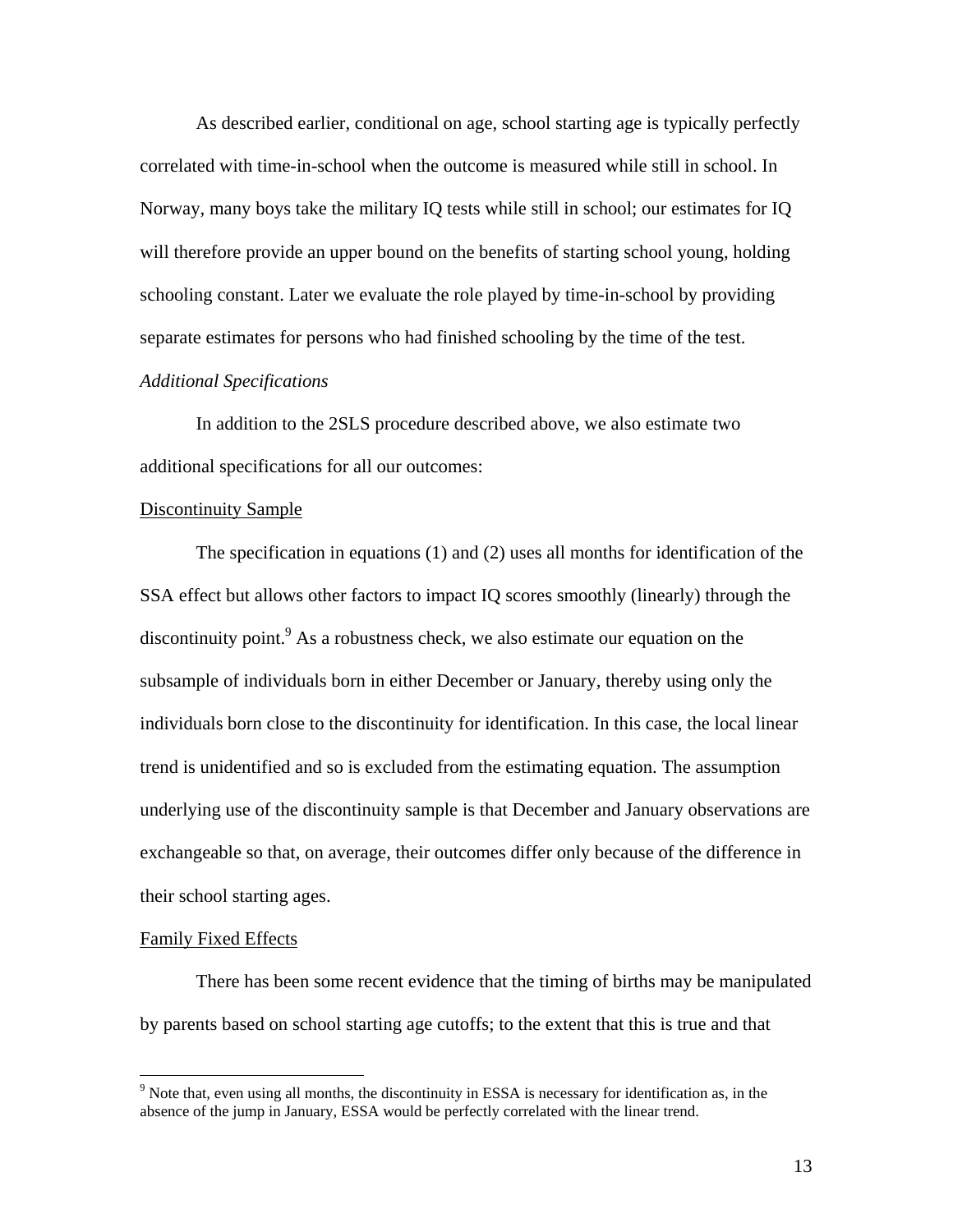As described earlier, conditional on age, school starting age is typically perfectly correlated with time-in-school when the outcome is measured while still in school. In Norway, many boys take the military IQ tests while still in school; our estimates for IQ will therefore provide an upper bound on the benefits of starting school young, holding schooling constant. Later we evaluate the role played by time-in-school by providing separate estimates for persons who had finished schooling by the time of the test. *Additional Specifications* 

 In addition to the 2SLS procedure described above, we also estimate two additional specifications for all our outcomes:

### Discontinuity Sample

 The specification in equations (1) and (2) uses all months for identification of the SSA effect but allows other factors to impact IQ scores smoothly (linearly) through the discontinuity point.  $\beta$  As a robustness check, we also estimate our equation on the subsample of individuals born in either December or January, thereby using only the individuals born close to the discontinuity for identification. In this case, the local linear trend is unidentified and so is excluded from the estimating equation. The assumption underlying use of the discontinuity sample is that December and January observations are exchangeable so that, on average, their outcomes differ only because of the difference in their school starting ages.

### Family Fixed Effects

1

There has been some recent evidence that the timing of births may be manipulated by parents based on school starting age cutoffs; to the extent that this is true and that

 $9$  Note that, even using all months, the discontinuity in ESSA is necessary for identification as, in the absence of the jump in January, ESSA would be perfectly correlated with the linear trend.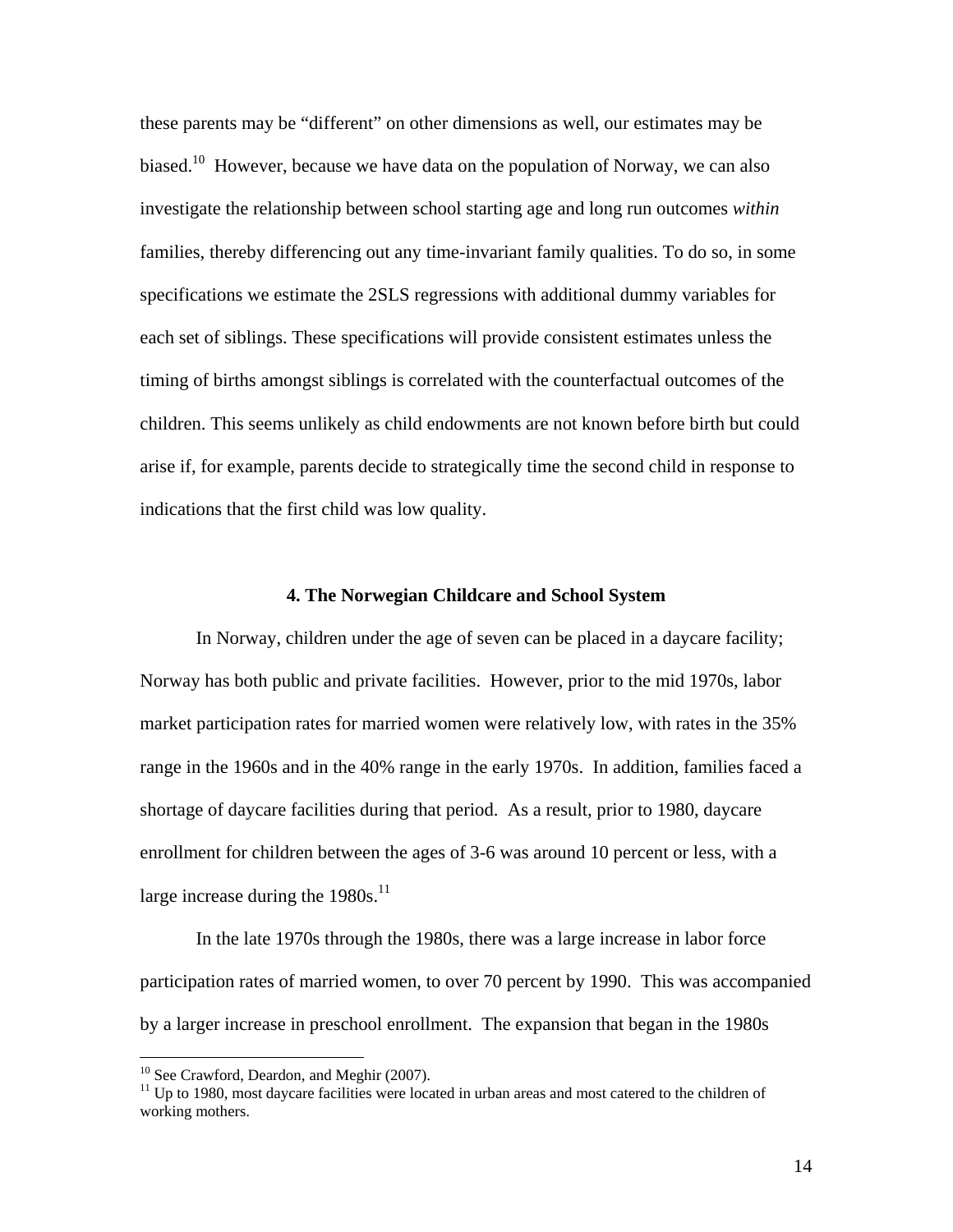these parents may be "different" on other dimensions as well, our estimates may be biased.<sup>10</sup> However, because we have data on the population of Norway, we can also investigate the relationship between school starting age and long run outcomes *within* families, thereby differencing out any time-invariant family qualities. To do so, in some specifications we estimate the 2SLS regressions with additional dummy variables for each set of siblings. These specifications will provide consistent estimates unless the timing of births amongst siblings is correlated with the counterfactual outcomes of the children. This seems unlikely as child endowments are not known before birth but could arise if, for example, parents decide to strategically time the second child in response to indications that the first child was low quality.

### **4. The Norwegian Childcare and School System**

In Norway, children under the age of seven can be placed in a daycare facility; Norway has both public and private facilities. However, prior to the mid 1970s, labor market participation rates for married women were relatively low, with rates in the 35% range in the 1960s and in the 40% range in the early 1970s. In addition, families faced a shortage of daycare facilities during that period. As a result, prior to 1980, daycare enrollment for children between the ages of 3-6 was around 10 percent or less, with a large increase during the  $1980s$ <sup>11</sup>

In the late 1970s through the 1980s, there was a large increase in labor force participation rates of married women, to over 70 percent by 1990. This was accompanied by a larger increase in preschool enrollment. The expansion that began in the 1980s

<sup>&</sup>lt;sup>10</sup> See Crawford, Deardon, and Meghir (2007).

<sup>&</sup>lt;sup>11</sup> Up to 1980, most daycare facilities were located in urban areas and most catered to the children of working mothers.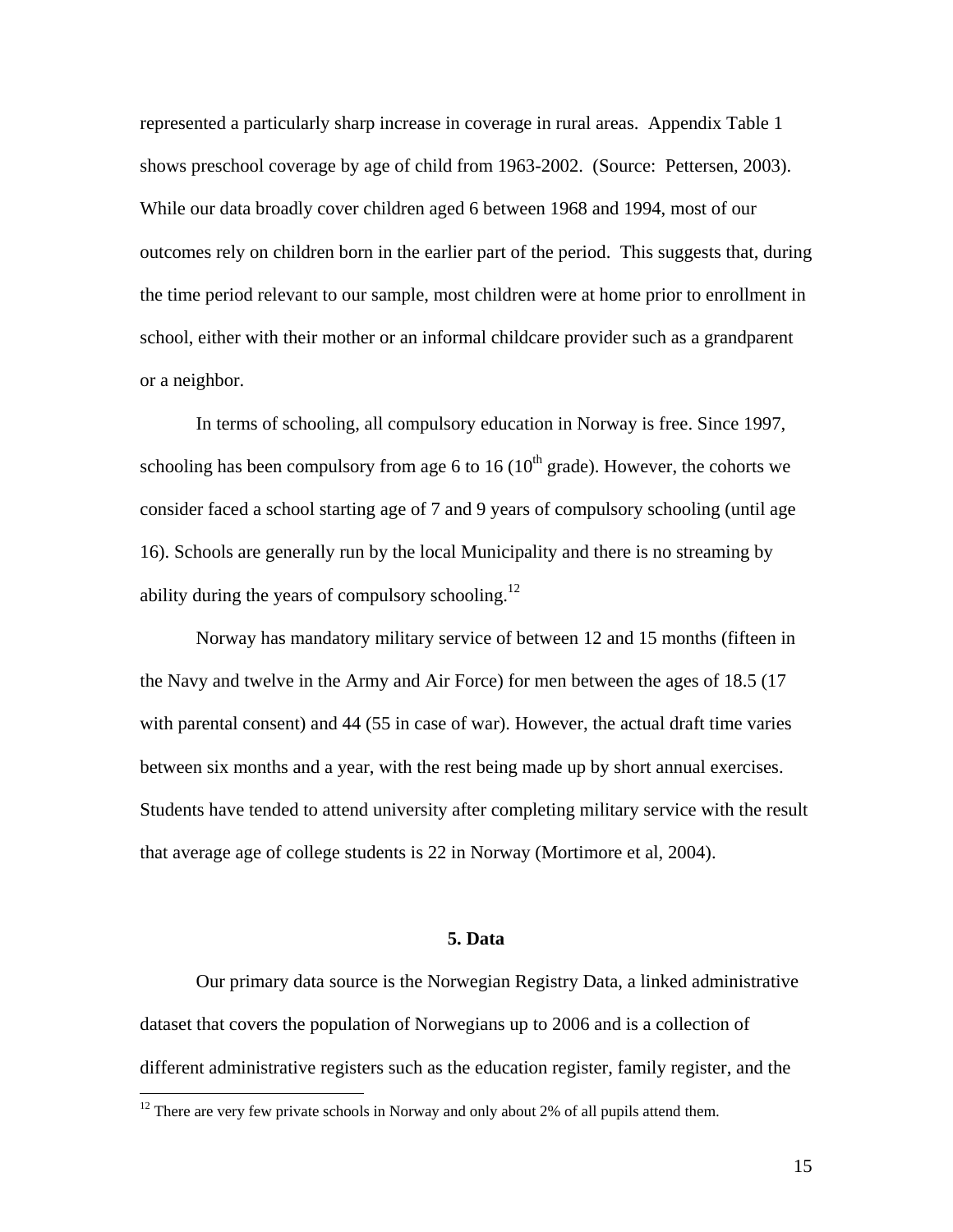represented a particularly sharp increase in coverage in rural areas. Appendix Table 1 shows preschool coverage by age of child from 1963-2002. (Source: Pettersen, 2003). While our data broadly cover children aged 6 between 1968 and 1994, most of our outcomes rely on children born in the earlier part of the period. This suggests that, during the time period relevant to our sample, most children were at home prior to enrollment in school, either with their mother or an informal childcare provider such as a grandparent or a neighbor.

In terms of schooling, all compulsory education in Norway is free. Since 1997, schooling has been compulsory from age 6 to 16 ( $10<sup>th</sup>$  grade). However, the cohorts we consider faced a school starting age of 7 and 9 years of compulsory schooling (until age 16). Schools are generally run by the local Municipality and there is no streaming by ability during the years of compulsory schooling.<sup>12</sup>

Norway has mandatory military service of between 12 and 15 months (fifteen in the Navy and twelve in the Army and Air Force) for men between the ages of 18.5 (17 with parental consent) and 44 (55 in case of war). However, the actual draft time varies between six months and a year, with the rest being made up by short annual exercises. Students have tended to attend university after completing military service with the result that average age of college students is 22 in Norway (Mortimore et al, 2004).

### **5. Data**

Our primary data source is the Norwegian Registry Data, a linked administrative dataset that covers the population of Norwegians up to 2006 and is a collection of different administrative registers such as the education register, family register, and the

 $12$  There are very few private schools in Norway and only about 2% of all pupils attend them.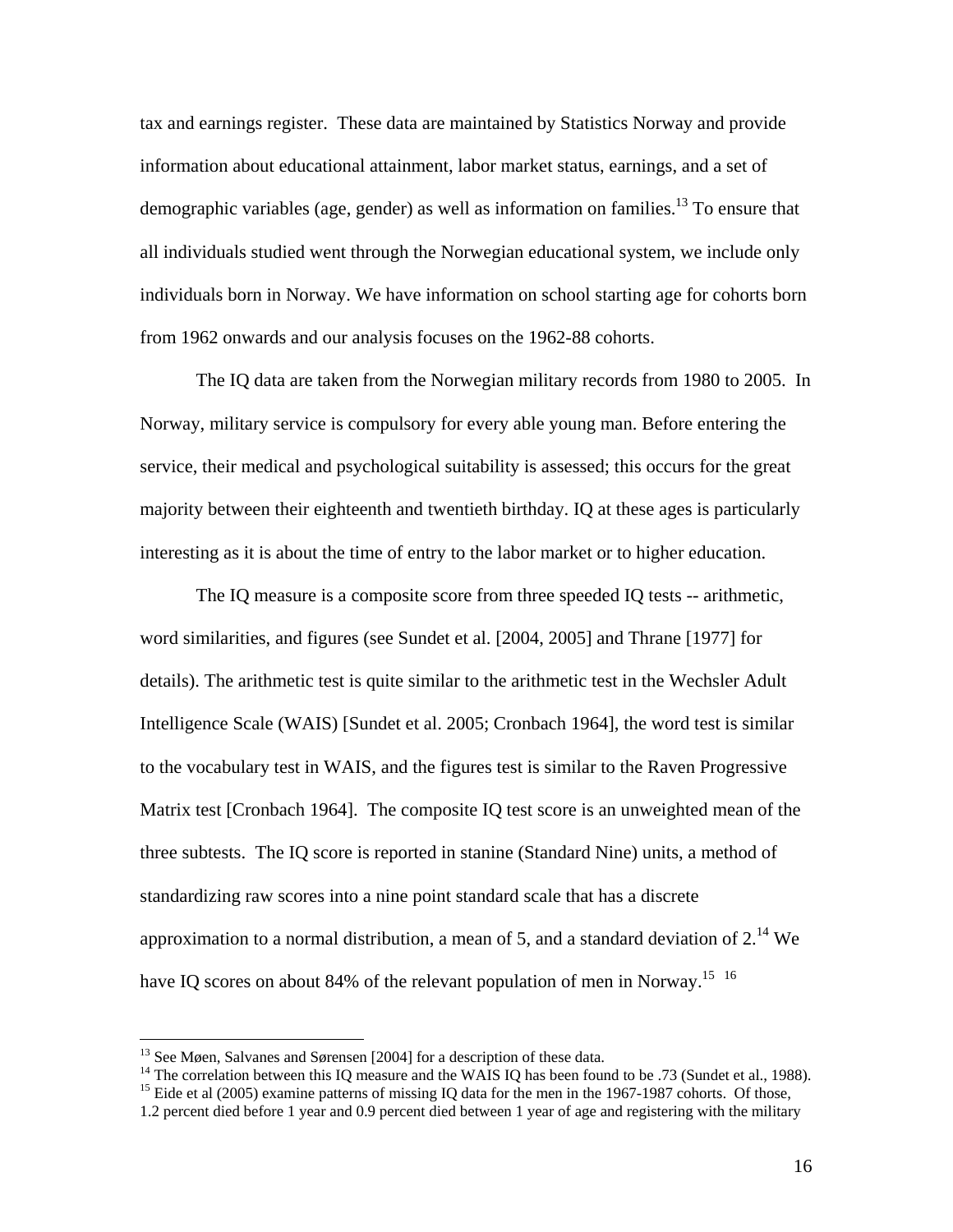tax and earnings register. These data are maintained by Statistics Norway and provide information about educational attainment, labor market status, earnings, and a set of demographic variables (age, gender) as well as information on families.<sup>13</sup> To ensure that all individuals studied went through the Norwegian educational system, we include only individuals born in Norway. We have information on school starting age for cohorts born from 1962 onwards and our analysis focuses on the 1962-88 cohorts.

The IQ data are taken from the Norwegian military records from 1980 to 2005. In Norway, military service is compulsory for every able young man. Before entering the service, their medical and psychological suitability is assessed; this occurs for the great majority between their eighteenth and twentieth birthday. IQ at these ages is particularly interesting as it is about the time of entry to the labor market or to higher education.

The IQ measure is a composite score from three speeded IQ tests -- arithmetic, word similarities, and figures (see Sundet et al. [2004, 2005] and Thrane [1977] for details). The arithmetic test is quite similar to the arithmetic test in the Wechsler Adult Intelligence Scale (WAIS) [Sundet et al. 2005; Cronbach 1964], the word test is similar to the vocabulary test in WAIS, and the figures test is similar to the Raven Progressive Matrix test [Cronbach 1964]. The composite IQ test score is an unweighted mean of the three subtests. The IQ score is reported in stanine (Standard Nine) units, a method of standardizing raw scores into a nine point standard scale that has a discrete approximation to a normal distribution, a mean of 5, and a standard deviation of  $2.^{14}$  We have IQ scores on about 84% of the relevant population of men in Norway.<sup>15 16</sup>

 $13$  See Møen, Salvanes and Sørensen [2004] for a description of these data.

<sup>&</sup>lt;sup>14</sup> The correlation between this IQ measure and the WAIS IQ has been found to be .73 (Sundet et al., 1988).

<sup>&</sup>lt;sup>15</sup> Eide et al (2005) examine patterns of missing IQ data for the men in the 1967-1987 cohorts. Of those,

<sup>1.2</sup> percent died before 1 year and 0.9 percent died between 1 year of age and registering with the military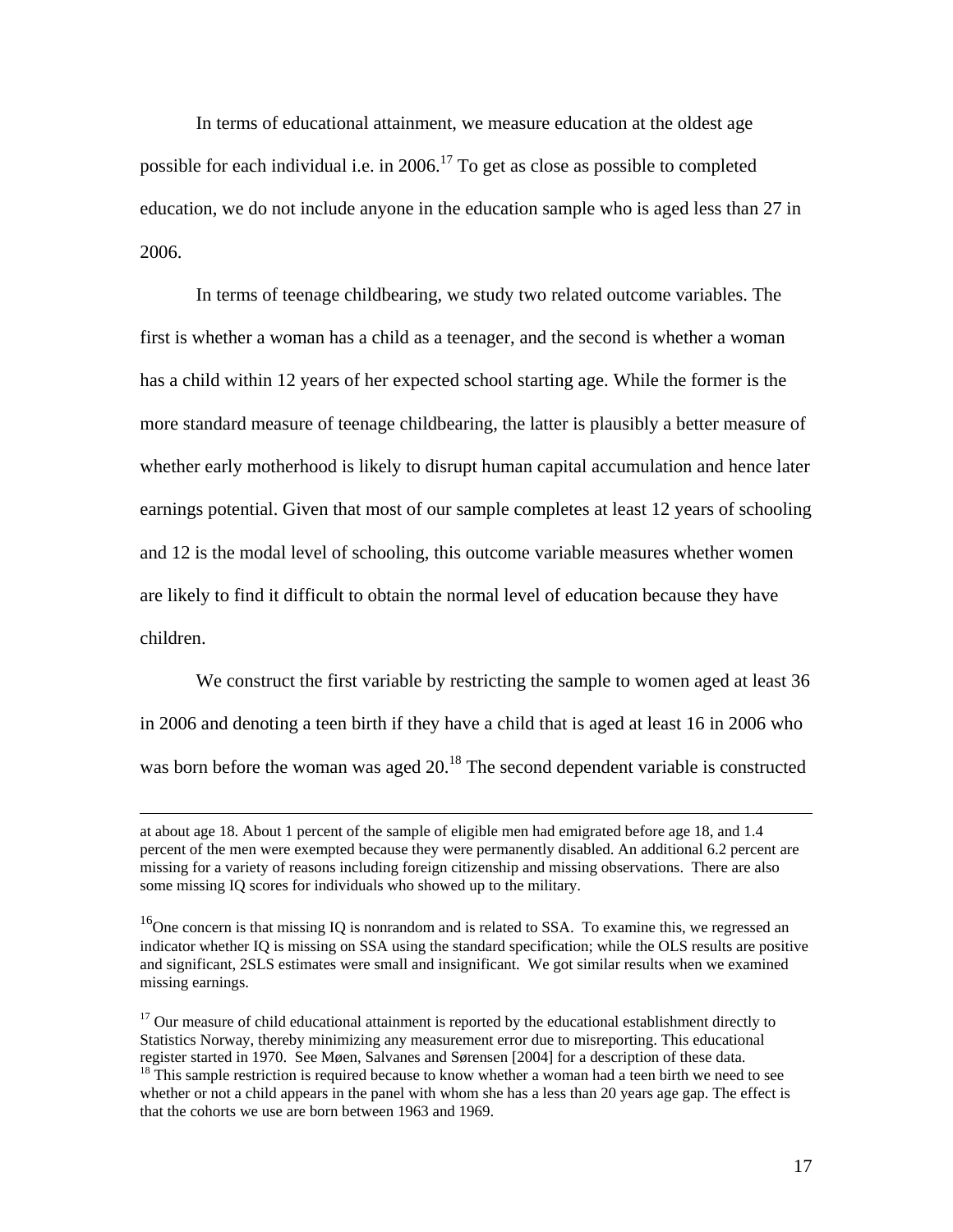In terms of educational attainment, we measure education at the oldest age possible for each individual i.e. in 2006.<sup>17</sup> To get as close as possible to completed education, we do not include anyone in the education sample who is aged less than 27 in 2006.

In terms of teenage childbearing, we study two related outcome variables. The first is whether a woman has a child as a teenager, and the second is whether a woman has a child within 12 years of her expected school starting age. While the former is the more standard measure of teenage childbearing, the latter is plausibly a better measure of whether early motherhood is likely to disrupt human capital accumulation and hence later earnings potential. Given that most of our sample completes at least 12 years of schooling and 12 is the modal level of schooling, this outcome variable measures whether women are likely to find it difficult to obtain the normal level of education because they have children.

We construct the first variable by restricting the sample to women aged at least 36 in 2006 and denoting a teen birth if they have a child that is aged at least 16 in 2006 who was born before the woman was aged 20.<sup>18</sup> The second dependent variable is constructed

at about age 18. About 1 percent of the sample of eligible men had emigrated before age 18, and 1.4 percent of the men were exempted because they were permanently disabled. An additional 6.2 percent are missing for a variety of reasons including foreign citizenship and missing observations. There are also some missing IQ scores for individuals who showed up to the military.

<sup>&</sup>lt;sup>16</sup>One concern is that missing IQ is nonrandom and is related to SSA. To examine this, we regressed an indicator whether IQ is missing on SSA using the standard specification; while the OLS results are positive and significant, 2SLS estimates were small and insignificant. We got similar results when we examined missing earnings.

 $17$  Our measure of child educational attainment is reported by the educational establishment directly to Statistics Norway, thereby minimizing any measurement error due to misreporting. This educational register started in 1970. See Møen, Salvanes and Sørensen [2004] for a description of these data.

 $18$ <sup>18</sup>This sample restriction is required because to know whether a woman had a teen birth we need to see whether or not a child appears in the panel with whom she has a less than 20 years age gap. The effect is that the cohorts we use are born between 1963 and 1969.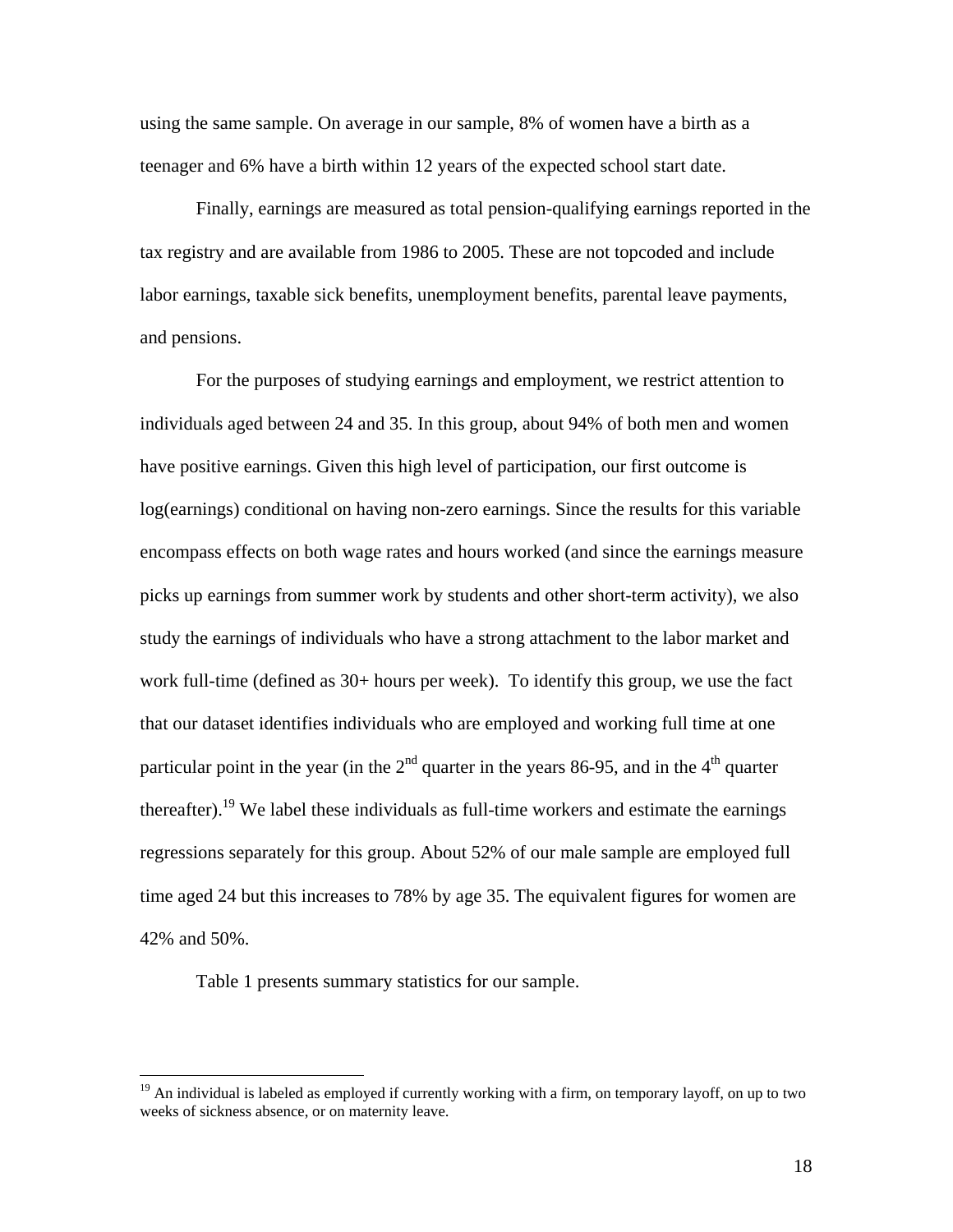using the same sample. On average in our sample, 8% of women have a birth as a teenager and 6% have a birth within 12 years of the expected school start date.

Finally, earnings are measured as total pension-qualifying earnings reported in the tax registry and are available from 1986 to 2005. These are not topcoded and include labor earnings, taxable sick benefits, unemployment benefits, parental leave payments, and pensions.

For the purposes of studying earnings and employment, we restrict attention to individuals aged between 24 and 35. In this group, about 94% of both men and women have positive earnings. Given this high level of participation, our first outcome is log(earnings) conditional on having non-zero earnings. Since the results for this variable encompass effects on both wage rates and hours worked (and since the earnings measure picks up earnings from summer work by students and other short-term activity), we also study the earnings of individuals who have a strong attachment to the labor market and work full-time (defined as 30+ hours per week). To identify this group, we use the fact that our dataset identifies individuals who are employed and working full time at one particular point in the year (in the  $2<sup>nd</sup>$  quarter in the years 86-95, and in the 4<sup>th</sup> quarter thereafter).<sup>19</sup> We label these individuals as full-time workers and estimate the earnings regressions separately for this group. About 52% of our male sample are employed full time aged 24 but this increases to 78% by age 35. The equivalent figures for women are 42% and 50%.

Table 1 presents summary statistics for our sample.

<sup>&</sup>lt;sup>19</sup> An individual is labeled as employed if currently working with a firm, on temporary layoff, on up to two weeks of sickness absence, or on maternity leave.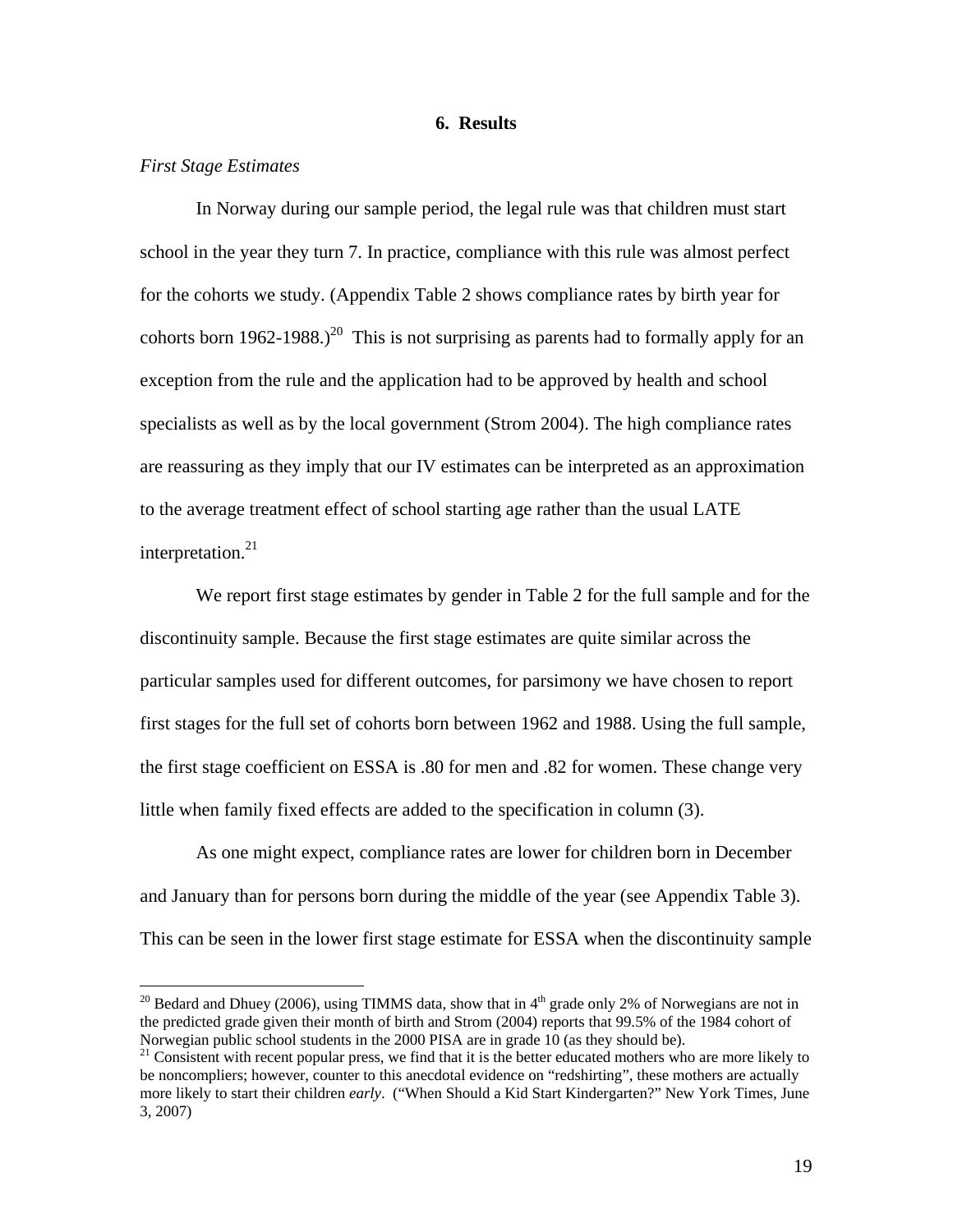### **6. Results**

### *First Stage Estimates*

 $\overline{a}$ 

 In Norway during our sample period, the legal rule was that children must start school in the year they turn 7. In practice, compliance with this rule was almost perfect for the cohorts we study. (Appendix Table 2 shows compliance rates by birth year for cohorts born 1962-1988.)<sup>20</sup> This is not surprising as parents had to formally apply for an exception from the rule and the application had to be approved by health and school specialists as well as by the local government (Strom 2004). The high compliance rates are reassuring as they imply that our IV estimates can be interpreted as an approximation to the average treatment effect of school starting age rather than the usual LATE interpretation.<sup>21</sup>

 We report first stage estimates by gender in Table 2 for the full sample and for the discontinuity sample. Because the first stage estimates are quite similar across the particular samples used for different outcomes, for parsimony we have chosen to report first stages for the full set of cohorts born between 1962 and 1988. Using the full sample, the first stage coefficient on ESSA is .80 for men and .82 for women. These change very little when family fixed effects are added to the specification in column (3).

 As one might expect, compliance rates are lower for children born in December and January than for persons born during the middle of the year (see Appendix Table 3). This can be seen in the lower first stage estimate for ESSA when the discontinuity sample

<sup>&</sup>lt;sup>20</sup> Bedard and Dhuey (2006), using TIMMS data, show that in  $4<sup>th</sup>$  grade only 2% of Norwegians are not in the predicted grade given their month of birth and Strom (2004) reports that 99.5% of the 1984 cohort of Norwegian public school students in the 2000 PISA are in grade  $10$  (as they should be).<br><sup>21</sup> Consistent with recent popular press, we find that it is the better educated mothers who are more likely to

be noncompliers; however, counter to this anecdotal evidence on "redshirting", these mothers are actually more likely to start their children *early*. ("When Should a Kid Start Kindergarten?" New York Times, June 3, 2007)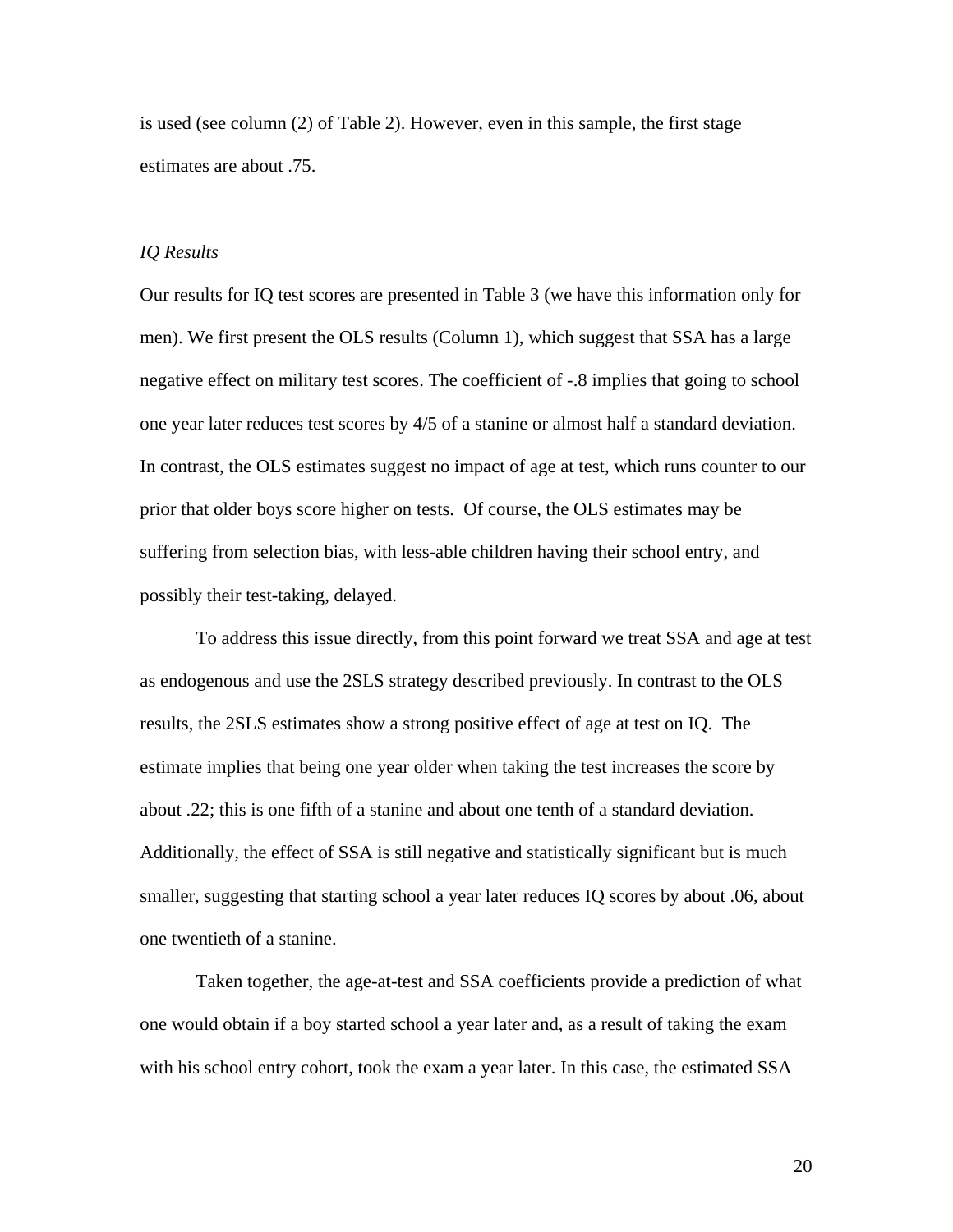is used (see column (2) of Table 2). However, even in this sample, the first stage estimates are about .75.

### *IQ Results*

Our results for IQ test scores are presented in Table 3 (we have this information only for men). We first present the OLS results (Column 1), which suggest that SSA has a large negative effect on military test scores. The coefficient of -.8 implies that going to school one year later reduces test scores by 4/5 of a stanine or almost half a standard deviation. In contrast, the OLS estimates suggest no impact of age at test, which runs counter to our prior that older boys score higher on tests. Of course, the OLS estimates may be suffering from selection bias, with less-able children having their school entry, and possibly their test-taking, delayed.

To address this issue directly, from this point forward we treat SSA and age at test as endogenous and use the 2SLS strategy described previously. In contrast to the OLS results, the 2SLS estimates show a strong positive effect of age at test on IQ. The estimate implies that being one year older when taking the test increases the score by about .22; this is one fifth of a stanine and about one tenth of a standard deviation. Additionally, the effect of SSA is still negative and statistically significant but is much smaller, suggesting that starting school a year later reduces IQ scores by about .06, about one twentieth of a stanine.

Taken together, the age-at-test and SSA coefficients provide a prediction of what one would obtain if a boy started school a year later and, as a result of taking the exam with his school entry cohort, took the exam a year later. In this case, the estimated SSA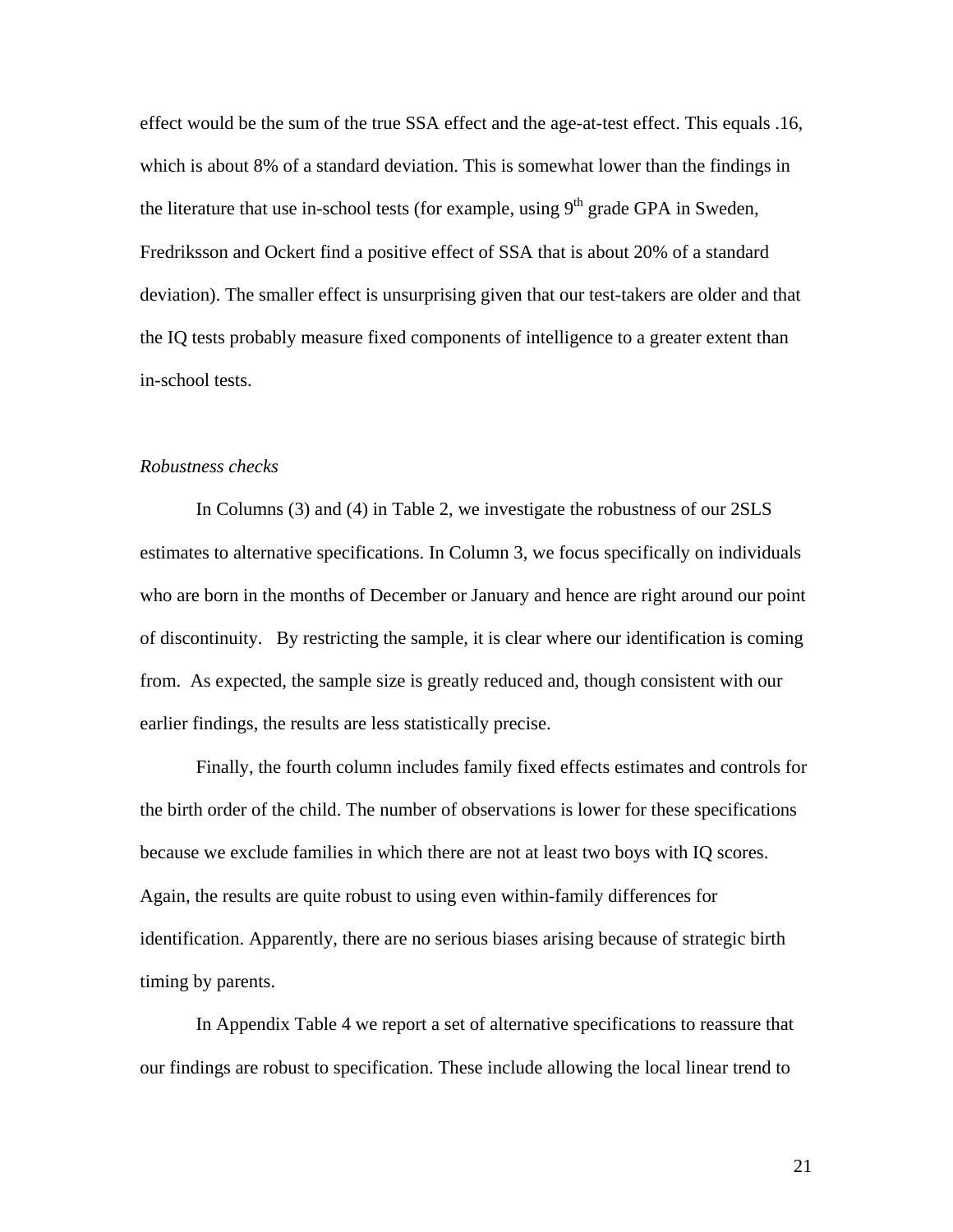effect would be the sum of the true SSA effect and the age-at-test effect. This equals .16, which is about 8% of a standard deviation. This is somewhat lower than the findings in the literature that use in-school tests (for example, using  $9<sup>th</sup>$  grade GPA in Sweden, Fredriksson and Ockert find a positive effect of SSA that is about 20% of a standard deviation). The smaller effect is unsurprising given that our test-takers are older and that the IQ tests probably measure fixed components of intelligence to a greater extent than in-school tests.

### *Robustness checks*

 In Columns (3) and (4) in Table 2, we investigate the robustness of our 2SLS estimates to alternative specifications. In Column 3, we focus specifically on individuals who are born in the months of December or January and hence are right around our point of discontinuity. By restricting the sample, it is clear where our identification is coming from. As expected, the sample size is greatly reduced and, though consistent with our earlier findings, the results are less statistically precise.

Finally, the fourth column includes family fixed effects estimates and controls for the birth order of the child. The number of observations is lower for these specifications because we exclude families in which there are not at least two boys with IQ scores. Again, the results are quite robust to using even within-family differences for identification. Apparently, there are no serious biases arising because of strategic birth timing by parents.

In Appendix Table 4 we report a set of alternative specifications to reassure that our findings are robust to specification. These include allowing the local linear trend to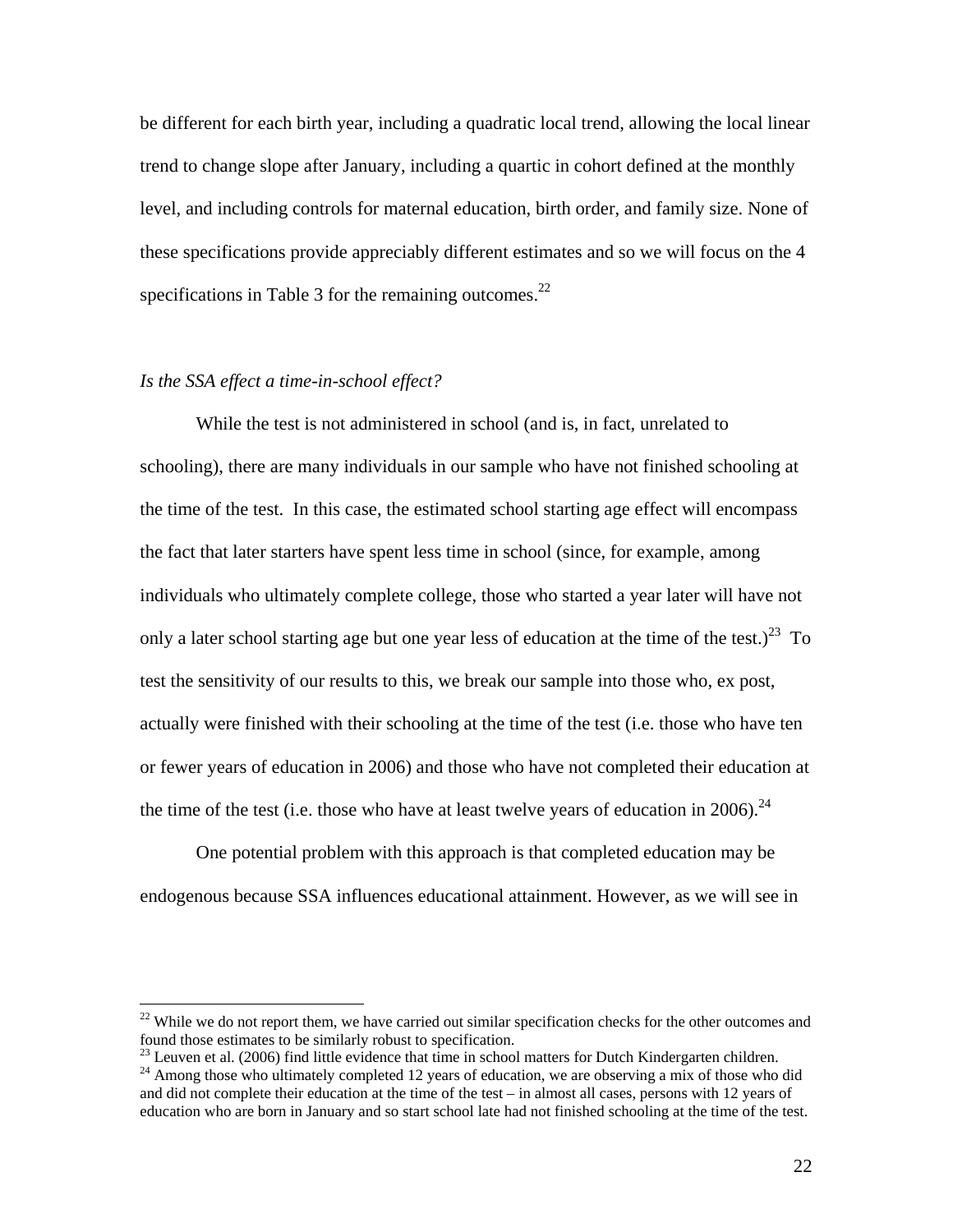be different for each birth year, including a quadratic local trend, allowing the local linear trend to change slope after January, including a quartic in cohort defined at the monthly level, and including controls for maternal education, birth order, and family size. None of these specifications provide appreciably different estimates and so we will focus on the 4 specifications in Table 3 for the remaining outcomes. $^{22}$ 

### *Is the SSA effect a time-in-school effect?*

1

 While the test is not administered in school (and is, in fact, unrelated to schooling), there are many individuals in our sample who have not finished schooling at the time of the test. In this case, the estimated school starting age effect will encompass the fact that later starters have spent less time in school (since, for example, among individuals who ultimately complete college, those who started a year later will have not only a later school starting age but one year less of education at the time of the test.)<sup>23</sup> To test the sensitivity of our results to this, we break our sample into those who, ex post, actually were finished with their schooling at the time of the test (i.e. those who have ten or fewer years of education in 2006) and those who have not completed their education at the time of the test (i.e. those who have at least twelve years of education in 2006).<sup>24</sup>

 One potential problem with this approach is that completed education may be endogenous because SSA influences educational attainment. However, as we will see in

 $^{22}$  While we do not report them, we have carried out similar specification checks for the other outcomes and found those estimates to be similarly robust to specification.

 $^{23}$  Leuven et al. (2006) find little evidence that time in school matters for Dutch Kindergarten children.

<sup>&</sup>lt;sup>24</sup> Among those who ultimately completed 12 years of education, we are observing a mix of those who did and did not complete their education at the time of the test – in almost all cases, persons with 12 years of education who are born in January and so start school late had not finished schooling at the time of the test.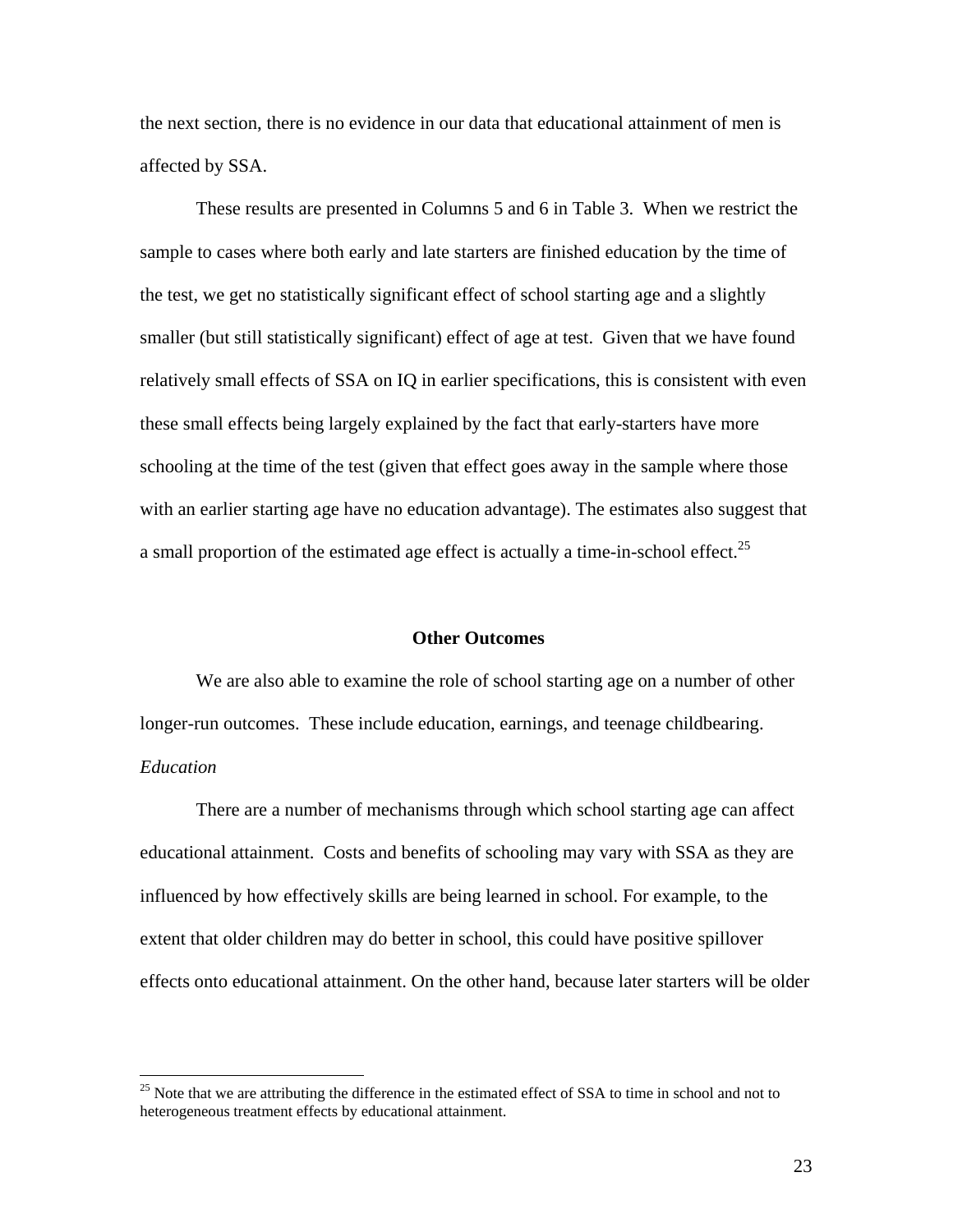the next section, there is no evidence in our data that educational attainment of men is affected by SSA.

These results are presented in Columns 5 and 6 in Table 3. When we restrict the sample to cases where both early and late starters are finished education by the time of the test, we get no statistically significant effect of school starting age and a slightly smaller (but still statistically significant) effect of age at test. Given that we have found relatively small effects of SSA on IQ in earlier specifications, this is consistent with even these small effects being largely explained by the fact that early-starters have more schooling at the time of the test (given that effect goes away in the sample where those with an earlier starting age have no education advantage). The estimates also suggest that a small proportion of the estimated age effect is actually a time-in-school effect.<sup>25</sup>

### **Other Outcomes**

We are also able to examine the role of school starting age on a number of other longer-run outcomes. These include education, earnings, and teenage childbearing. *Education* 

There are a number of mechanisms through which school starting age can affect educational attainment. Costs and benefits of schooling may vary with SSA as they are influenced by how effectively skills are being learned in school. For example, to the extent that older children may do better in school, this could have positive spillover effects onto educational attainment. On the other hand, because later starters will be older

 $25$  Note that we are attributing the difference in the estimated effect of SSA to time in school and not to heterogeneous treatment effects by educational attainment.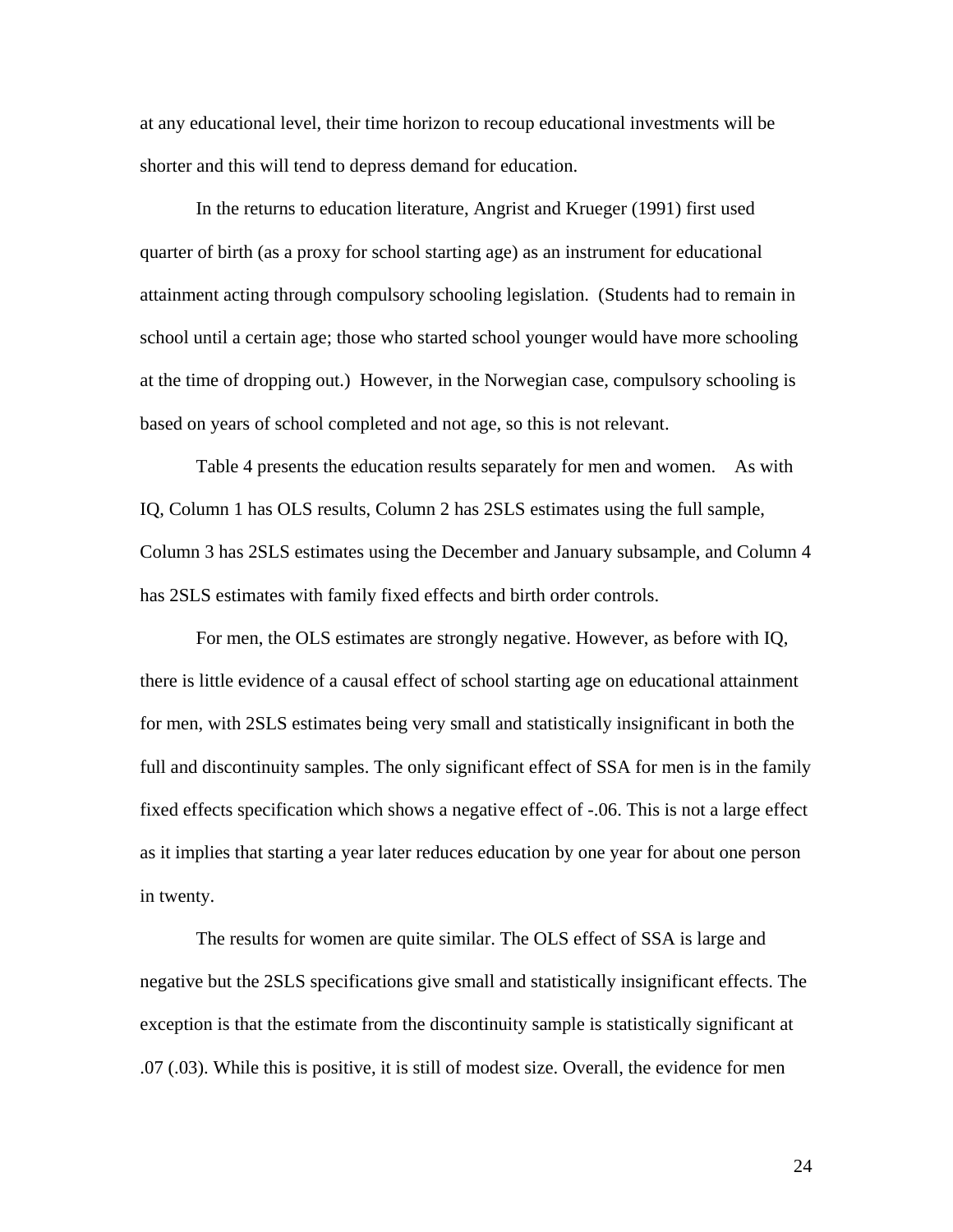at any educational level, their time horizon to recoup educational investments will be shorter and this will tend to depress demand for education.

In the returns to education literature, Angrist and Krueger (1991) first used quarter of birth (as a proxy for school starting age) as an instrument for educational attainment acting through compulsory schooling legislation. (Students had to remain in school until a certain age; those who started school younger would have more schooling at the time of dropping out.) However, in the Norwegian case, compulsory schooling is based on years of school completed and not age, so this is not relevant.

Table 4 presents the education results separately for men and women. As with IQ, Column 1 has OLS results, Column 2 has 2SLS estimates using the full sample, Column 3 has 2SLS estimates using the December and January subsample, and Column 4 has 2SLS estimates with family fixed effects and birth order controls.

 For men, the OLS estimates are strongly negative. However, as before with IQ, there is little evidence of a causal effect of school starting age on educational attainment for men, with 2SLS estimates being very small and statistically insignificant in both the full and discontinuity samples. The only significant effect of SSA for men is in the family fixed effects specification which shows a negative effect of -.06. This is not a large effect as it implies that starting a year later reduces education by one year for about one person in twenty.

 The results for women are quite similar. The OLS effect of SSA is large and negative but the 2SLS specifications give small and statistically insignificant effects. The exception is that the estimate from the discontinuity sample is statistically significant at .07 (.03). While this is positive, it is still of modest size. Overall, the evidence for men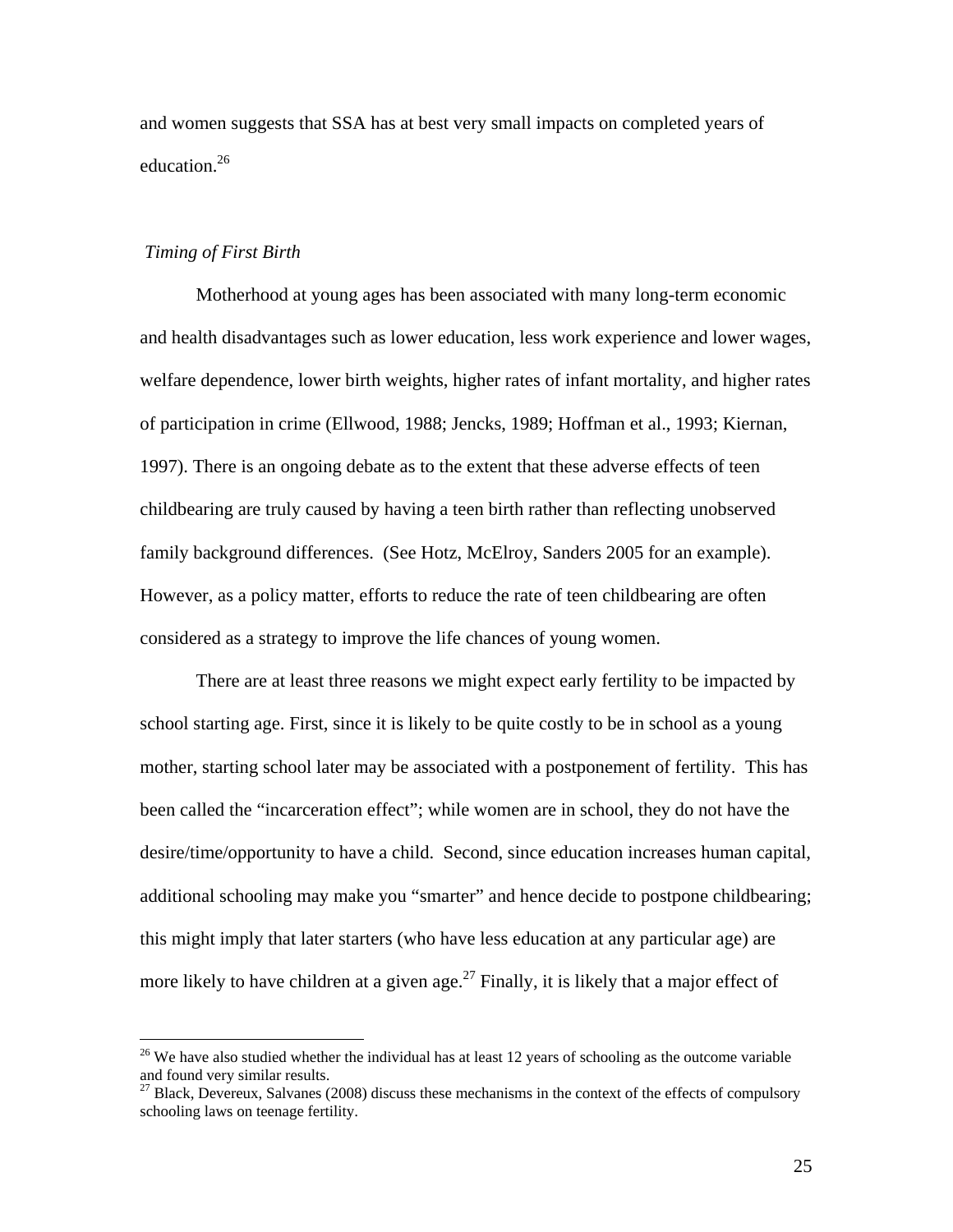and women suggests that SSA has at best very small impacts on completed years of education.26

### *Timing of First Birth*

 $\overline{a}$ 

 Motherhood at young ages has been associated with many long-term economic and health disadvantages such as lower education, less work experience and lower wages, welfare dependence, lower birth weights, higher rates of infant mortality, and higher rates of participation in crime (Ellwood, 1988; Jencks, 1989; Hoffman et al., 1993; Kiernan, 1997). There is an ongoing debate as to the extent that these adverse effects of teen childbearing are truly caused by having a teen birth rather than reflecting unobserved family background differences. (See Hotz, McElroy, Sanders 2005 for an example). However, as a policy matter, efforts to reduce the rate of teen childbearing are often considered as a strategy to improve the life chances of young women.

 There are at least three reasons we might expect early fertility to be impacted by school starting age. First, since it is likely to be quite costly to be in school as a young mother, starting school later may be associated with a postponement of fertility. This has been called the "incarceration effect"; while women are in school, they do not have the desire/time/opportunity to have a child. Second, since education increases human capital, additional schooling may make you "smarter" and hence decide to postpone childbearing; this might imply that later starters (who have less education at any particular age) are more likely to have children at a given age.<sup>27</sup> Finally, it is likely that a major effect of

 $26$  We have also studied whether the individual has at least 12 years of schooling as the outcome variable and found very similar results.

 $27$  Black, Devereux, Salvanes (2008) discuss these mechanisms in the context of the effects of compulsory schooling laws on teenage fertility.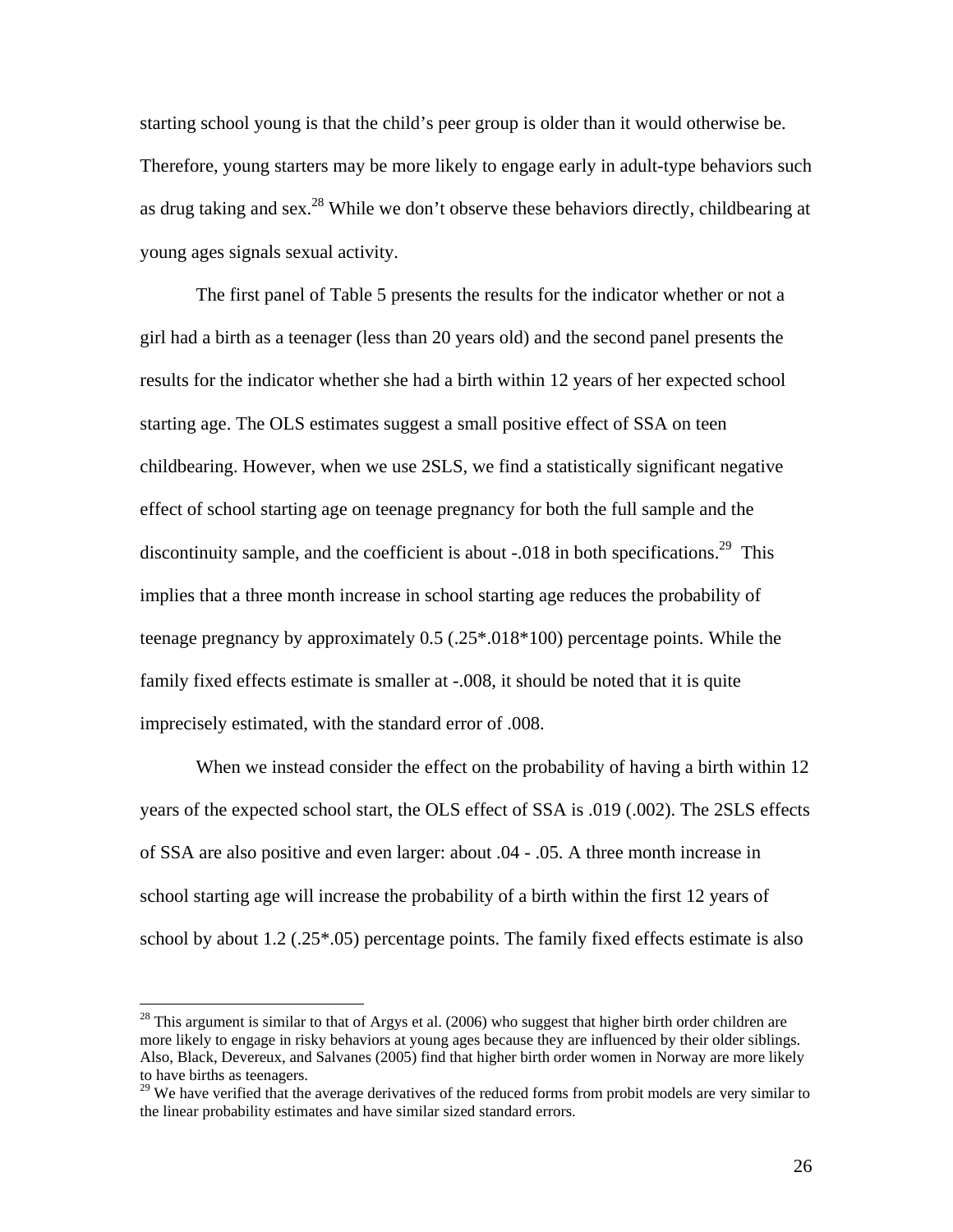starting school young is that the child's peer group is older than it would otherwise be. Therefore, young starters may be more likely to engage early in adult-type behaviors such as drug taking and sex.<sup>28</sup> While we don't observe these behaviors directly, childbearing at young ages signals sexual activity.

The first panel of Table 5 presents the results for the indicator whether or not a girl had a birth as a teenager (less than 20 years old) and the second panel presents the results for the indicator whether she had a birth within 12 years of her expected school starting age. The OLS estimates suggest a small positive effect of SSA on teen childbearing. However, when we use 2SLS, we find a statistically significant negative effect of school starting age on teenage pregnancy for both the full sample and the discontinuity sample, and the coefficient is about  $-0.018$  in both specifications.<sup>29</sup> This implies that a three month increase in school starting age reduces the probability of teenage pregnancy by approximately 0.5 (.25\*.018\*100) percentage points. While the family fixed effects estimate is smaller at -.008, it should be noted that it is quite imprecisely estimated, with the standard error of .008.

When we instead consider the effect on the probability of having a birth within 12 years of the expected school start, the OLS effect of SSA is .019 (.002). The 2SLS effects of SSA are also positive and even larger: about .04 - .05. A three month increase in school starting age will increase the probability of a birth within the first 12 years of school by about 1.2 (.25 $*$ .05) percentage points. The family fixed effects estimate is also

<sup>&</sup>lt;sup>28</sup> This argument is similar to that of Argys et al. (2006) who suggest that higher birth order children are more likely to engage in risky behaviors at young ages because they are influenced by their older siblings. Also, Black, Devereux, and Salvanes (2005) find that higher birth order women in Norway are more likely to have births as teenagers.

<sup>&</sup>lt;sup>29</sup> We have verified that the average derivatives of the reduced forms from probit models are very similar to the linear probability estimates and have similar sized standard errors.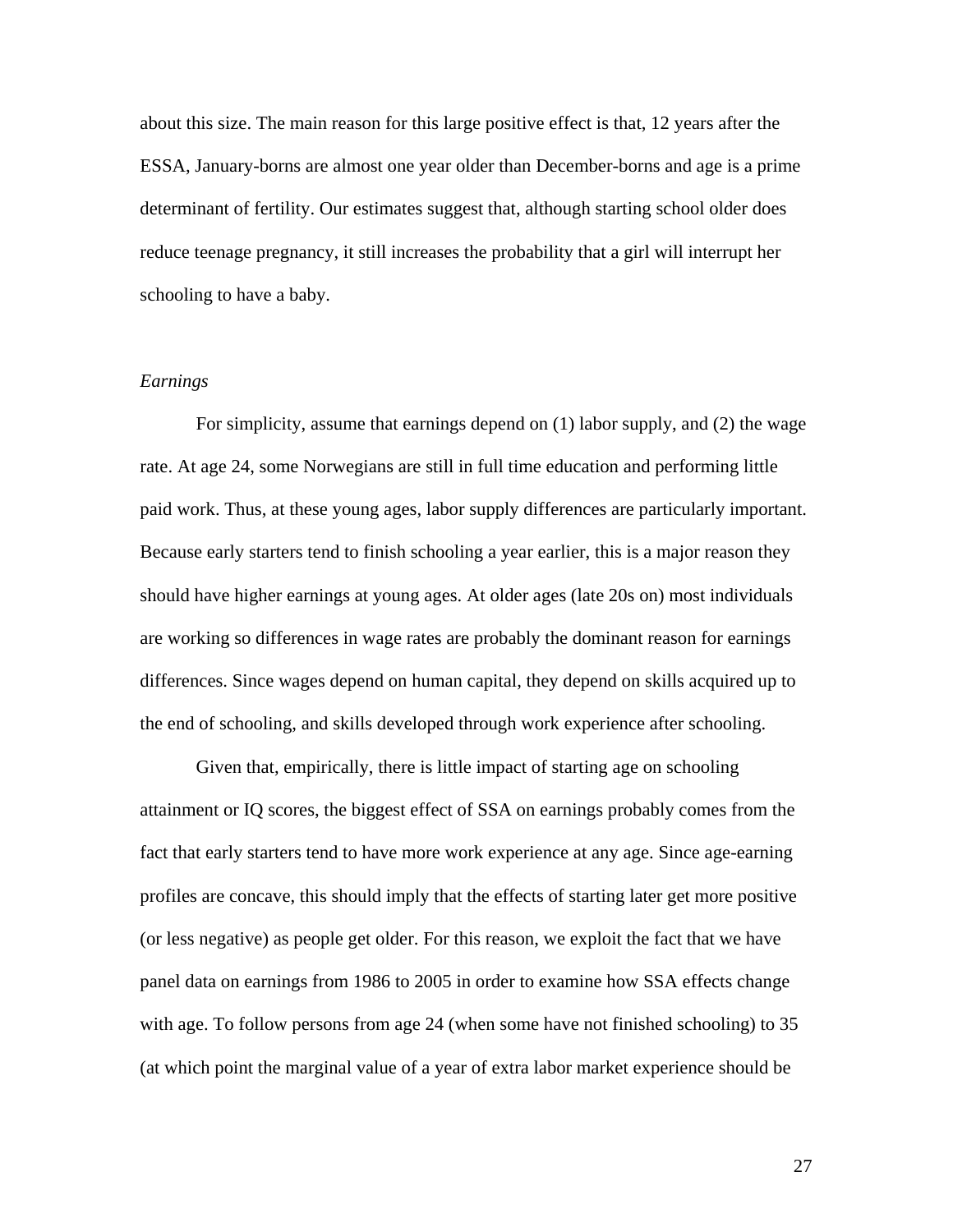about this size. The main reason for this large positive effect is that, 12 years after the ESSA, January-borns are almost one year older than December-borns and age is a prime determinant of fertility. Our estimates suggest that, although starting school older does reduce teenage pregnancy, it still increases the probability that a girl will interrupt her schooling to have a baby.

### *Earnings*

For simplicity, assume that earnings depend on (1) labor supply, and (2) the wage rate. At age 24, some Norwegians are still in full time education and performing little paid work. Thus, at these young ages, labor supply differences are particularly important. Because early starters tend to finish schooling a year earlier, this is a major reason they should have higher earnings at young ages. At older ages (late 20s on) most individuals are working so differences in wage rates are probably the dominant reason for earnings differences. Since wages depend on human capital, they depend on skills acquired up to the end of schooling, and skills developed through work experience after schooling.

Given that, empirically, there is little impact of starting age on schooling attainment or IQ scores, the biggest effect of SSA on earnings probably comes from the fact that early starters tend to have more work experience at any age. Since age-earning profiles are concave, this should imply that the effects of starting later get more positive (or less negative) as people get older. For this reason, we exploit the fact that we have panel data on earnings from 1986 to 2005 in order to examine how SSA effects change with age. To follow persons from age 24 (when some have not finished schooling) to 35 (at which point the marginal value of a year of extra labor market experience should be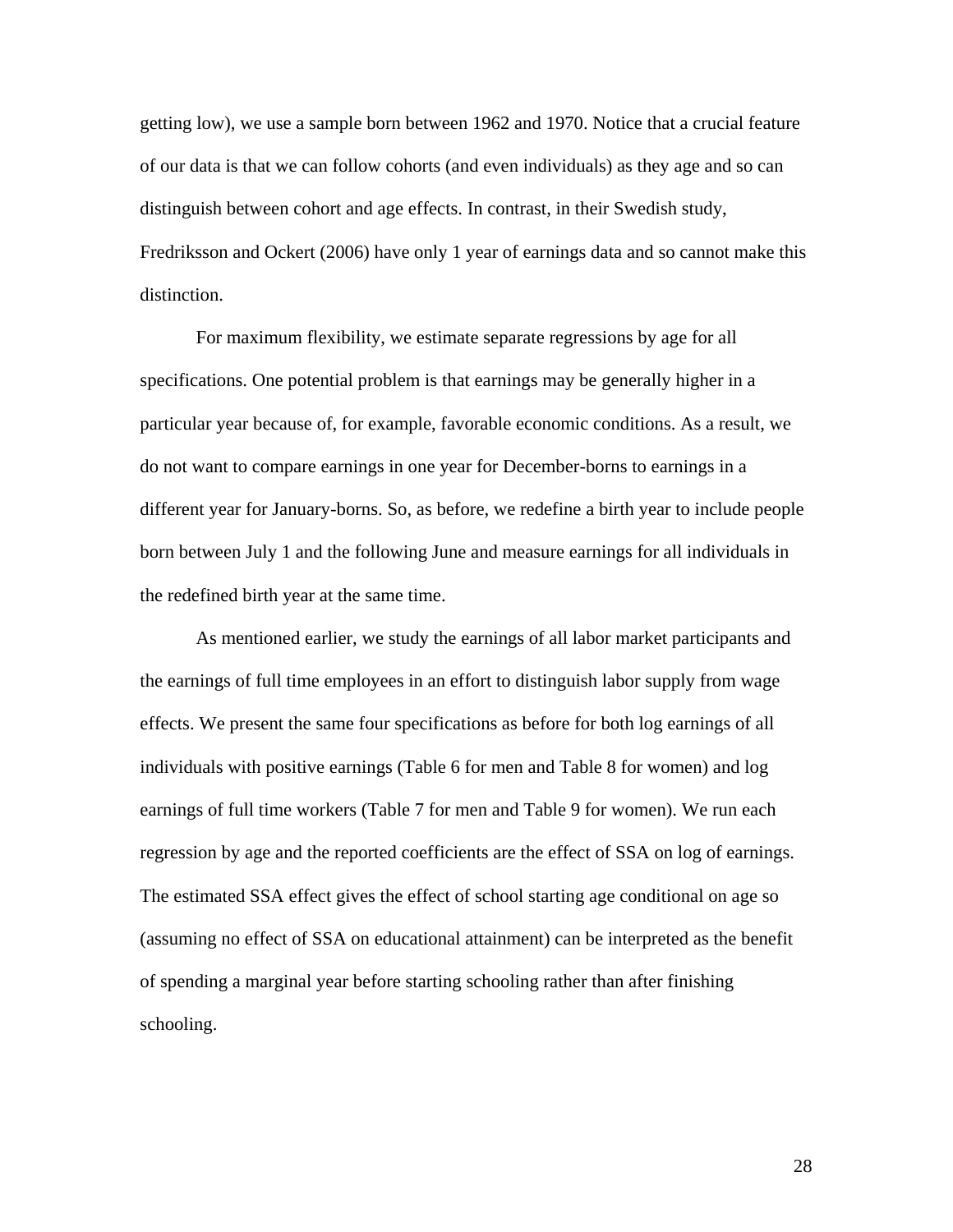getting low), we use a sample born between 1962 and 1970. Notice that a crucial feature of our data is that we can follow cohorts (and even individuals) as they age and so can distinguish between cohort and age effects. In contrast, in their Swedish study, Fredriksson and Ockert (2006) have only 1 year of earnings data and so cannot make this distinction.

For maximum flexibility, we estimate separate regressions by age for all specifications. One potential problem is that earnings may be generally higher in a particular year because of, for example, favorable economic conditions. As a result, we do not want to compare earnings in one year for December-borns to earnings in a different year for January-borns. So, as before, we redefine a birth year to include people born between July 1 and the following June and measure earnings for all individuals in the redefined birth year at the same time.

As mentioned earlier, we study the earnings of all labor market participants and the earnings of full time employees in an effort to distinguish labor supply from wage effects. We present the same four specifications as before for both log earnings of all individuals with positive earnings (Table 6 for men and Table 8 for women) and log earnings of full time workers (Table 7 for men and Table 9 for women). We run each regression by age and the reported coefficients are the effect of SSA on log of earnings. The estimated SSA effect gives the effect of school starting age conditional on age so (assuming no effect of SSA on educational attainment) can be interpreted as the benefit of spending a marginal year before starting schooling rather than after finishing schooling.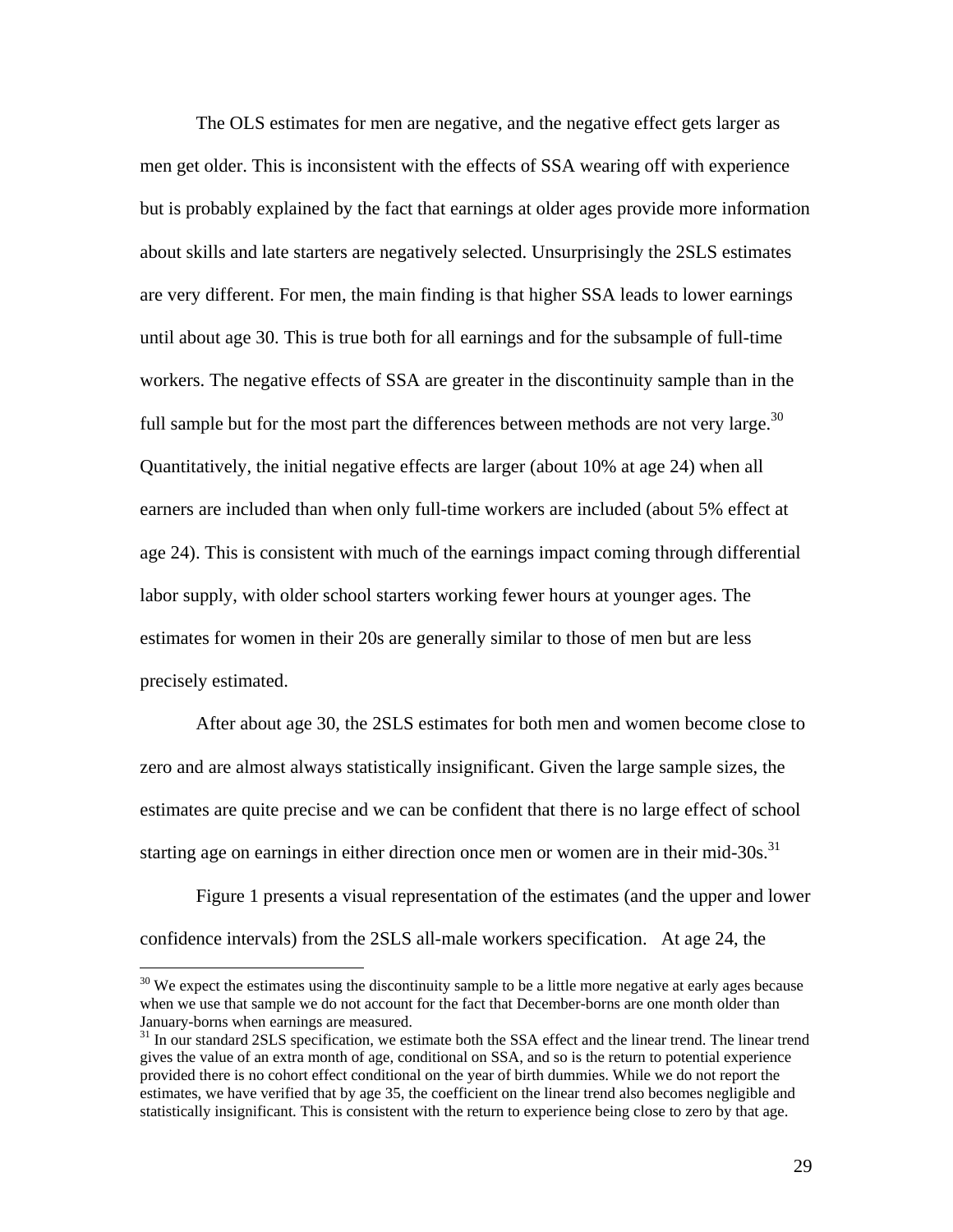The OLS estimates for men are negative, and the negative effect gets larger as men get older. This is inconsistent with the effects of SSA wearing off with experience but is probably explained by the fact that earnings at older ages provide more information about skills and late starters are negatively selected. Unsurprisingly the 2SLS estimates are very different. For men, the main finding is that higher SSA leads to lower earnings until about age 30. This is true both for all earnings and for the subsample of full-time workers. The negative effects of SSA are greater in the discontinuity sample than in the full sample but for the most part the differences between methods are not very large.<sup>30</sup> Quantitatively, the initial negative effects are larger (about 10% at age 24) when all earners are included than when only full-time workers are included (about 5% effect at age 24). This is consistent with much of the earnings impact coming through differential labor supply, with older school starters working fewer hours at younger ages. The estimates for women in their 20s are generally similar to those of men but are less precisely estimated.

 After about age 30, the 2SLS estimates for both men and women become close to zero and are almost always statistically insignificant. Given the large sample sizes, the estimates are quite precise and we can be confident that there is no large effect of school starting age on earnings in either direction once men or women are in their mid- $30s$ .<sup>31</sup>

 Figure 1 presents a visual representation of the estimates (and the upper and lower confidence intervals) from the 2SLS all-male workers specification. At age 24, the

<sup>&</sup>lt;sup>30</sup> We expect the estimates using the discontinuity sample to be a little more negative at early ages because when we use that sample we do not account for the fact that December-borns are one month older than January-borns when earnings are measured.<br><sup>31</sup> In our standard 2SLS specification, we estimate both the SSA effect and the linear trend. The linear trend

gives the value of an extra month of age, conditional on SSA, and so is the return to potential experience provided there is no cohort effect conditional on the year of birth dummies. While we do not report the estimates, we have verified that by age 35, the coefficient on the linear trend also becomes negligible and statistically insignificant. This is consistent with the return to experience being close to zero by that age.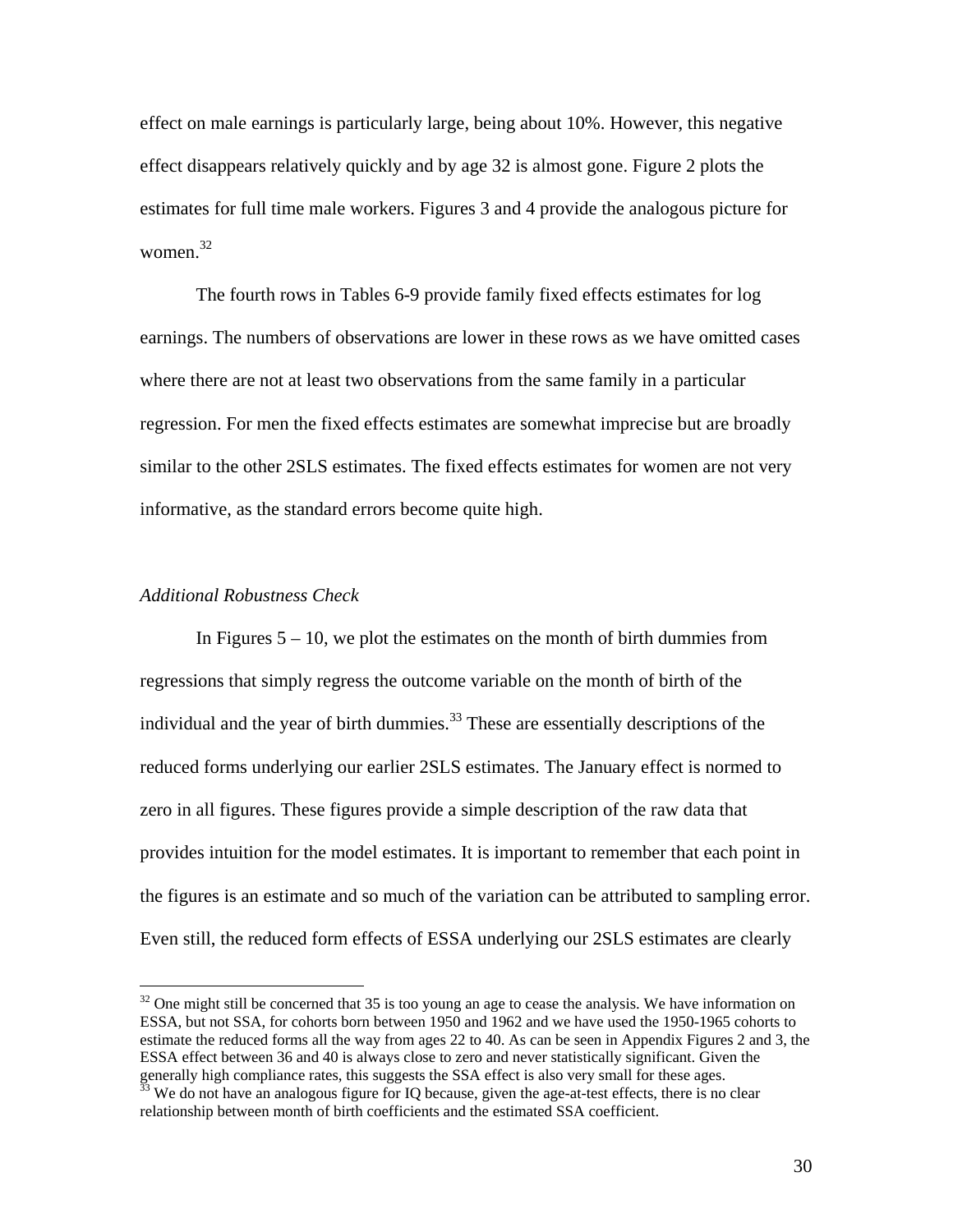effect on male earnings is particularly large, being about 10%. However, this negative effect disappears relatively quickly and by age 32 is almost gone. Figure 2 plots the estimates for full time male workers. Figures 3 and 4 provide the analogous picture for women. $32$ 

 The fourth rows in Tables 6-9 provide family fixed effects estimates for log earnings. The numbers of observations are lower in these rows as we have omitted cases where there are not at least two observations from the same family in a particular regression. For men the fixed effects estimates are somewhat imprecise but are broadly similar to the other 2SLS estimates. The fixed effects estimates for women are not very informative, as the standard errors become quite high.

### *Additional Robustness Check*

 $\overline{a}$ 

In Figures  $5 - 10$ , we plot the estimates on the month of birth dummies from regressions that simply regress the outcome variable on the month of birth of the individual and the year of birth dummies.<sup>33</sup> These are essentially descriptions of the reduced forms underlying our earlier 2SLS estimates. The January effect is normed to zero in all figures. These figures provide a simple description of the raw data that provides intuition for the model estimates. It is important to remember that each point in the figures is an estimate and so much of the variation can be attributed to sampling error. Even still, the reduced form effects of ESSA underlying our 2SLS estimates are clearly

 $32$  One might still be concerned that 35 is too young an age to cease the analysis. We have information on ESSA, but not SSA, for cohorts born between 1950 and 1962 and we have used the 1950-1965 cohorts to estimate the reduced forms all the way from ages 22 to 40. As can be seen in Appendix Figures 2 and 3, the ESSA effect between 36 and 40 is always close to zero and never statistically significant. Given the generally high compliance rates, this suggests the SSA effect is also very small for these ages.<br><sup>33</sup> We do not have an analogous figure for IQ because, given the age-at-test effects, there is no clear

relationship between month of birth coefficients and the estimated SSA coefficient.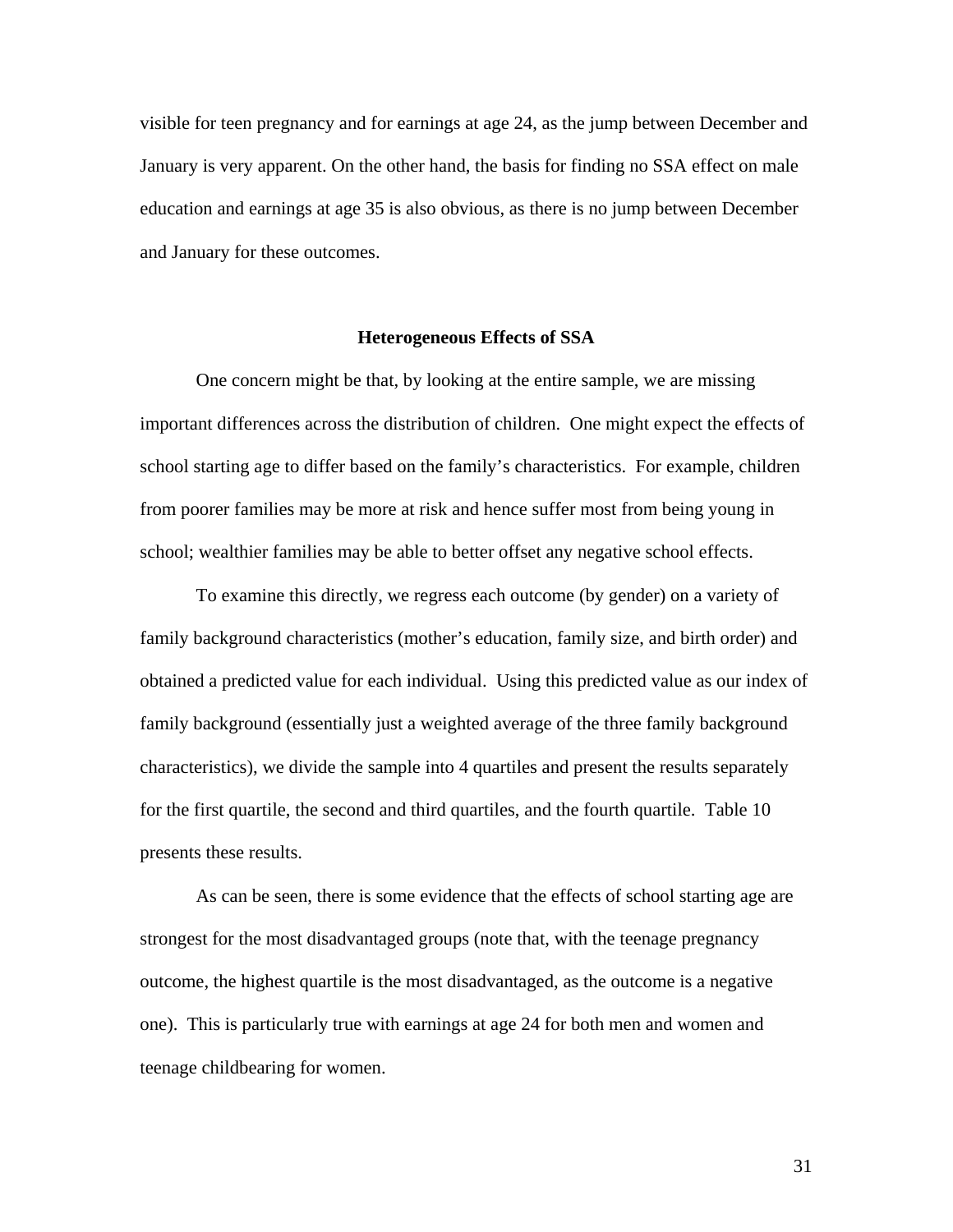visible for teen pregnancy and for earnings at age 24, as the jump between December and January is very apparent. On the other hand, the basis for finding no SSA effect on male education and earnings at age 35 is also obvious, as there is no jump between December and January for these outcomes.

### **Heterogeneous Effects of SSA**

 One concern might be that, by looking at the entire sample, we are missing important differences across the distribution of children. One might expect the effects of school starting age to differ based on the family's characteristics. For example, children from poorer families may be more at risk and hence suffer most from being young in school; wealthier families may be able to better offset any negative school effects.

To examine this directly, we regress each outcome (by gender) on a variety of family background characteristics (mother's education, family size, and birth order) and obtained a predicted value for each individual. Using this predicted value as our index of family background (essentially just a weighted average of the three family background characteristics), we divide the sample into 4 quartiles and present the results separately for the first quartile, the second and third quartiles, and the fourth quartile. Table 10 presents these results.

 As can be seen, there is some evidence that the effects of school starting age are strongest for the most disadvantaged groups (note that, with the teenage pregnancy outcome, the highest quartile is the most disadvantaged, as the outcome is a negative one). This is particularly true with earnings at age 24 for both men and women and teenage childbearing for women.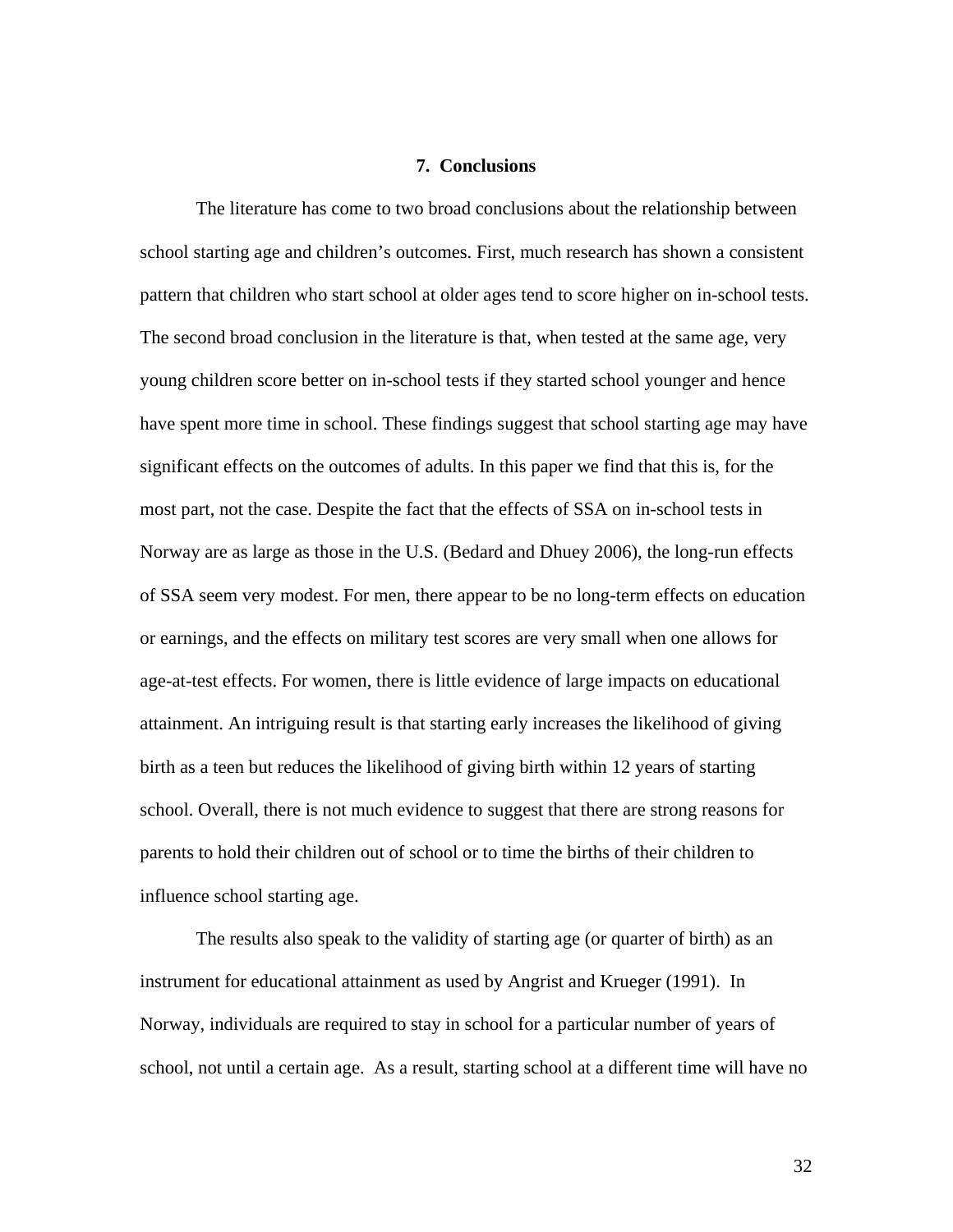### **7. Conclusions**

The literature has come to two broad conclusions about the relationship between school starting age and children's outcomes. First, much research has shown a consistent pattern that children who start school at older ages tend to score higher on in-school tests. The second broad conclusion in the literature is that, when tested at the same age, very young children score better on in-school tests if they started school younger and hence have spent more time in school. These findings suggest that school starting age may have significant effects on the outcomes of adults. In this paper we find that this is, for the most part, not the case. Despite the fact that the effects of SSA on in-school tests in Norway are as large as those in the U.S. (Bedard and Dhuey 2006), the long-run effects of SSA seem very modest. For men, there appear to be no long-term effects on education or earnings, and the effects on military test scores are very small when one allows for age-at-test effects. For women, there is little evidence of large impacts on educational attainment. An intriguing result is that starting early increases the likelihood of giving birth as a teen but reduces the likelihood of giving birth within 12 years of starting school. Overall, there is not much evidence to suggest that there are strong reasons for parents to hold their children out of school or to time the births of their children to influence school starting age.

The results also speak to the validity of starting age (or quarter of birth) as an instrument for educational attainment as used by Angrist and Krueger (1991). In Norway, individuals are required to stay in school for a particular number of years of school, not until a certain age. As a result, starting school at a different time will have no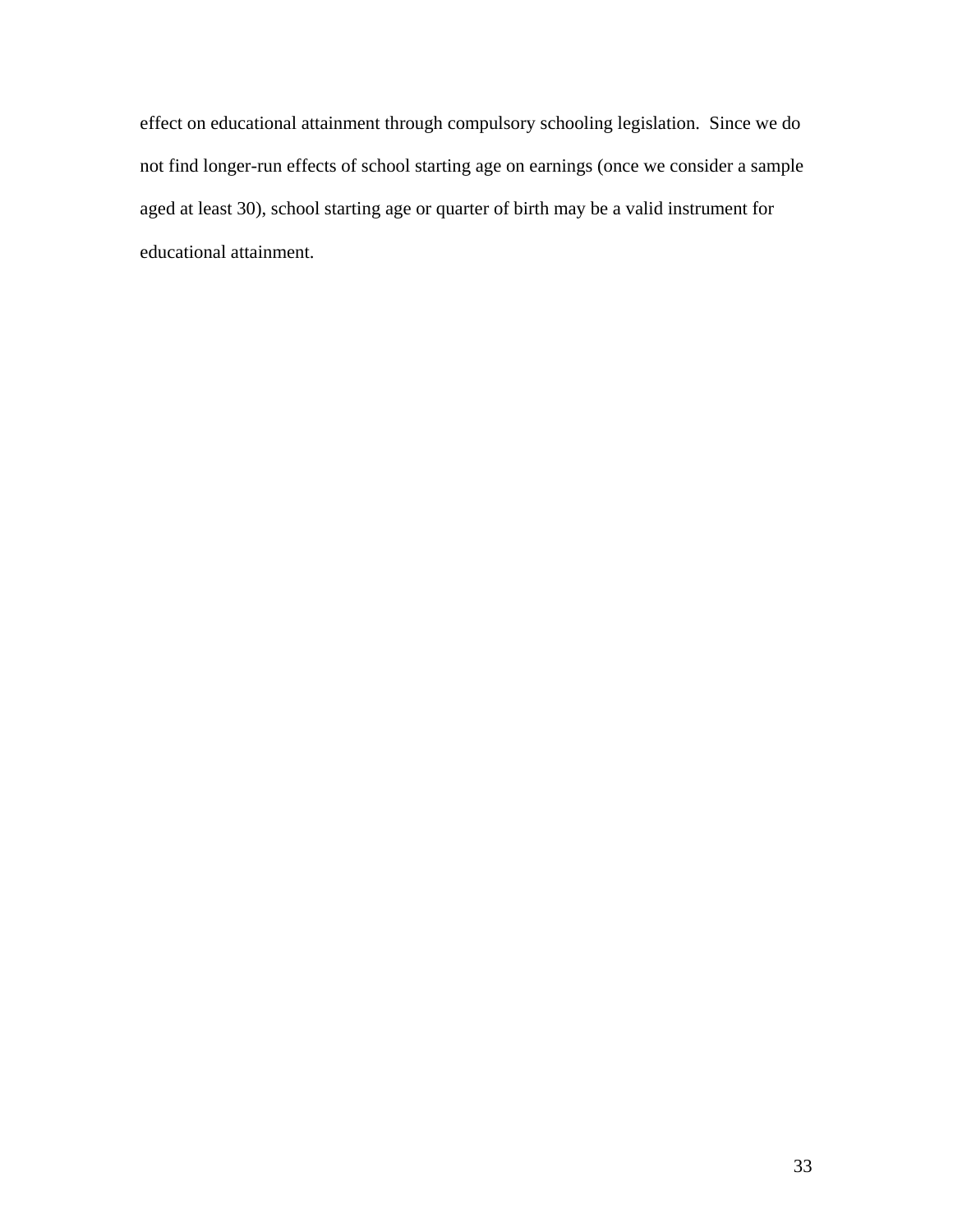effect on educational attainment through compulsory schooling legislation. Since we do not find longer-run effects of school starting age on earnings (once we consider a sample aged at least 30), school starting age or quarter of birth may be a valid instrument for educational attainment.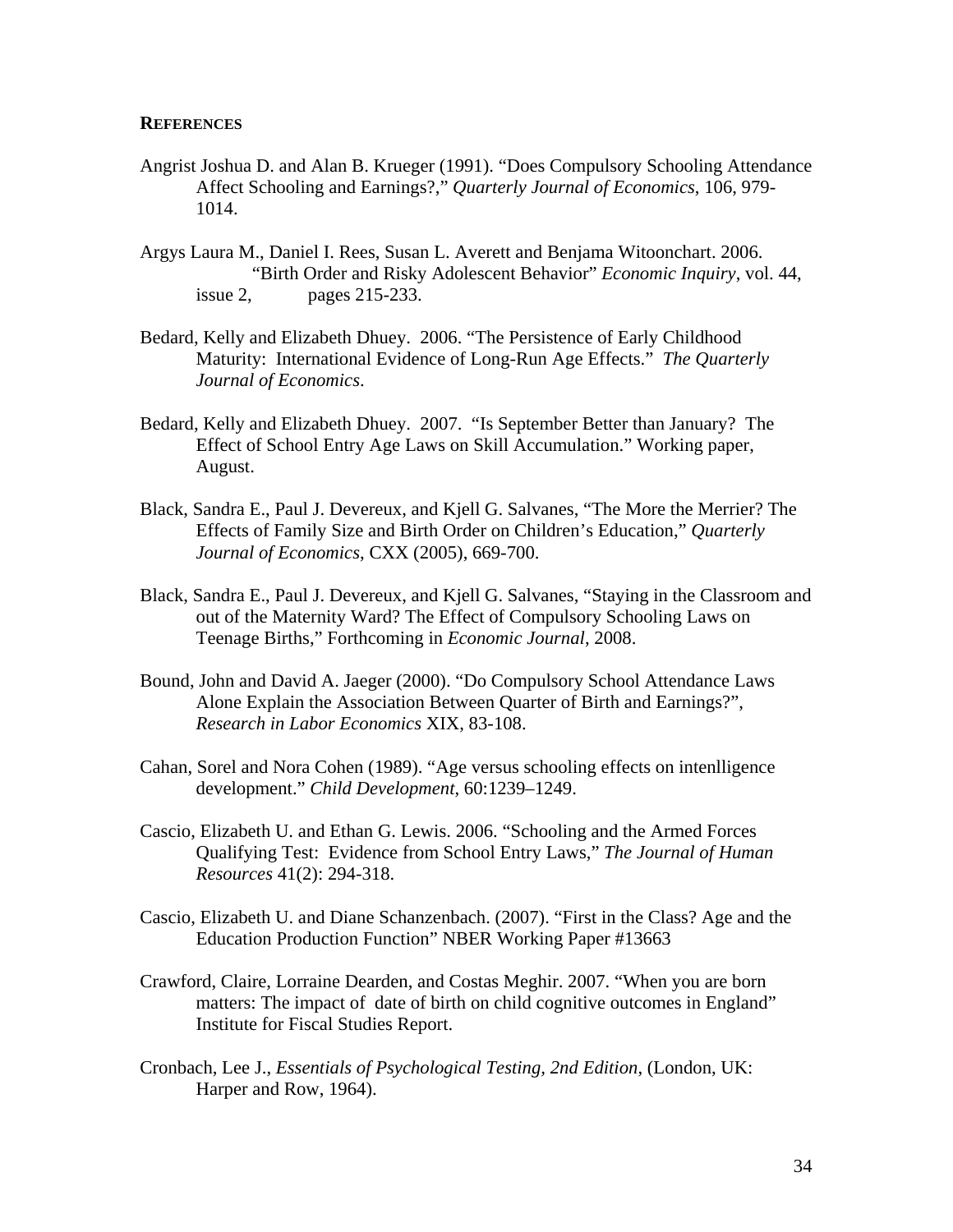### **REFERENCES**

- Angrist Joshua D. and Alan B. Krueger (1991). "Does Compulsory Schooling Attendance Affect Schooling and Earnings?," *Quarterly Journal of Economics*, 106, 979- 1014.
- Argys Laura M., Daniel I. Rees, Susan L. Averett and Benjama Witoonchart. 2006. "Birth Order and Risky Adolescent Behavior" *Economic Inquiry*, vol. 44, issue 2, pages 215-233.
- Bedard, Kelly and Elizabeth Dhuey. 2006. "The Persistence of Early Childhood Maturity: International Evidence of Long-Run Age Effects." *The Quarterly Journal of Economics*.
- Bedard, Kelly and Elizabeth Dhuey. 2007. "Is September Better than January? The Effect of School Entry Age Laws on Skill Accumulation." Working paper, August.
- Black, Sandra E., Paul J. Devereux, and Kjell G. Salvanes, "The More the Merrier? The Effects of Family Size and Birth Order on Children's Education," *Quarterly Journal of Economics*, CXX (2005), 669-700.
- Black, Sandra E., Paul J. Devereux, and Kjell G. Salvanes, "Staying in the Classroom and out of the Maternity Ward? The Effect of Compulsory Schooling Laws on Teenage Births," Forthcoming in *Economic Journal*, 2008.
- Bound, John and David A. Jaeger (2000). "Do Compulsory School Attendance Laws Alone Explain the Association Between Quarter of Birth and Earnings?", *Research in Labor Economics* XIX, 83-108.
- Cahan, Sorel and Nora Cohen (1989). "Age versus schooling effects on intenlligence development." *Child Development*, 60:1239–1249.
- Cascio, Elizabeth U. and Ethan G. Lewis. 2006. "Schooling and the Armed Forces Qualifying Test: Evidence from School Entry Laws," *The Journal of Human Resources* 41(2): 294-318.
- Cascio, Elizabeth U. and Diane Schanzenbach. (2007). "First in the Class? Age and the Education Production Function" NBER Working Paper #13663
- Crawford, Claire, Lorraine Dearden, and Costas Meghir. 2007. "When you are born matters: The impact of date of birth on child cognitive outcomes in England" Institute for Fiscal Studies Report.
- Cronbach, Lee J., *Essentials of Psychological Testing, 2nd Edition*, (London, UK: Harper and Row, 1964).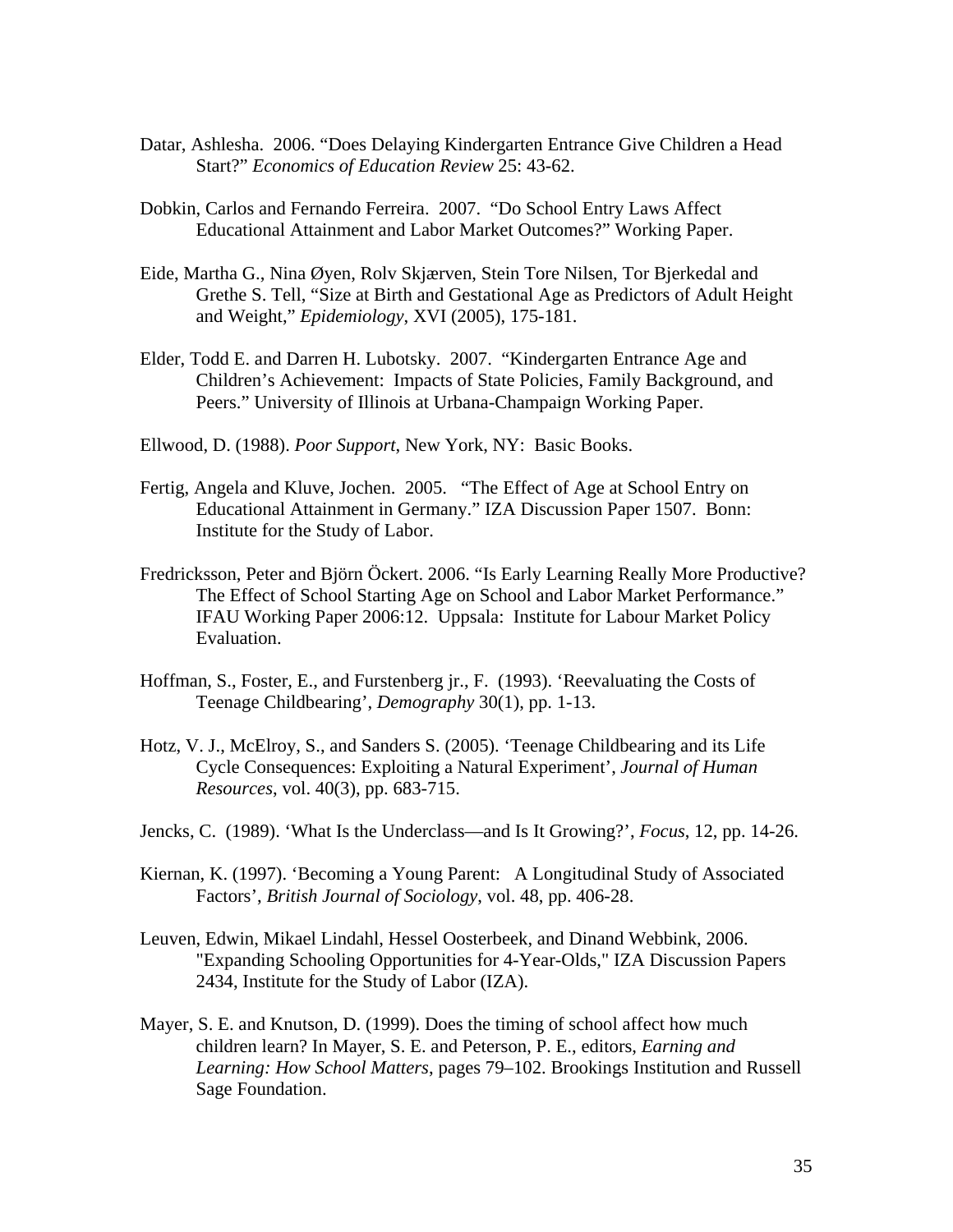- Datar, Ashlesha. 2006. "Does Delaying Kindergarten Entrance Give Children a Head Start?" *Economics of Education Review* 25: 43-62.
- Dobkin, Carlos and Fernando Ferreira. 2007. "Do School Entry Laws Affect Educational Attainment and Labor Market Outcomes?" Working Paper.
- Eide, Martha G., Nina Øyen, Rolv Skjærven, Stein Tore Nilsen, Tor Bjerkedal and Grethe S. Tell, "Size at Birth and Gestational Age as Predictors of Adult Height and Weight," *Epidemiology*, XVI (2005), 175-181.
- Elder, Todd E. and Darren H. Lubotsky. 2007. "Kindergarten Entrance Age and Children's Achievement: Impacts of State Policies, Family Background, and Peers." University of Illinois at Urbana-Champaign Working Paper.
- Ellwood, D. (1988). *Poor Support*, New York, NY: Basic Books.
- Fertig, Angela and Kluve, Jochen. 2005. "The Effect of Age at School Entry on Educational Attainment in Germany." IZA Discussion Paper 1507. Bonn: Institute for the Study of Labor.
- Fredricksson, Peter and Björn Öckert. 2006. "Is Early Learning Really More Productive? The Effect of School Starting Age on School and Labor Market Performance." IFAU Working Paper 2006:12. Uppsala: Institute for Labour Market Policy Evaluation.
- Hoffman, S., Foster, E., and Furstenberg jr., F. (1993). 'Reevaluating the Costs of Teenage Childbearing', *Demography* 30(1), pp. 1-13.
- Hotz, V. J., McElroy, S., and Sanders S. (2005). 'Teenage Childbearing and its Life Cycle Consequences: Exploiting a Natural Experiment', *Journal of Human Resources*, vol. 40(3), pp. 683-715.
- Jencks, C. (1989). 'What Is the Underclass—and Is It Growing?', *Focus*, 12, pp. 14-26.
- Kiernan, K. (1997). 'Becoming a Young Parent: A Longitudinal Study of Associated Factors', *British Journal of Sociology*, vol. 48, pp. 406-28.
- Leuven, Edwin, Mikael Lindahl, Hessel Oosterbeek, and Dinand Webbink, 2006. "Expanding Schooling Opportunities for 4-Year-Olds," IZA Discussion Papers 2434, Institute for the Study of Labor (IZA).
- Mayer, S. E. and Knutson, D. (1999). Does the timing of school affect how much children learn? In Mayer, S. E. and Peterson, P. E., editors, *Earning and Learning: How School Matters*, pages 79–102. Brookings Institution and Russell Sage Foundation.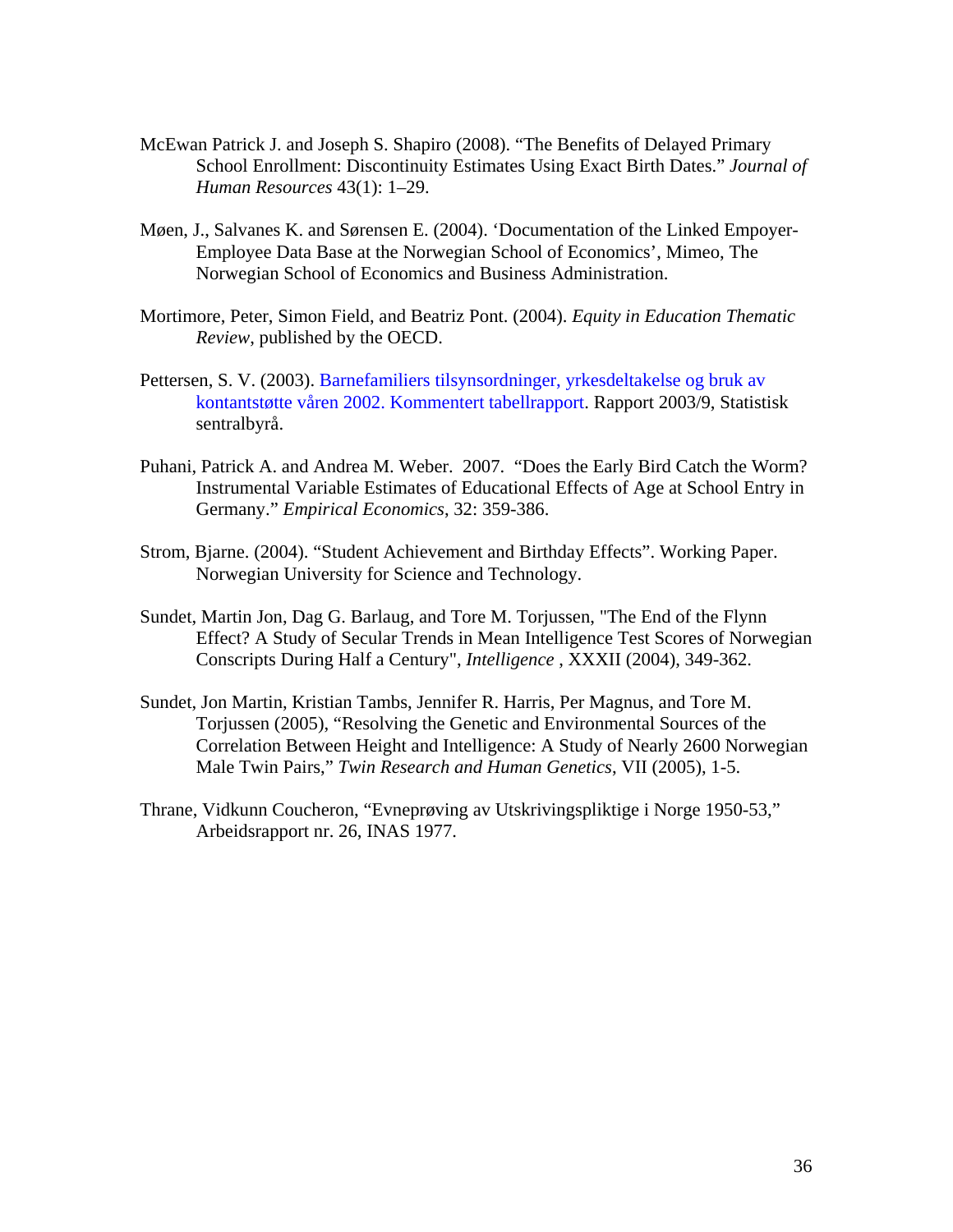- McEwan Patrick J. and Joseph S. Shapiro (2008). "The Benefits of Delayed Primary School Enrollment: Discontinuity Estimates Using Exact Birth Dates." *Journal of Human Resources* 43(1): 1–29.
- Møen, J., Salvanes K. and Sørensen E. (2004). 'Documentation of the Linked Empoyer-Employee Data Base at the Norwegian School of Economics', Mimeo, The Norwegian School of Economics and Business Administration.
- Mortimore, Peter, Simon Field, and Beatriz Pont. (2004). *Equity in Education Thematic Review*, published by the OECD.
- Pettersen, S. V. (2003). Barnefamiliers tilsynsordninger, yrkesdeltakelse og bruk av kontantstøtte våren 2002. Kommentert tabellrapport. Rapport 2003/9, Statistisk sentralbyrå.
- Puhani, Patrick A. and Andrea M. Weber. 2007. "Does the Early Bird Catch the Worm? Instrumental Variable Estimates of Educational Effects of Age at School Entry in Germany." *Empirical Economics*, 32: 359-386.
- Strom, Bjarne. (2004). "Student Achievement and Birthday Effects". Working Paper. Norwegian University for Science and Technology.
- Sundet, Martin Jon, Dag G. Barlaug, and Tore M. Torjussen, "The End of the Flynn Effect? A Study of Secular Trends in Mean Intelligence Test Scores of Norwegian Conscripts During Half a Century", *Intelligence* , XXXII (2004), 349-362.
- Sundet, Jon Martin, Kristian Tambs, Jennifer R. Harris, Per Magnus, and Tore M. Torjussen (2005), "Resolving the Genetic and Environmental Sources of the Correlation Between Height and Intelligence: A Study of Nearly 2600 Norwegian Male Twin Pairs," *Twin Research and Human Genetics*, VII (2005), 1-5.
- Thrane, Vidkunn Coucheron, "Evneprøving av Utskrivingspliktige i Norge 1950-53," Arbeidsrapport nr. 26, INAS 1977.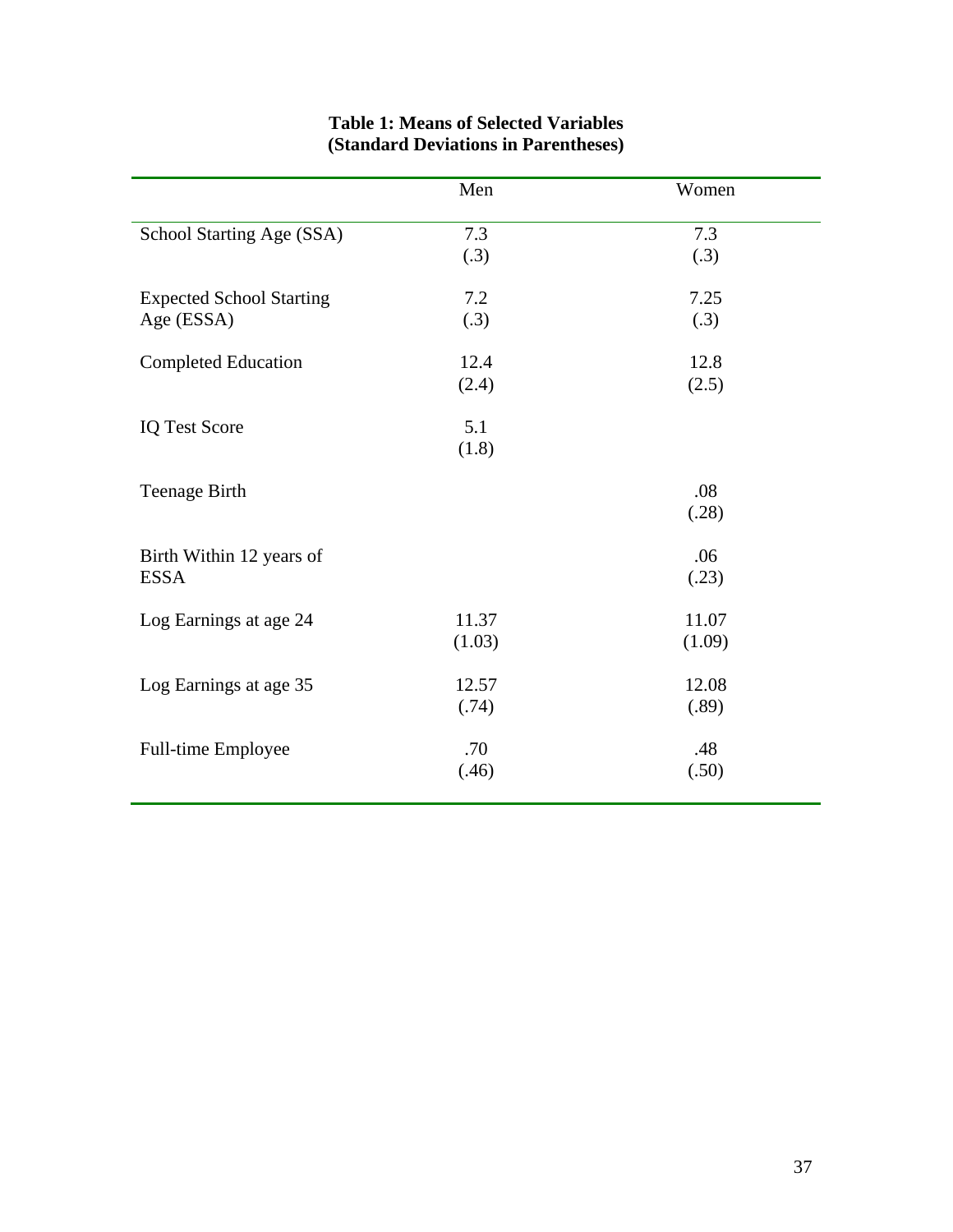|                                 | Men    | Women  |
|---------------------------------|--------|--------|
| School Starting Age (SSA)       | 7.3    | 7.3    |
|                                 | (.3)   | (.3)   |
| <b>Expected School Starting</b> | 7.2    | 7.25   |
| Age (ESSA)                      | (.3)   | (.3)   |
| <b>Completed Education</b>      | 12.4   | 12.8   |
|                                 | (2.4)  | (2.5)  |
| <b>IQ Test Score</b>            | 5.1    |        |
|                                 | (1.8)  |        |
| <b>Teenage Birth</b>            |        | .08    |
|                                 |        | (.28)  |
| Birth Within 12 years of        |        | .06    |
| <b>ESSA</b>                     |        | (.23)  |
| Log Earnings at age 24          | 11.37  | 11.07  |
|                                 | (1.03) | (1.09) |
| Log Earnings at age 35          | 12.57  | 12.08  |
|                                 | (.74)  | (.89)  |
| Full-time Employee              | .70    | .48    |
|                                 | (.46)  | (.50)  |
|                                 |        |        |

### **Table 1: Means of Selected Variables (Standard Deviations in Parentheses)**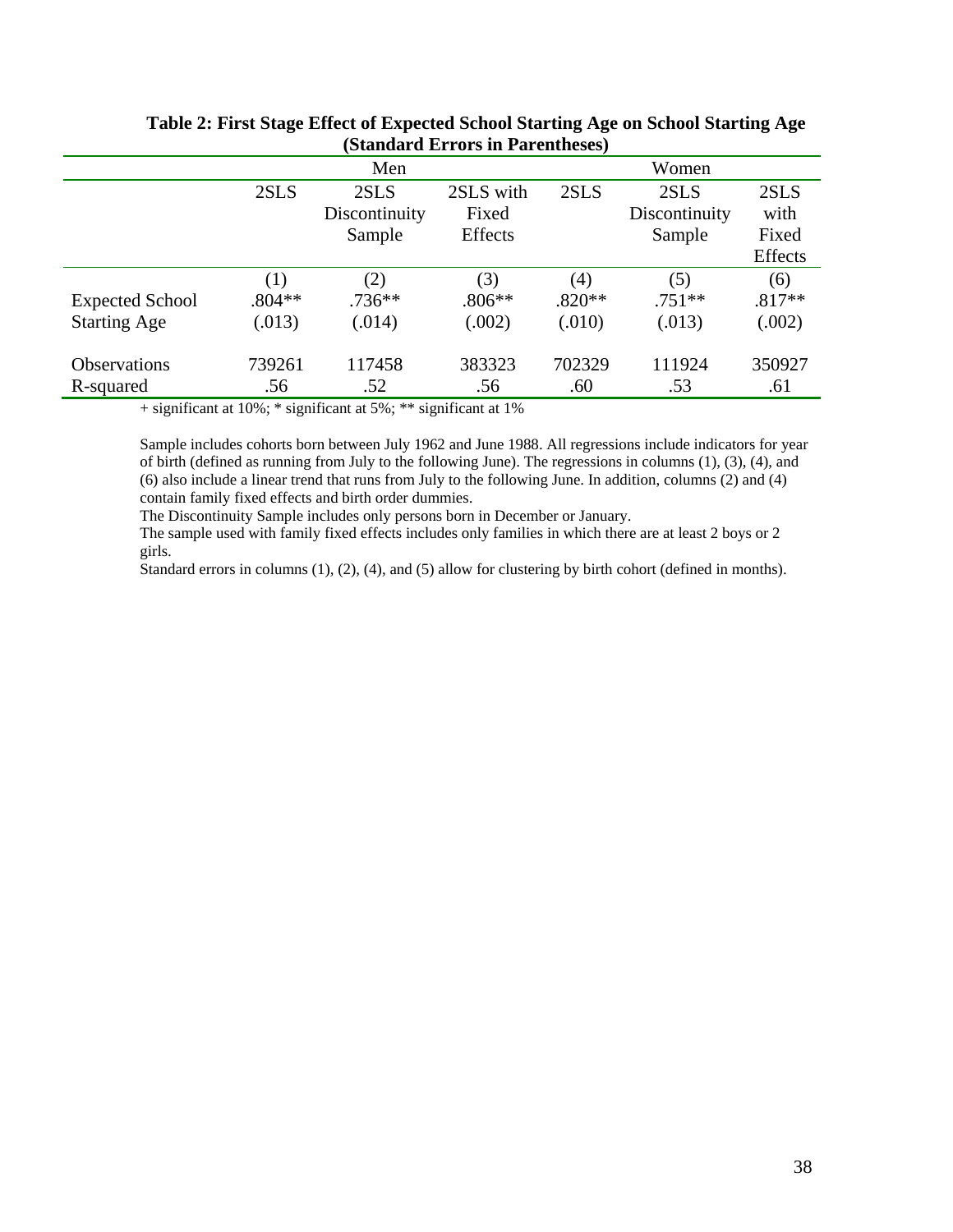| $\overline{D}$ and $\overline{D}$ are $\overline{D}$ and $\overline{D}$ are $\overline{D}$ |          |               |           |          |               |                |  |  |  |  |  |
|--------------------------------------------------------------------------------------------|----------|---------------|-----------|----------|---------------|----------------|--|--|--|--|--|
|                                                                                            |          | Men           |           | Women    |               |                |  |  |  |  |  |
|                                                                                            | 2SLS     | 2SLS          | 2SLS with | 2SLS     | 2SLS          | 2SLS           |  |  |  |  |  |
|                                                                                            |          | Discontinuity | Fixed     |          | Discontinuity | with           |  |  |  |  |  |
|                                                                                            |          | Sample        | Effects   |          | Sample        | Fixed          |  |  |  |  |  |
|                                                                                            |          |               |           |          |               | <b>Effects</b> |  |  |  |  |  |
|                                                                                            | (1)      | (2)           | (3)       | (4)      | (5)           | (6)            |  |  |  |  |  |
| <b>Expected School</b>                                                                     | $.804**$ | $.736**$      | $.806**$  | $.820**$ | $.751**$      | $.817**$       |  |  |  |  |  |
| <b>Starting Age</b>                                                                        | (.013)   | (.014)        | (.002)    | (.010)   | (.013)        | (.002)         |  |  |  |  |  |
| <b>Observations</b>                                                                        | 739261   | 117458        | 383323    | 702329   | 111924        | 350927         |  |  |  |  |  |
| R-squared                                                                                  | .56      | .52           | .56       | .60      | .53           | .61            |  |  |  |  |  |
|                                                                                            |          |               |           |          |               |                |  |  |  |  |  |

### **Table 2: First Stage Effect of Expected School Starting Age on School Starting Age (Standard Errors in Parentheses)**

+ significant at 10%; \* significant at 5%; \*\* significant at 1%

Sample includes cohorts born between July 1962 and June 1988. All regressions include indicators for year of birth (defined as running from July to the following June). The regressions in columns (1), (3), (4), and (6) also include a linear trend that runs from July to the following June. In addition, columns (2) and (4) contain family fixed effects and birth order dummies.

The Discontinuity Sample includes only persons born in December or January.

The sample used with family fixed effects includes only families in which there are at least 2 boys or 2 girls.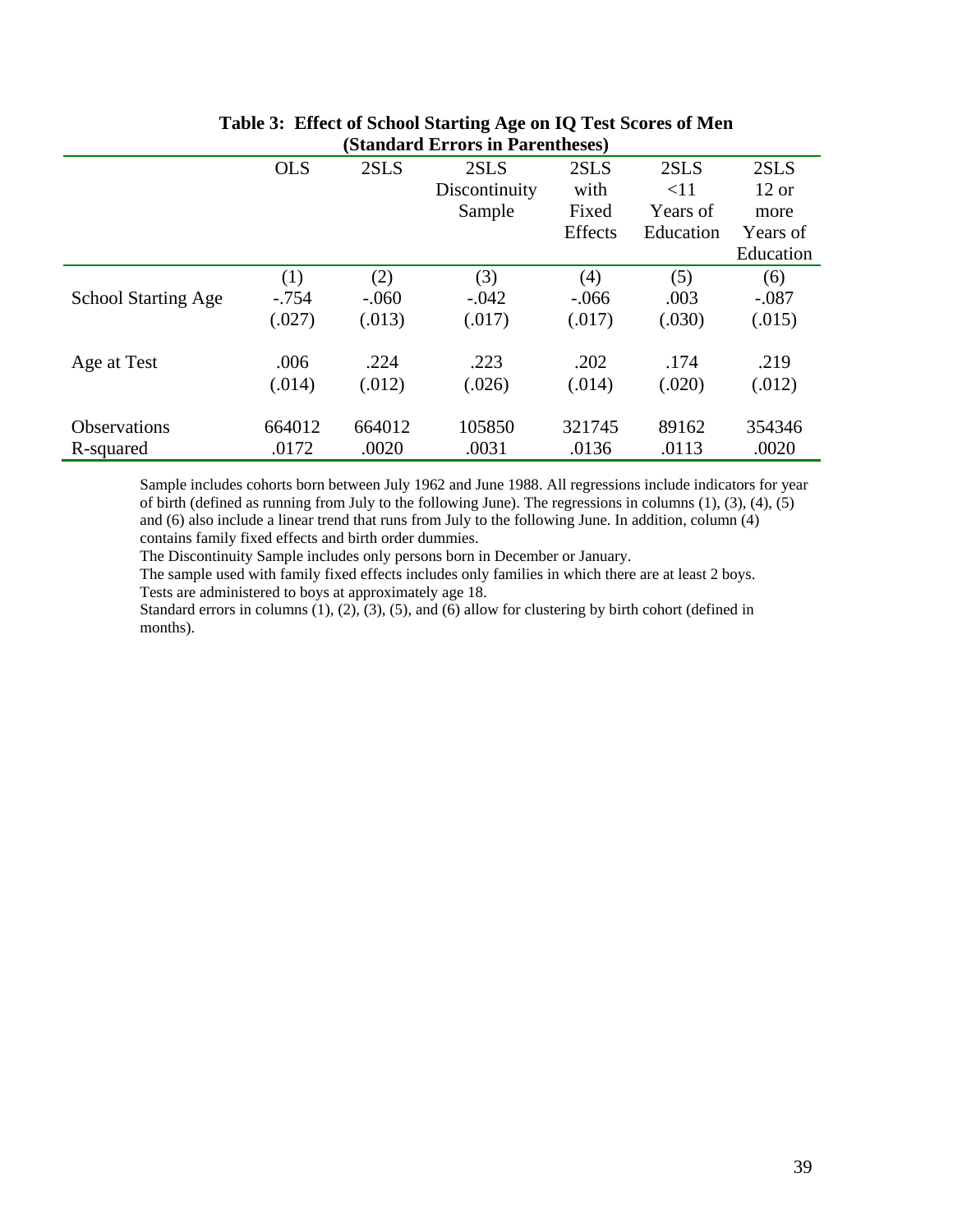|                            |            |         | (D <b>eangul &amp; Litt of 5 in 1 ul chene</b> ses) |         |           |           |
|----------------------------|------------|---------|-----------------------------------------------------|---------|-----------|-----------|
|                            | <b>OLS</b> | 2SLS    | 2SLS                                                | 2SLS    | 2SLS      | 2SLS      |
|                            |            |         | Discontinuity                                       | with    | <11       | $12$ or   |
|                            |            |         | Sample                                              | Fixed   | Years of  | more      |
|                            |            |         |                                                     | Effects | Education | Years of  |
|                            |            |         |                                                     |         |           | Education |
|                            | (1)        | (2)     | (3)                                                 | (4)     | (5)       | (6)       |
| <b>School Starting Age</b> | $-.754$    | $-.060$ | $-.042$                                             | $-.066$ | .003      | $-.087$   |
|                            | (.027)     | (.013)  | (.017)                                              | (.017)  | (.030)    | (.015)    |
| Age at Test                | .006       | .224    | .223                                                | .202    | .174      | .219      |
|                            | (.014)     | (.012)  | (.026)                                              | (.014)  | (.020)    | (.012)    |
| <b>Observations</b>        | 664012     | 664012  | 105850                                              | 321745  | 89162     | 354346    |
| R-squared                  | .0172      | .0020   | .0031                                               | .0136   | .0113     | .0020     |

### **Table 3: Effect of School Starting Age on IQ Test Scores of Men (Standard Errors in Parentheses)**

Sample includes cohorts born between July 1962 and June 1988. All regressions include indicators for year of birth (defined as running from July to the following June). The regressions in columns (1), (3), (4), (5) and (6) also include a linear trend that runs from July to the following June. In addition, column (4) contains family fixed effects and birth order dummies.

The Discontinuity Sample includes only persons born in December or January.

The sample used with family fixed effects includes only families in which there are at least 2 boys. Tests are administered to boys at approximately age 18.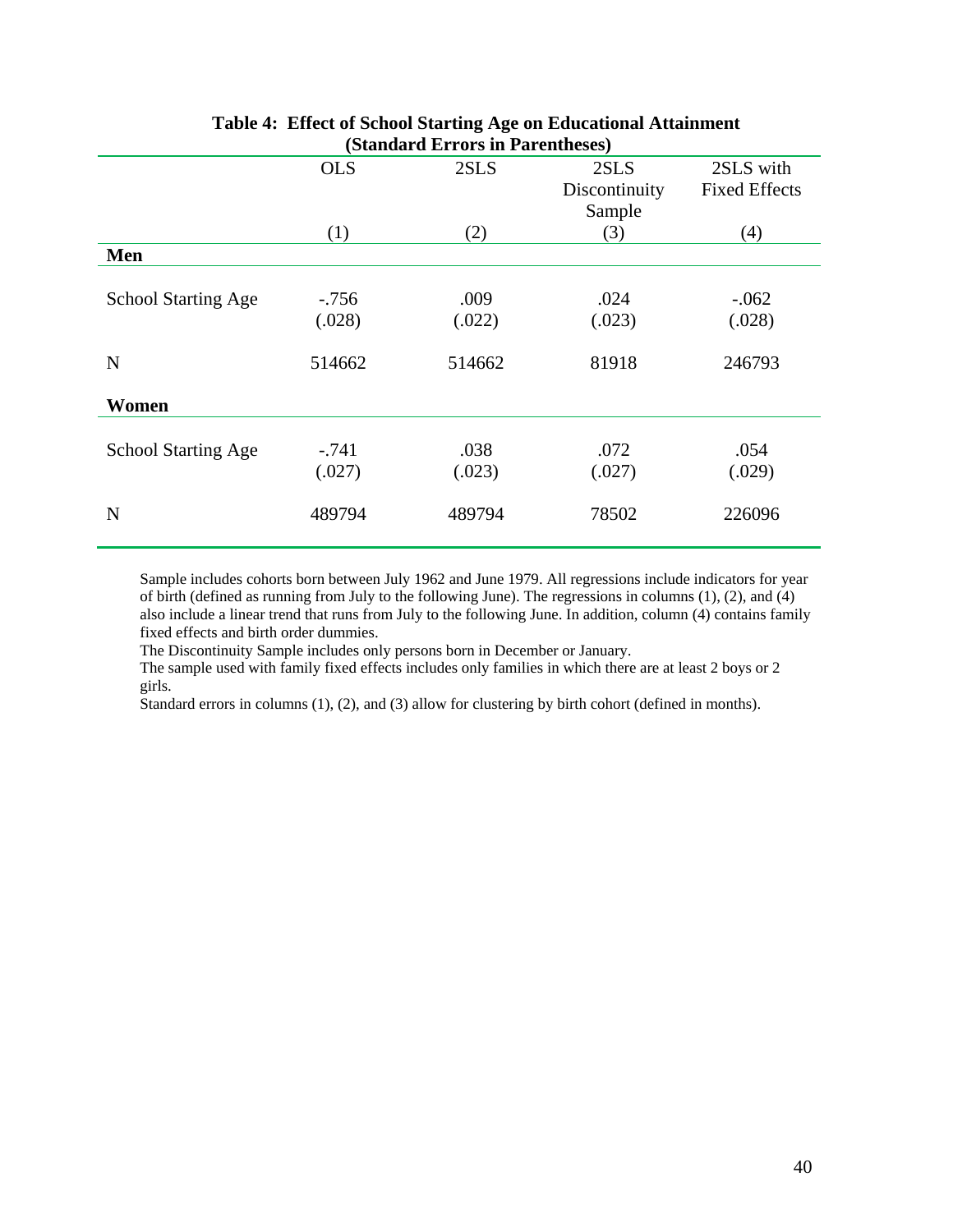| $\mu_{\rm{D}}$ and $\mu_{\rm{D}}$ and $\mu_{\rm{D}}$ and $\mu_{\rm{D}}$<br><b>OLS</b><br>2SLS<br>2SLS with<br>2SLS |         |        |               |                      |  |  |  |  |  |  |
|--------------------------------------------------------------------------------------------------------------------|---------|--------|---------------|----------------------|--|--|--|--|--|--|
|                                                                                                                    |         |        | Discontinuity | <b>Fixed Effects</b> |  |  |  |  |  |  |
|                                                                                                                    |         |        | Sample        |                      |  |  |  |  |  |  |
|                                                                                                                    | (1)     | (2)    | (3)           | (4)                  |  |  |  |  |  |  |
| Men                                                                                                                |         |        |               |                      |  |  |  |  |  |  |
|                                                                                                                    |         |        |               |                      |  |  |  |  |  |  |
| <b>School Starting Age</b>                                                                                         | $-.756$ | .009   | .024          | $-.062$              |  |  |  |  |  |  |
|                                                                                                                    | (.028)  | (.022) | (.023)        | (.028)               |  |  |  |  |  |  |
|                                                                                                                    |         |        |               |                      |  |  |  |  |  |  |
| N                                                                                                                  | 514662  | 514662 | 81918         | 246793               |  |  |  |  |  |  |
| Women                                                                                                              |         |        |               |                      |  |  |  |  |  |  |
| <b>School Starting Age</b>                                                                                         | $-.741$ | .038   | .072          | .054                 |  |  |  |  |  |  |
|                                                                                                                    | (.027)  | (.023) | (.027)        | (.029)               |  |  |  |  |  |  |
| N                                                                                                                  | 489794  | 489794 | 78502         | 226096               |  |  |  |  |  |  |

### **Table 4: Effect of School Starting Age on Educational Attainment (Standard Errors in Parentheses)**

Sample includes cohorts born between July 1962 and June 1979. All regressions include indicators for year of birth (defined as running from July to the following June). The regressions in columns (1), (2), and (4) also include a linear trend that runs from July to the following June. In addition, column (4) contains family fixed effects and birth order dummies.

The Discontinuity Sample includes only persons born in December or January.

The sample used with family fixed effects includes only families in which there are at least 2 boys or 2 girls.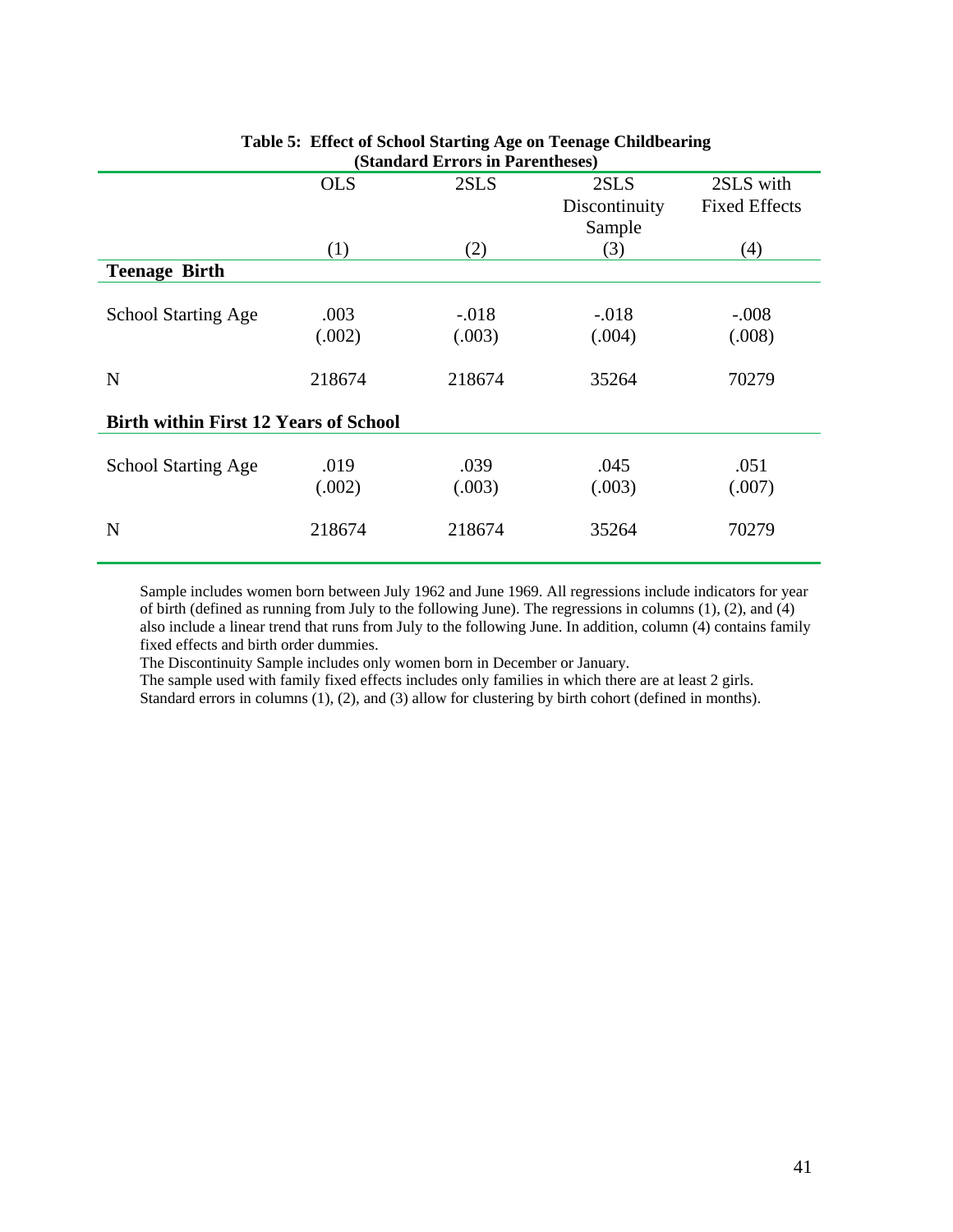|                                              | (Standard Errors in Parentheses) |         |               |                      |  |  |  |  |  |  |  |  |  |
|----------------------------------------------|----------------------------------|---------|---------------|----------------------|--|--|--|--|--|--|--|--|--|
|                                              | <b>OLS</b>                       | 2SLS    | 2SLS          | 2SLS with            |  |  |  |  |  |  |  |  |  |
|                                              |                                  |         | Discontinuity | <b>Fixed Effects</b> |  |  |  |  |  |  |  |  |  |
|                                              |                                  |         | Sample        |                      |  |  |  |  |  |  |  |  |  |
|                                              | (1)                              | (2)     | (3)           | (4)                  |  |  |  |  |  |  |  |  |  |
| <b>Teenage Birth</b>                         |                                  |         |               |                      |  |  |  |  |  |  |  |  |  |
|                                              |                                  |         |               |                      |  |  |  |  |  |  |  |  |  |
| <b>School Starting Age</b>                   | .003                             | $-.018$ | $-.018$       | $-.008$              |  |  |  |  |  |  |  |  |  |
|                                              | (.002)                           | (.003)  | (.004)        | (.008)               |  |  |  |  |  |  |  |  |  |
| N                                            | 218674                           | 218674  | 35264         | 70279                |  |  |  |  |  |  |  |  |  |
| <b>Birth within First 12 Years of School</b> |                                  |         |               |                      |  |  |  |  |  |  |  |  |  |
|                                              |                                  |         |               |                      |  |  |  |  |  |  |  |  |  |
| <b>School Starting Age</b>                   | .019                             | .039    | .045          | .051                 |  |  |  |  |  |  |  |  |  |
|                                              | (.002)                           | (.003)  | (.003)        | (.007)               |  |  |  |  |  |  |  |  |  |
| N                                            | 218674                           | 218674  | 35264         | 70279                |  |  |  |  |  |  |  |  |  |

### **Table 5: Effect of School Starting Age on Teenage Childbearing (Standard Errors in Parentheses)**

Sample includes women born between July 1962 and June 1969. All regressions include indicators for year of birth (defined as running from July to the following June). The regressions in columns (1), (2), and (4) also include a linear trend that runs from July to the following June. In addition, column (4) contains family fixed effects and birth order dummies.

The Discontinuity Sample includes only women born in December or January.

The sample used with family fixed effects includes only families in which there are at least 2 girls. Standard errors in columns (1), (2), and (3) allow for clustering by birth cohort (defined in months).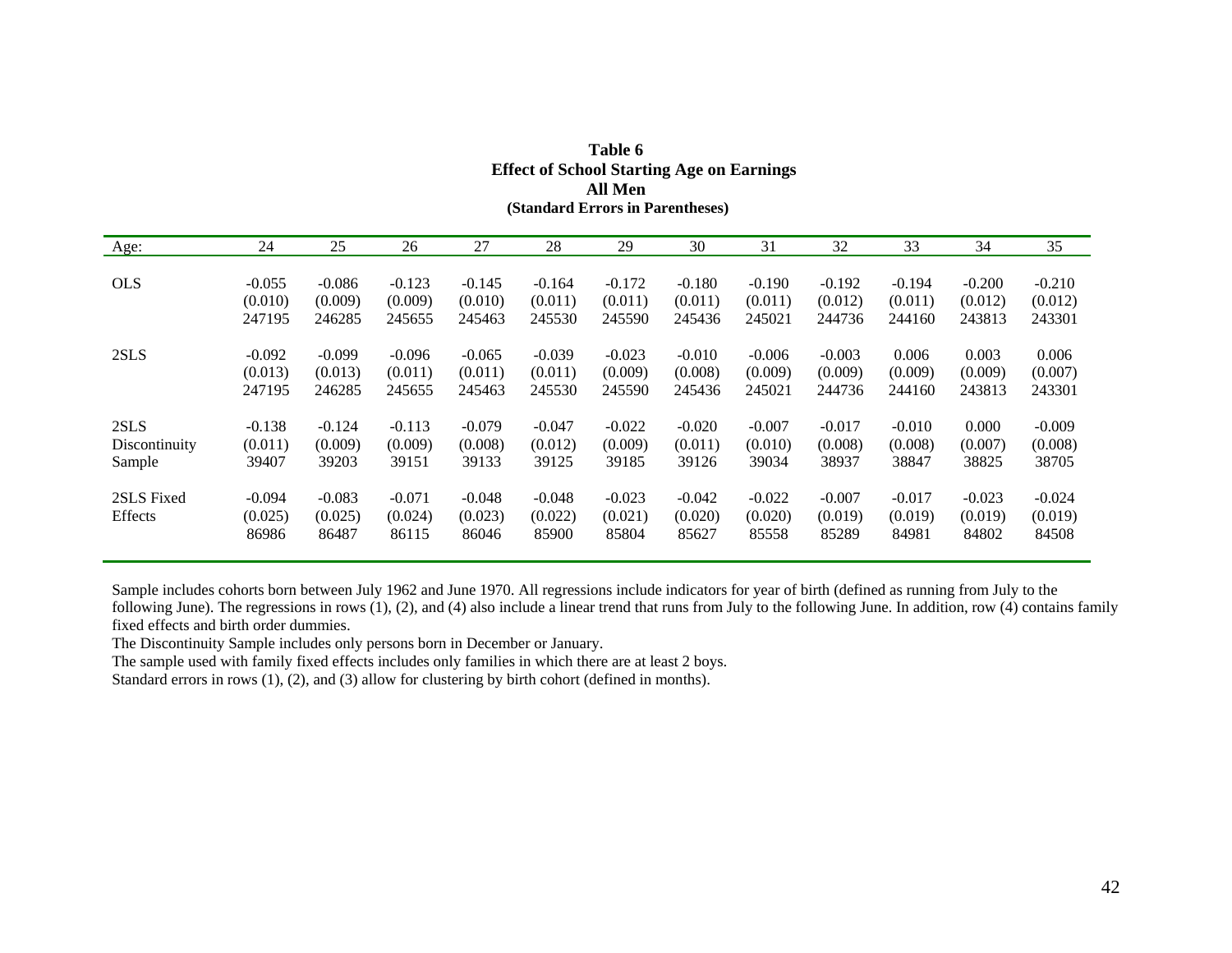| Age:                  | 24                           | 25                           | 26                           | 27                           | 28                           | 29                           | 30                           | 31                           | 32                           | 33                           | 34                           | 35                           |
|-----------------------|------------------------------|------------------------------|------------------------------|------------------------------|------------------------------|------------------------------|------------------------------|------------------------------|------------------------------|------------------------------|------------------------------|------------------------------|
| <b>OLS</b>            | $-0.055$                     | $-0.086$                     | $-0.123$                     | $-0.145$                     | $-0.164$                     | $-0.172$                     | $-0.180$                     | $-0.190$                     | $-0.192$                     | $-0.194$                     | $-0.200$                     | $-0.210$                     |
|                       | (0.010)                      | (0.009)                      | (0.009)                      | (0.010)                      | (0.011)                      | (0.011)                      | (0.011)                      | (0.011)                      | (0.012)                      | (0.011)                      | (0.012)                      | (0.012)                      |
|                       | 247195                       | 246285                       | 245655                       | 245463                       | 245530                       | 245590                       | 245436                       | 245021                       | 244736                       | 244160                       | 243813                       | 243301                       |
| 2SLS                  | $-0.092$                     | $-0.099$                     | $-0.096$                     | $-0.065$                     | $-0.039$                     | $-0.023$                     | $-0.010$                     | $-0.006$                     | $-0.003$                     | 0.006                        | 0.003                        | 0.006                        |
|                       | (0.013)                      | (0.013)                      | (0.011)                      | (0.011)                      | (0.011)                      | (0.009)                      | (0.008)                      | (0.009)                      | (0.009)                      | (0.009)                      | (0.009)                      | (0.007)                      |
|                       | 247195                       | 246285                       | 245655                       | 245463                       | 245530                       | 245590                       | 245436                       | 245021                       | 244736                       | 244160                       | 243813                       | 243301                       |
| 2SLS                  | $-0.138$                     | $-0.124$                     | $-0.113$                     | $-0.079$                     | $-0.047$                     | $-0.022$                     | $-0.020$                     | $-0.007$                     | $-0.017$                     | $-0.010$                     | 0.000                        | $-0.009$                     |
| Discontinuity         | (0.011)                      | (0.009)                      | (0.009)                      | (0.008)                      | (0.012)                      | (0.009)                      | (0.011)                      | (0.010)                      | (0.008)                      | (0.008)                      | (0.007)                      | (0.008)                      |
| Sample                | 39407                        | 39203                        | 39151                        | 39133                        | 39125                        | 39185                        | 39126                        | 39034                        | 38937                        | 38847                        | 38825                        | 38705                        |
| 2SLS Fixed<br>Effects | $-0.094$<br>(0.025)<br>86986 | $-0.083$<br>(0.025)<br>86487 | $-0.071$<br>(0.024)<br>86115 | $-0.048$<br>(0.023)<br>86046 | $-0.048$<br>(0.022)<br>85900 | $-0.023$<br>(0.021)<br>85804 | $-0.042$<br>(0.020)<br>85627 | $-0.022$<br>(0.020)<br>85558 | $-0.007$<br>(0.019)<br>85289 | $-0.017$<br>(0.019)<br>84981 | $-0.023$<br>(0.019)<br>84802 | $-0.024$<br>(0.019)<br>84508 |

| Table 6                                          |
|--------------------------------------------------|
| <b>Effect of School Starting Age on Earnings</b> |
| All Men                                          |
| (Standard Errors in Parentheses)                 |

Sample includes cohorts born between July 1962 and June 1970. All regressions include indicators for year of birth (defined as running from July to the following June). The regressions in rows  $(1)$ ,  $(2)$ , and  $(4)$  also include a linear trend that runs from July to the following June. In addition, row  $(4)$  contains family fixed effects and birth order dummies.

The Discontinuity Sample includes only persons born in December or January.

The sample used with family fixed effects includes only families in which there are at least 2 boys.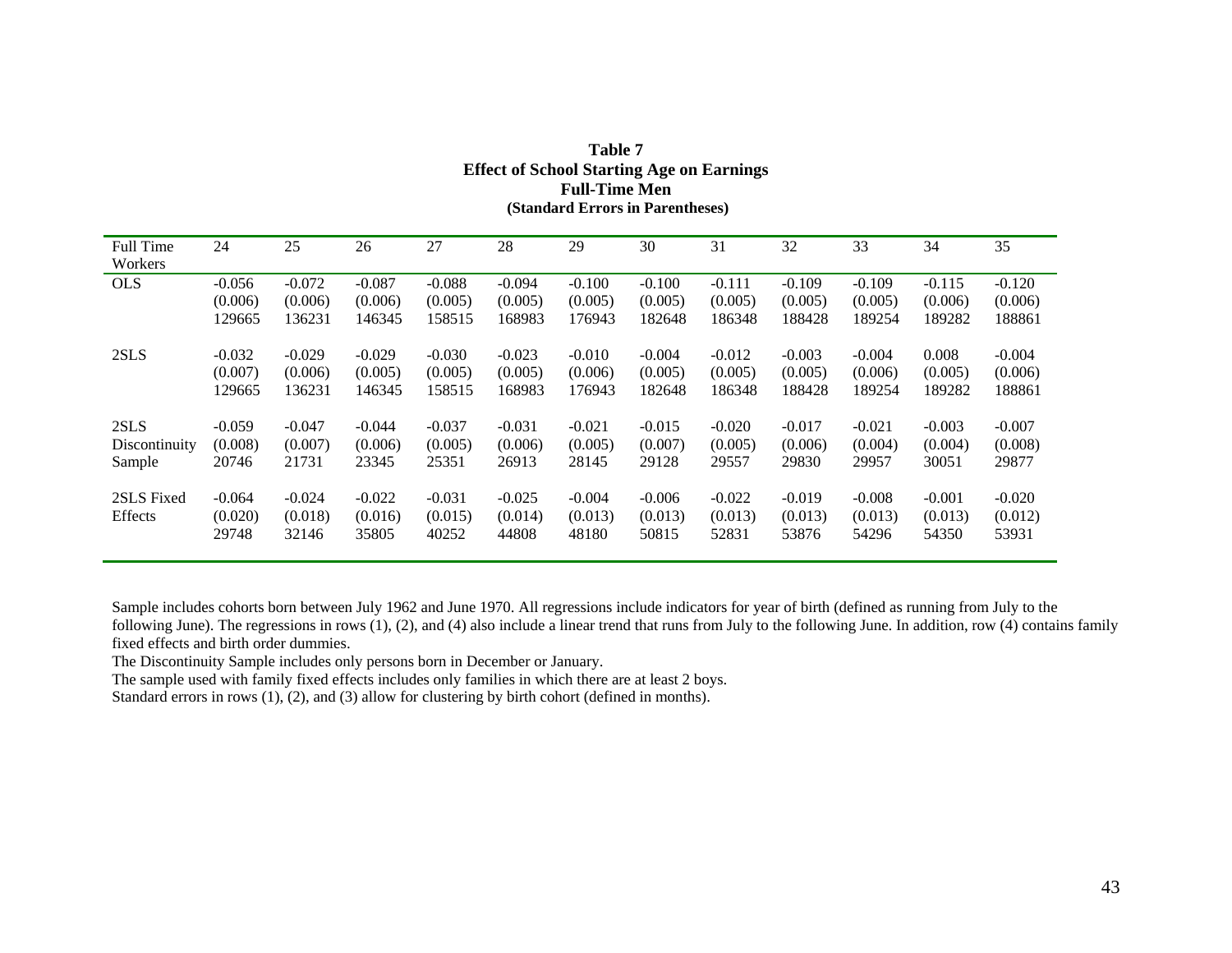| <b>Full Time</b><br>Workers | 24       | 25       | 26       | 27       | 28       | 29       | 30       | 31       | 32       | 33       | 34       | 35       |
|-----------------------------|----------|----------|----------|----------|----------|----------|----------|----------|----------|----------|----------|----------|
| <b>OLS</b>                  | $-0.056$ | $-0.072$ | $-0.087$ | $-0.088$ | $-0.094$ | $-0.100$ | $-0.100$ | $-0.111$ | $-0.109$ | $-0.109$ | $-0.115$ | $-0.120$ |
|                             | (0.006)  | (0.006)  | (0.006)  | (0.005)  | (0.005)  | (0.005)  | (0.005)  | (0.005)  | (0.005)  | (0.005)  | (0.006)  | (0.006)  |
|                             | 129665   | 136231   | 146345   | 158515   | 168983   | 176943   | 182648   | 186348   | 188428   | 189254   | 189282   | 188861   |
| 2SLS                        | $-0.032$ | $-0.029$ | $-0.029$ | $-0.030$ | $-0.023$ | $-0.010$ | $-0.004$ | $-0.012$ | $-0.003$ | $-0.004$ | 0.008    | $-0.004$ |
|                             | (0.007)  | (0.006)  | (0.005)  | (0.005)  | (0.005)  | (0.006)  | (0.005)  | (0.005)  | (0.005)  | (0.006)  | (0.005)  | (0.006)  |
|                             | 129665   | 136231   | 146345   | 158515   | 168983   | 176943   | 182648   | 186348   | 188428   | 189254   | 189282   | 188861   |
| 2SLS                        | $-0.059$ | $-0.047$ | $-0.044$ | $-0.037$ | $-0.031$ | $-0.021$ | $-0.015$ | $-0.020$ | $-0.017$ | $-0.021$ | $-0.003$ | $-0.007$ |
| Discontinuity               | (0.008)  | (0.007)  | (0.006)  | (0.005)  | (0.006)  | (0.005)  | (0.007)  | (0.005)  | (0.006)  | (0.004)  | (0.004)  | (0.008)  |
| Sample                      | 20746    | 21731    | 23345    | 25351    | 26913    | 28145    | 29128    | 29557    | 29830    | 29957    | 30051    | 29877    |
| 2SLS Fixed                  | $-0.064$ | $-0.024$ | $-0.022$ | $-0.031$ | $-0.025$ | $-0.004$ | $-0.006$ | $-0.022$ | $-0.019$ | $-0.008$ | $-0.001$ | $-0.020$ |
| Effects                     | (0.020)  | (0.018)  | (0.016)  | (0.015)  | (0.014)  | (0.013)  | (0.013)  | (0.013)  | (0.013)  | (0.013)  | (0.013)  | (0.012)  |
|                             | 29748    | 32146    | 35805    | 40252    | 44808    | 48180    | 50815    | 52831    | 53876    | 54296    | 54350    | 53931    |

### **Table 7 Effect of School Starting Age on Earnings Full-Time Men (Standard Errors in Parentheses)**

Sample includes cohorts born between July 1962 and June 1970. All regressions include indicators for year of birth (defined as running from July to the following June). The regressions in rows (1), (2), and (4) also include a linear trend that runs from July to the following June. In addition, row (4) contains family fixed effects and birth order dummies.

The Discontinuity Sample includes only persons born in December or January.

The sample used with family fixed effects includes only families in which there are at least 2 boys.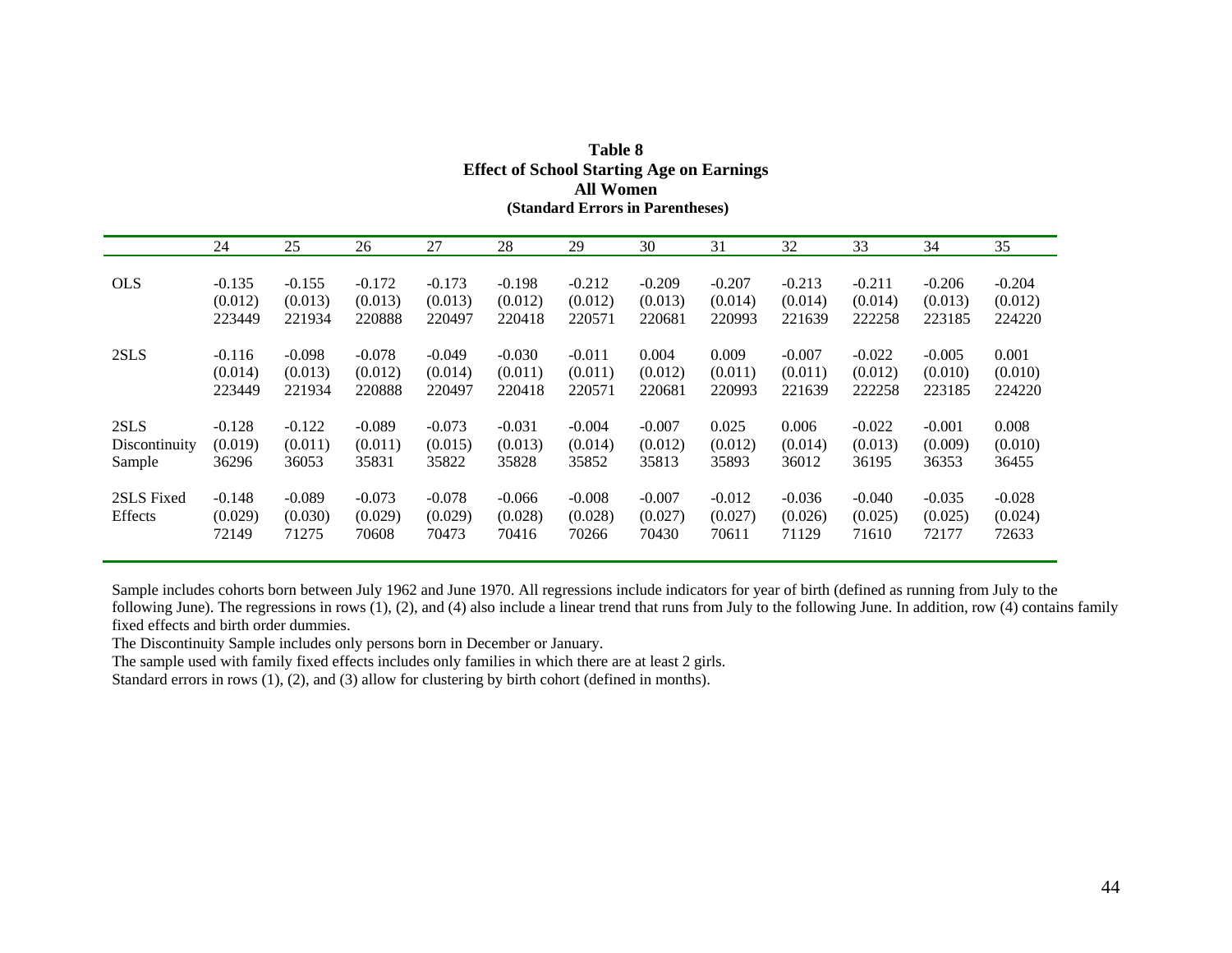| 27<br>31<br>32<br>34<br>24<br>25<br>28<br>29<br>33<br>35<br>26<br>30<br><b>OLS</b><br>$-0.135$<br>$-0.155$<br>$-0.172$<br>$-0.173$<br>$-0.212$<br>$-0.209$<br>$-0.213$<br>$-0.206$<br>$-0.204$<br>$-0.198$<br>$-0.207$<br>$-0.211$<br>(0.012)<br>(0.013)<br>(0.013)<br>(0.013)<br>(0.012)<br>(0.013)<br>(0.014)<br>(0.014)<br>(0.014)<br>(0.013)<br>(0.012)<br>(0.012)<br>223449<br>221934<br>220888<br>220418<br>220681<br>222258<br>223185<br>224220<br>220497<br>220571<br>220993<br>221639<br>$-0.098$<br>$-0.078$<br>0.009<br>$-0.005$<br>2SLS<br>$-0.116$<br>$-0.049$<br>$-0.030$<br>$-0.011$<br>0.004<br>$-0.007$<br>$-0.022$<br>0.001<br>(0.013)<br>(0.012)<br>(0.014)<br>(0.012)<br>(0.014)<br>(0.011)<br>(0.011)<br>(0.011)<br>(0.011)<br>(0.012)<br>(0.010)<br>(0.010) |  |  |  |  |  |  |  |
|-----------------------------------------------------------------------------------------------------------------------------------------------------------------------------------------------------------------------------------------------------------------------------------------------------------------------------------------------------------------------------------------------------------------------------------------------------------------------------------------------------------------------------------------------------------------------------------------------------------------------------------------------------------------------------------------------------------------------------------------------------------------------------------|--|--|--|--|--|--|--|
|                                                                                                                                                                                                                                                                                                                                                                                                                                                                                                                                                                                                                                                                                                                                                                                   |  |  |  |  |  |  |  |
|                                                                                                                                                                                                                                                                                                                                                                                                                                                                                                                                                                                                                                                                                                                                                                                   |  |  |  |  |  |  |  |
|                                                                                                                                                                                                                                                                                                                                                                                                                                                                                                                                                                                                                                                                                                                                                                                   |  |  |  |  |  |  |  |
|                                                                                                                                                                                                                                                                                                                                                                                                                                                                                                                                                                                                                                                                                                                                                                                   |  |  |  |  |  |  |  |
|                                                                                                                                                                                                                                                                                                                                                                                                                                                                                                                                                                                                                                                                                                                                                                                   |  |  |  |  |  |  |  |
|                                                                                                                                                                                                                                                                                                                                                                                                                                                                                                                                                                                                                                                                                                                                                                                   |  |  |  |  |  |  |  |
|                                                                                                                                                                                                                                                                                                                                                                                                                                                                                                                                                                                                                                                                                                                                                                                   |  |  |  |  |  |  |  |
|                                                                                                                                                                                                                                                                                                                                                                                                                                                                                                                                                                                                                                                                                                                                                                                   |  |  |  |  |  |  |  |
| 223449<br>221934<br>220888<br>220418<br>220571<br>220681<br>220993<br>222258<br>223185<br>224220<br>220497<br>221639                                                                                                                                                                                                                                                                                                                                                                                                                                                                                                                                                                                                                                                              |  |  |  |  |  |  |  |
|                                                                                                                                                                                                                                                                                                                                                                                                                                                                                                                                                                                                                                                                                                                                                                                   |  |  |  |  |  |  |  |
| $-0.128$<br>$-0.122$<br>$-0.089$<br>$-0.031$<br>$-0.007$<br>0.025<br>0.006<br>$-0.022$<br>0.008<br>2SLS<br>$-0.073$<br>$-0.004$<br>$-0.001$                                                                                                                                                                                                                                                                                                                                                                                                                                                                                                                                                                                                                                       |  |  |  |  |  |  |  |
| (0.011)<br>(0.012)<br>(0.010)<br>(0.011)<br>(0.015)<br>(0.013)<br>(0.014)<br>(0.012)<br>(0.014)<br>(0.013)<br>(0.009)<br>Discontinuity<br>(0.019)                                                                                                                                                                                                                                                                                                                                                                                                                                                                                                                                                                                                                                 |  |  |  |  |  |  |  |
| 35831<br>35828<br>35852<br>35813<br>36353<br>Sample<br>36296<br>36053<br>35822<br>35893<br>36012<br>36195<br>36455                                                                                                                                                                                                                                                                                                                                                                                                                                                                                                                                                                                                                                                                |  |  |  |  |  |  |  |
| $-0.089$<br>$-0.148$<br>$-0.073$<br>$-0.078$<br>$-0.008$<br>$-0.007$<br>$-0.036$                                                                                                                                                                                                                                                                                                                                                                                                                                                                                                                                                                                                                                                                                                  |  |  |  |  |  |  |  |
| 2SLS Fixed<br>$-0.035$<br>$-0.028$<br>$-0.066$<br>$-0.012$<br>$-0.040$                                                                                                                                                                                                                                                                                                                                                                                                                                                                                                                                                                                                                                                                                                            |  |  |  |  |  |  |  |
| Effects<br>(0.030)<br>(0.029)<br>(0.029)<br>(0.028)<br>(0.027)<br>(0.027)<br>(0.026)<br>(0.025)<br>(0.024)<br>(0.029)<br>(0.028)<br>(0.025)                                                                                                                                                                                                                                                                                                                                                                                                                                                                                                                                                                                                                                       |  |  |  |  |  |  |  |
| 71275<br>70430<br>72149<br>70608<br>70473<br>70416<br>70266<br>71129<br>72177<br>72633<br>70611<br>71610                                                                                                                                                                                                                                                                                                                                                                                                                                                                                                                                                                                                                                                                          |  |  |  |  |  |  |  |

| Table 8                                          |  |  |  |  |  |  |  |  |
|--------------------------------------------------|--|--|--|--|--|--|--|--|
| <b>Effect of School Starting Age on Earnings</b> |  |  |  |  |  |  |  |  |
| All Women                                        |  |  |  |  |  |  |  |  |
| (Standard Errors in Parentheses)                 |  |  |  |  |  |  |  |  |

Sample includes cohorts born between July 1962 and June 1970. All regressions include indicators for year of birth (defined as running from July to the following June). The regressions in rows (1), (2), and (4) also include a linear trend that runs from July to the following June. In addition, row (4) contains family fixed effects and birth order dummies.

The Discontinuity Sample includes only persons born in December or January.

The sample used with family fixed effects includes only families in which there are at least 2 girls.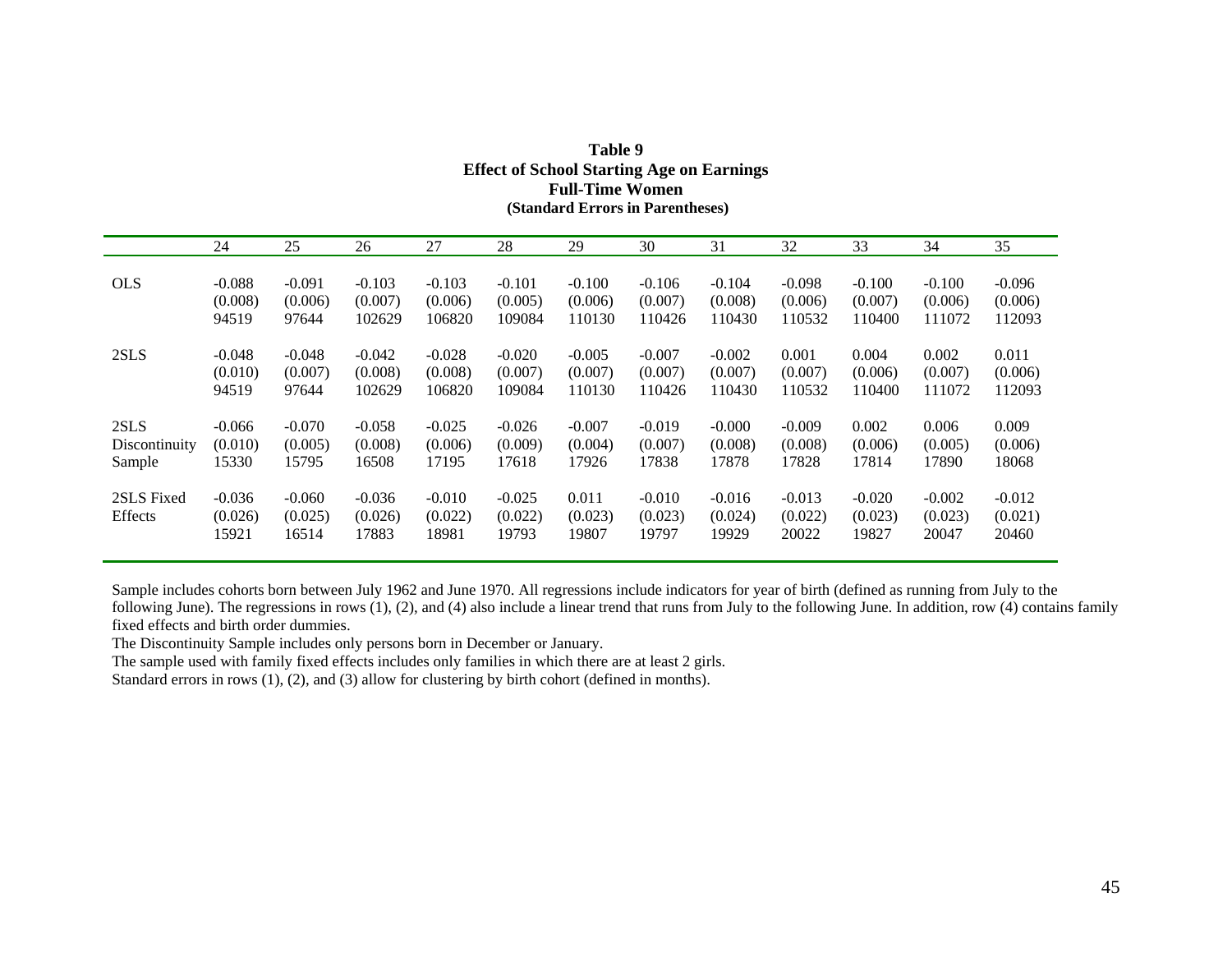|                       | 24                           | 25                           | 26                           | 27                           | 28                           | 29                        | 30                           | 31                           | 32                           | 33                           | 34                           | 35                           |
|-----------------------|------------------------------|------------------------------|------------------------------|------------------------------|------------------------------|---------------------------|------------------------------|------------------------------|------------------------------|------------------------------|------------------------------|------------------------------|
| <b>OLS</b>            | $-0.088$                     | $-0.091$                     | $-0.103$                     | $-0.103$                     | $-0.101$                     | $-0.100$                  | $-0.106$                     | $-0.104$                     | $-0.098$                     | $-0.100$                     | $-0.100$                     | $-0.096$                     |
|                       | (0.008)                      | (0.006)                      | (0.007)                      | (0.006)                      | (0.005)                      | (0.006)                   | (0.007)                      | (0.008)                      | (0.006)                      | (0.007)                      | (0.006)                      | (0.006)                      |
|                       | 94519                        | 97644                        | 102629                       | 106820                       | 109084                       | 110130                    | 110426                       | 110430                       | 110532                       | 110400                       | 111072                       | 112093                       |
| 2SLS                  | $-0.048$                     | $-0.048$                     | $-0.042$                     | $-0.028$                     | $-0.020$                     | $-0.005$                  | $-0.007$                     | $-0.002$                     | 0.001                        | 0.004                        | 0.002                        | 0.011                        |
|                       | (0.010)                      | (0.007)                      | (0.008)                      | (0.008)                      | (0.007)                      | (0.007)                   | (0.007)                      | (0.007)                      | (0.007)                      | (0.006)                      | (0.007)                      | (0.006)                      |
|                       | 94519                        | 97644                        | 102629                       | 106820                       | 109084                       | 110130                    | 110426                       | 110430                       | 110532                       | 110400                       | 111072                       | 112093                       |
| 2SLS                  | -0.066                       | $-0.070$                     | $-0.058$                     | $-0.025$                     | $-0.026$                     | $-0.007$                  | $-0.019$                     | $-0.000$                     | $-0.009$                     | 0.002                        | 0.006                        | 0.009                        |
| Discontinuity         | (0.010)                      | (0.005)                      | (0.008)                      | (0.006)                      | (0.009)                      | (0.004)                   | (0.007)                      | (0.008)                      | (0.008)                      | (0.006)                      | (0.005)                      | (0.006)                      |
| Sample                | 15330                        | 15795                        | 16508                        | 17195                        | 17618                        | 17926                     | 17838                        | 17878                        | 17828                        | 17814                        | 17890                        | 18068                        |
| 2SLS Fixed<br>Effects | $-0.036$<br>(0.026)<br>15921 | $-0.060$<br>(0.025)<br>16514 | $-0.036$<br>(0.026)<br>17883 | $-0.010$<br>(0.022)<br>18981 | $-0.025$<br>(0.022)<br>19793 | 0.011<br>(0.023)<br>19807 | $-0.010$<br>(0.023)<br>19797 | $-0.016$<br>(0.024)<br>19929 | $-0.013$<br>(0.022)<br>20022 | $-0.020$<br>(0.023)<br>19827 | $-0.002$<br>(0.023)<br>20047 | $-0.012$<br>(0.021)<br>20460 |

### **Table 9 Effect of School Starting Age on Earnings Full-Time Women (Standard Errors in Parentheses)**

Sample includes cohorts born between July 1962 and June 1970. All regressions include indicators for year of birth (defined as running from July to the following June). The regressions in rows (1), (2), and (4) also include a linear trend that runs from July to the following June. In addition, row (4) contains family fixed effects and birth order dummies.

The Discontinuity Sample includes only persons born in December or January.

The sample used with family fixed effects includes only families in which there are at least 2 girls.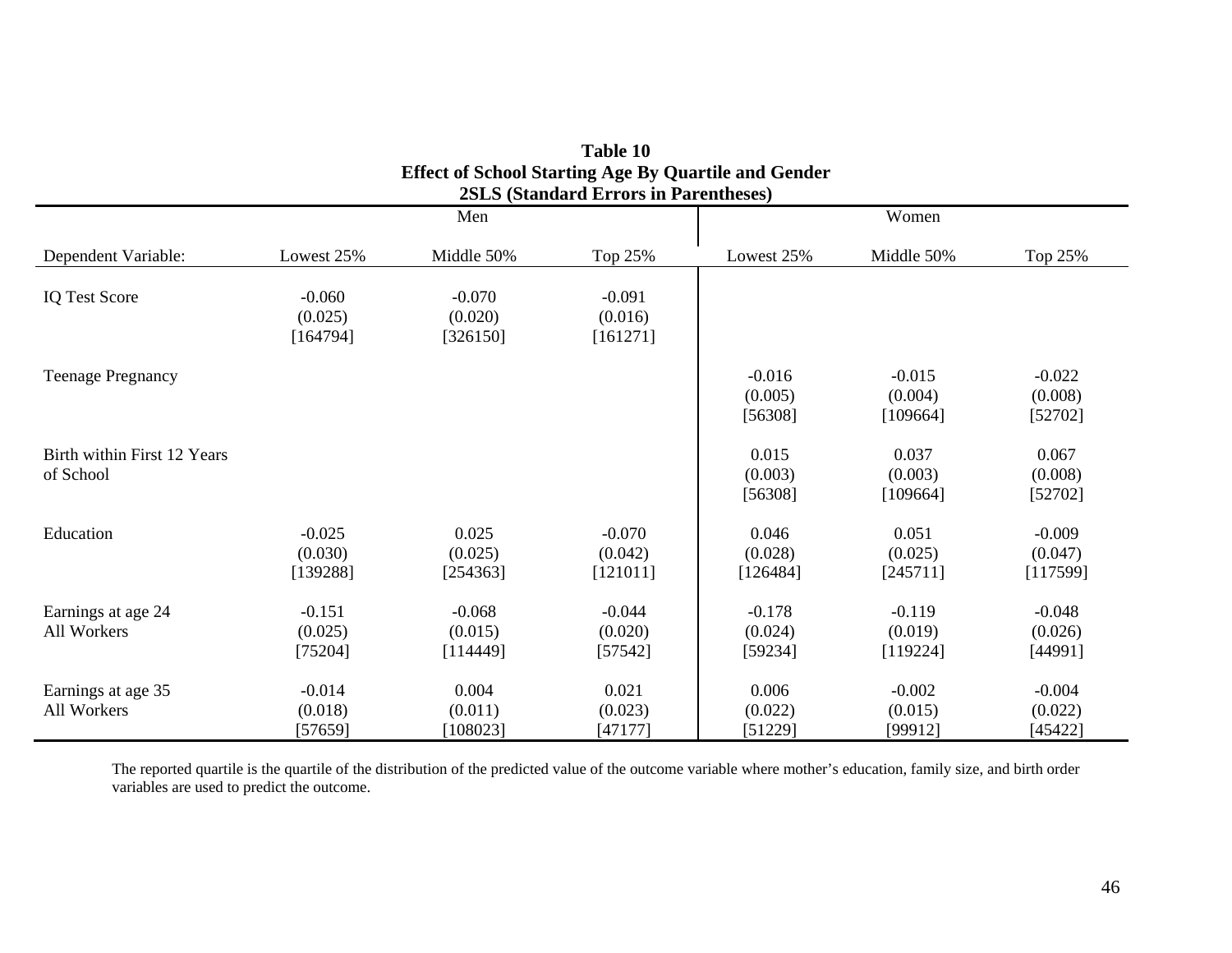|                                          | Effect of behoof builting rige by Quartine and Ochael<br><b>2SLS (Standard Errors in Parentheses)</b> |                                 |                                 |                                |                                 |                                 |  |  |  |  |  |  |
|------------------------------------------|-------------------------------------------------------------------------------------------------------|---------------------------------|---------------------------------|--------------------------------|---------------------------------|---------------------------------|--|--|--|--|--|--|
|                                          |                                                                                                       | Men                             |                                 | Women                          |                                 |                                 |  |  |  |  |  |  |
| Dependent Variable:                      | Lowest 25%                                                                                            | Middle 50%                      | Top 25%                         | Lowest 25%                     | Middle 50%                      | Top 25%                         |  |  |  |  |  |  |
| <b>IQ Test Score</b>                     | $-0.060$<br>(0.025)<br>[164794]                                                                       | $-0.070$<br>(0.020)<br>[326150] | $-0.091$<br>(0.016)<br>[161271] |                                |                                 |                                 |  |  |  |  |  |  |
| <b>Teenage Pregnancy</b>                 |                                                                                                       |                                 |                                 | $-0.016$<br>(0.005)<br>[56308] | $-0.015$<br>(0.004)<br>[109664] | $-0.022$<br>(0.008)<br>[52702]  |  |  |  |  |  |  |
| Birth within First 12 Years<br>of School |                                                                                                       |                                 |                                 | 0.015<br>(0.003)<br>[56308]    | 0.037<br>(0.003)<br>[109664]    | 0.067<br>(0.008)<br>[52702]     |  |  |  |  |  |  |
| Education                                | $-0.025$<br>(0.030)<br>[139288]                                                                       | 0.025<br>(0.025)<br>[254363]    | $-0.070$<br>(0.042)<br>[121011] | 0.046<br>(0.028)<br>[126484]   | 0.051<br>(0.025)<br>[245711]    | $-0.009$<br>(0.047)<br>[117599] |  |  |  |  |  |  |
| Earnings at age 24<br>All Workers        | $-0.151$<br>(0.025)<br>[75204]                                                                        | $-0.068$<br>(0.015)<br>[114449] | $-0.044$<br>(0.020)<br>[57542]  | $-0.178$<br>(0.024)<br>[59234] | $-0.119$<br>(0.019)<br>[119224] | $-0.048$<br>(0.026)<br>[44991]  |  |  |  |  |  |  |
| Earnings at age 35<br>All Workers        | $-0.014$<br>(0.018)<br>[57659]                                                                        | 0.004<br>(0.011)<br>[108023]    | 0.021<br>(0.023)<br>[47177]     | 0.006<br>(0.022)<br>[51229]    | $-0.002$<br>(0.015)<br>[99912]  | $-0.004$<br>(0.022)<br>[45422]  |  |  |  |  |  |  |

**Table 10 Effect of School Starting Age By Quartile and Gender** 

The reported quartile is the quartile of the distribution of the predicted value of the outcome variable where mother's education, family size, and birth order variables are used to predict the outcome.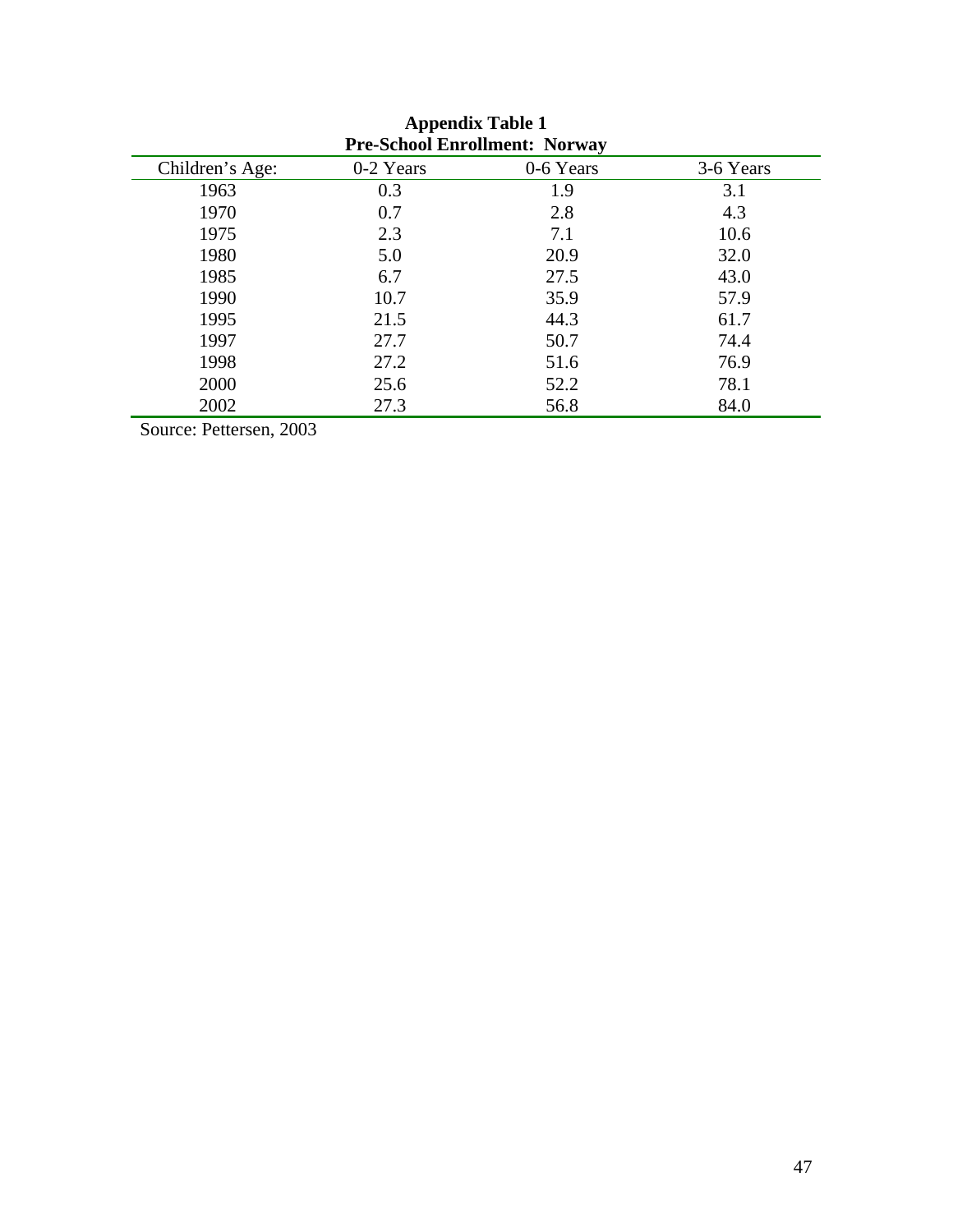| <b>Pre-School Enrollment: Norway</b> |           |           |           |  |  |
|--------------------------------------|-----------|-----------|-----------|--|--|
| Children's Age:                      | 0-2 Years | 0-6 Years | 3-6 Years |  |  |
| 1963                                 | 0.3       | 1.9       | 3.1       |  |  |
| 1970                                 | 0.7       | 2.8       | 4.3       |  |  |
| 1975                                 | 2.3       | 7.1       | 10.6      |  |  |
| 1980                                 | 5.0       | 20.9      | 32.0      |  |  |
| 1985                                 | 6.7       | 27.5      | 43.0      |  |  |
| 1990                                 | 10.7      | 35.9      | 57.9      |  |  |
| 1995                                 | 21.5      | 44.3      | 61.7      |  |  |
| 1997                                 | 27.7      | 50.7      | 74.4      |  |  |
| 1998                                 | 27.2      | 51.6      | 76.9      |  |  |
| 2000                                 | 25.6      | 52.2      | 78.1      |  |  |
| 2002                                 | 27.3      | 56.8      | 84.0      |  |  |

**Appendix Table 1 Pre-School Enrollment: Norway** 

Source: Pettersen, 2003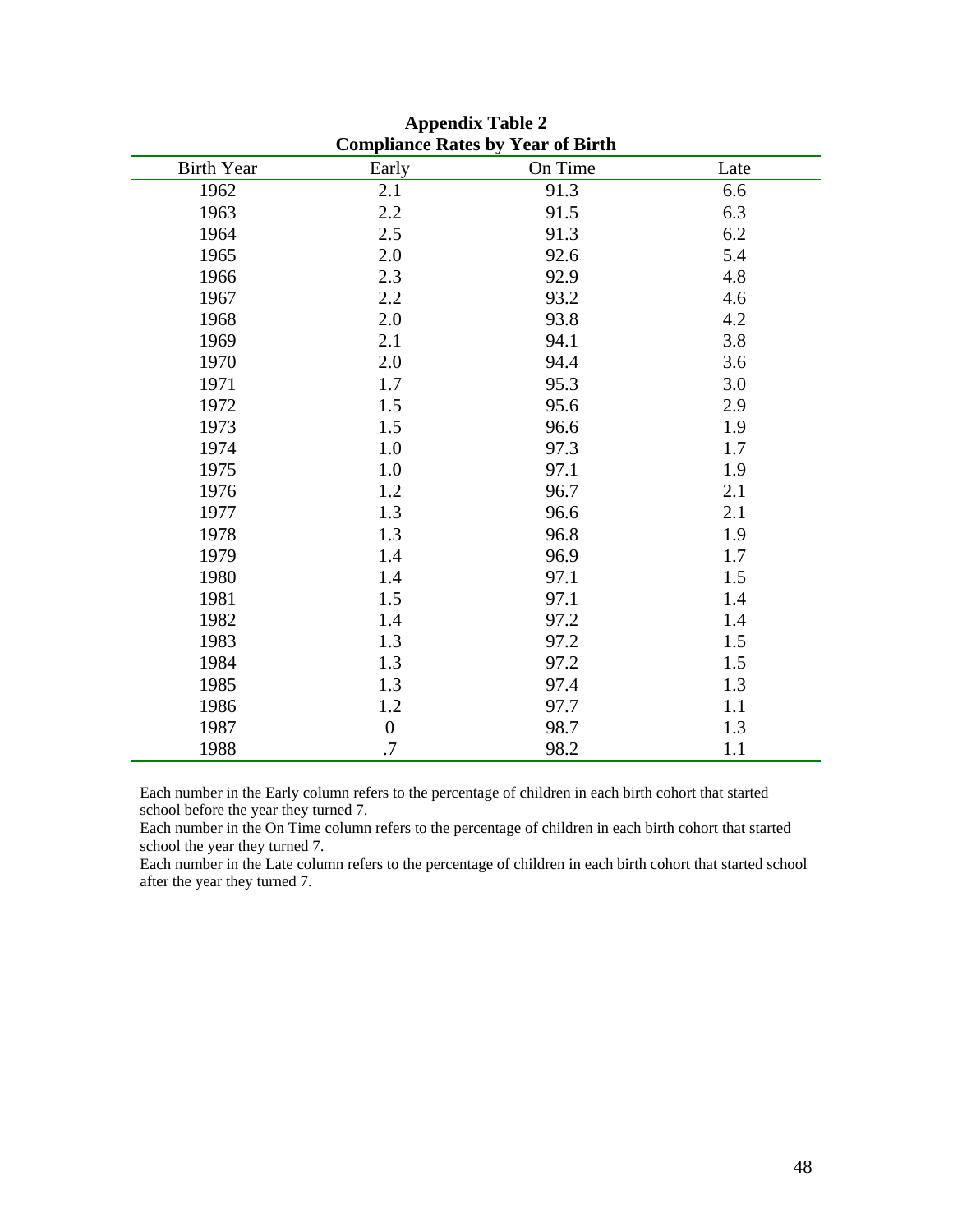| Compliance Rates by Year of Birth |                  |         |      |  |  |  |
|-----------------------------------|------------------|---------|------|--|--|--|
| <b>Birth Year</b>                 | Early            | On Time | Late |  |  |  |
| 1962                              | 2.1              | 91.3    | 6.6  |  |  |  |
| 1963                              | 2.2              | 91.5    | 6.3  |  |  |  |
| 1964                              | 2.5              | 91.3    | 6.2  |  |  |  |
| 1965                              | 2.0              | 92.6    | 5.4  |  |  |  |
| 1966                              | 2.3              | 92.9    | 4.8  |  |  |  |
| 1967                              | 2.2              | 93.2    | 4.6  |  |  |  |
| 1968                              | 2.0              | 93.8    | 4.2  |  |  |  |
| 1969                              | 2.1              | 94.1    | 3.8  |  |  |  |
| 1970                              | 2.0              | 94.4    | 3.6  |  |  |  |
| 1971                              | 1.7              | 95.3    | 3.0  |  |  |  |
| 1972                              | 1.5              | 95.6    | 2.9  |  |  |  |
| 1973                              | 1.5              | 96.6    | 1.9  |  |  |  |
| 1974                              | 1.0              | 97.3    | 1.7  |  |  |  |
| 1975                              | 1.0              | 97.1    | 1.9  |  |  |  |
| 1976                              | 1.2              | 96.7    | 2.1  |  |  |  |
| 1977                              | 1.3              | 96.6    | 2.1  |  |  |  |
| 1978                              | 1.3              | 96.8    | 1.9  |  |  |  |
| 1979                              | 1.4              | 96.9    | 1.7  |  |  |  |
| 1980                              | 1.4              | 97.1    | 1.5  |  |  |  |
| 1981                              | 1.5              | 97.1    | 1.4  |  |  |  |
| 1982                              | 1.4              | 97.2    | 1.4  |  |  |  |
| 1983                              | 1.3              | 97.2    | 1.5  |  |  |  |
| 1984                              | 1.3              | 97.2    | 1.5  |  |  |  |
| 1985                              | 1.3              | 97.4    | 1.3  |  |  |  |
| 1986                              | 1.2              | 97.7    | 1.1  |  |  |  |
| 1987                              | $\boldsymbol{0}$ | 98.7    | 1.3  |  |  |  |
| 1988                              | .7               | 98.2    | 1.1  |  |  |  |

**Appendix Table 2 Compliance Rates by Year of Birth** 

Each number in the Early column refers to the percentage of children in each birth cohort that started school before the year they turned 7.

Each number in the On Time column refers to the percentage of children in each birth cohort that started school the year they turned 7.

Each number in the Late column refers to the percentage of children in each birth cohort that started school after the year they turned 7.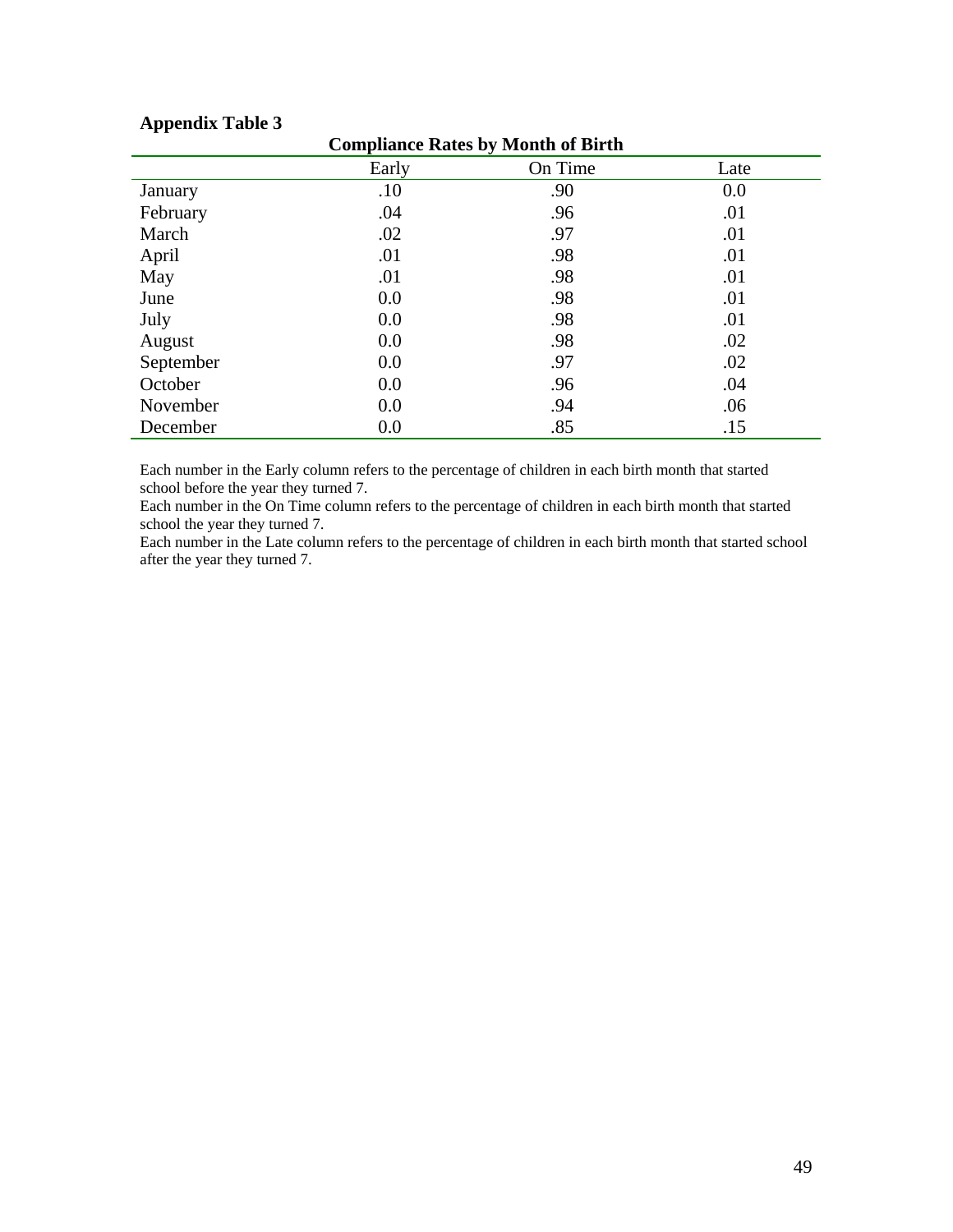| Compliance Rates by Month of Birth |       |         |      |  |  |
|------------------------------------|-------|---------|------|--|--|
|                                    | Early | On Time | Late |  |  |
| January                            | .10   | .90     | 0.0  |  |  |
| February                           | .04   | .96     | .01  |  |  |
| March                              | .02   | .97     | .01  |  |  |
| April                              | .01   | .98     | .01  |  |  |
| May                                | .01   | .98     | .01  |  |  |
| June                               | 0.0   | .98     | .01  |  |  |
| July                               | 0.0   | .98     | .01  |  |  |
| August                             | 0.0   | .98     | .02  |  |  |
| September                          | 0.0   | .97     | .02  |  |  |
| October                            | 0.0   | .96     | .04  |  |  |
| November                           | 0.0   | .94     | .06  |  |  |
| December                           | 0.0   | .85     | .15  |  |  |

### **Appendix Table 3**

**Compliance Rates by Month of Birth** 

Each number in the Early column refers to the percentage of children in each birth month that started school before the year they turned 7.

Each number in the On Time column refers to the percentage of children in each birth month that started school the year they turned 7.

Each number in the Late column refers to the percentage of children in each birth month that started school after the year they turned 7.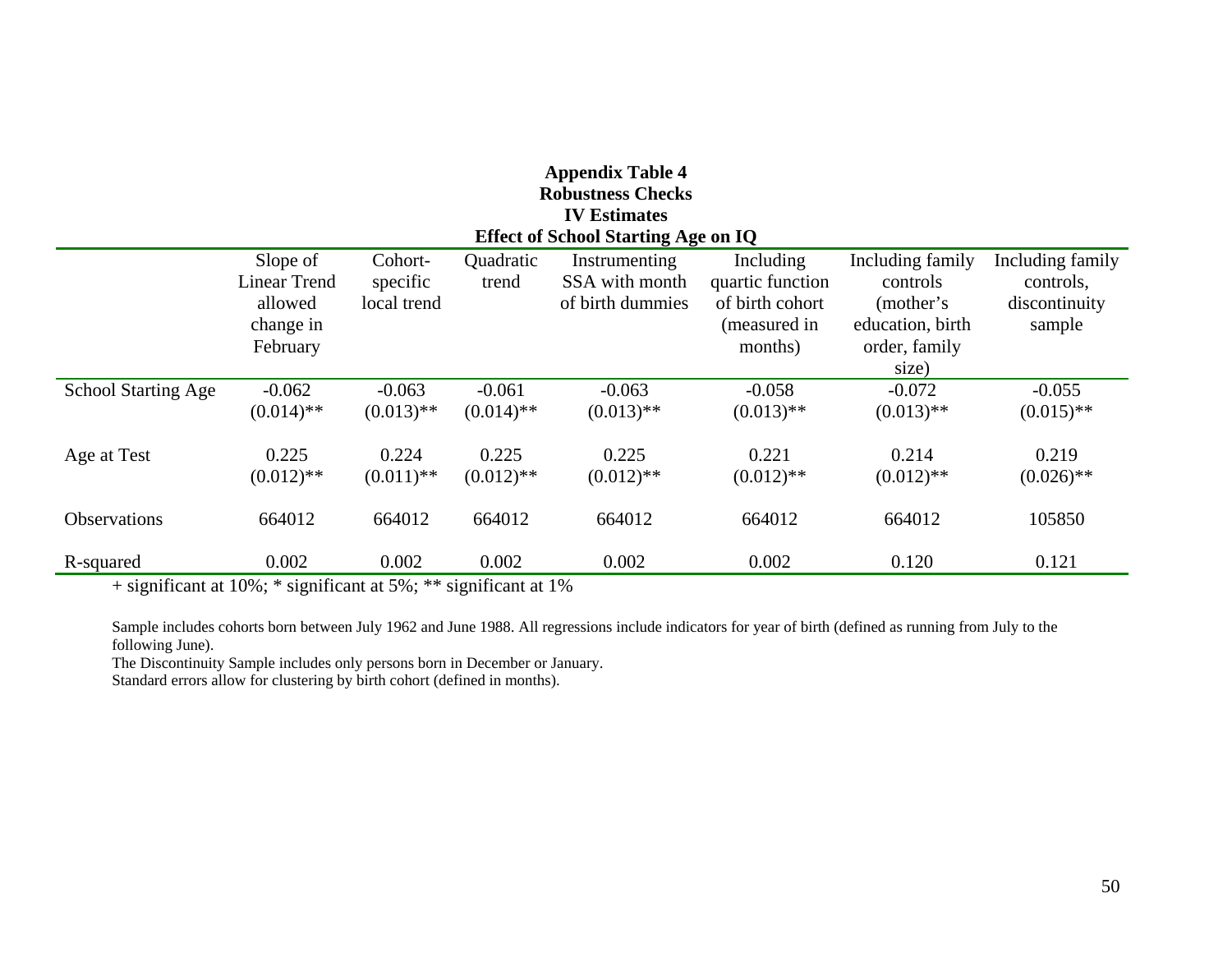| <b>Appendix Table 4</b><br><b>Robustness Checks</b>               |                                                                     |                                    |                          |                                                     |                                                                             |                                                                                 |                                                          |
|-------------------------------------------------------------------|---------------------------------------------------------------------|------------------------------------|--------------------------|-----------------------------------------------------|-----------------------------------------------------------------------------|---------------------------------------------------------------------------------|----------------------------------------------------------|
| <b>IV Estimates</b><br><b>Effect of School Starting Age on IQ</b> |                                                                     |                                    |                          |                                                     |                                                                             |                                                                                 |                                                          |
|                                                                   | Slope of<br><b>Linear Trend</b><br>allowed<br>change in<br>February | Cohort-<br>specific<br>local trend | Quadratic<br>trend       | Instrumenting<br>SSA with month<br>of birth dummies | Including<br>quartic function<br>of birth cohort<br>(measured in<br>months) | Including family<br>controls<br>(mother's)<br>education, birth<br>order, family | Including family<br>controls,<br>discontinuity<br>sample |
|                                                                   |                                                                     |                                    |                          |                                                     |                                                                             | size)                                                                           |                                                          |
| <b>School Starting Age</b>                                        | $-0.062$<br>$(0.014)$ **                                            | $-0.063$<br>$(0.013)$ **           | $-0.061$<br>$(0.014)$ ** | $-0.063$<br>$(0.013)$ **                            | $-0.058$<br>$(0.013)$ **                                                    | $-0.072$<br>$(0.013)$ **                                                        | $-0.055$<br>$(0.015)$ **                                 |
| Age at Test                                                       | 0.225<br>$(0.012)$ **                                               | 0.224<br>$(0.011)$ **              | 0.225<br>$(0.012)$ **    | 0.225<br>$(0.012)$ **                               | 0.221<br>$(0.012)$ **                                                       | 0.214<br>$(0.012)$ **                                                           | 0.219<br>$(0.026)$ **                                    |
| Observations                                                      | 664012                                                              | 664012                             | 664012                   | 664012                                              | 664012                                                                      | 664012                                                                          | 105850                                                   |
| R-squared                                                         | 0.002                                                               | 0.002                              | 0.002                    | 0.002                                               | 0.002                                                                       | 0.120                                                                           | 0.121                                                    |

+ significant at 10%; \* significant at 5%; \*\* significant at 1%

Sample includes cohorts born between July 1962 and June 1988. All regressions include indicators for year of birth (defined as running from July to the following June).

The Discontinuity Sample includes only persons born in December or January.

Standard errors allow for clustering by birth cohort (defined in months).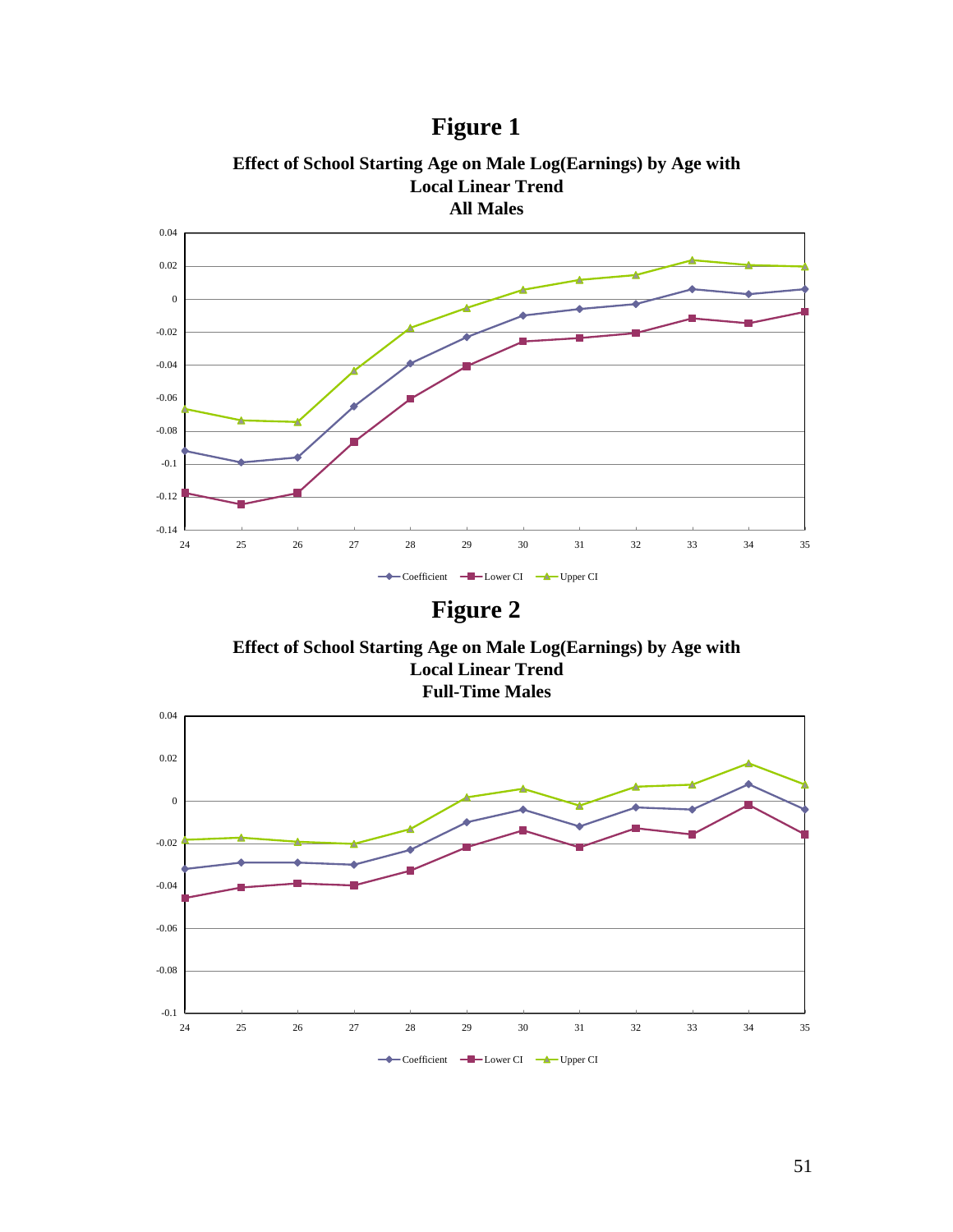



**Effect of School Starting Age on Male Log(Earnings) by Age with** 

**Figure 2** 

**Effect of School Starting Age on Male Log(Earnings) by Age with Local Linear Trend Full-Time Males**

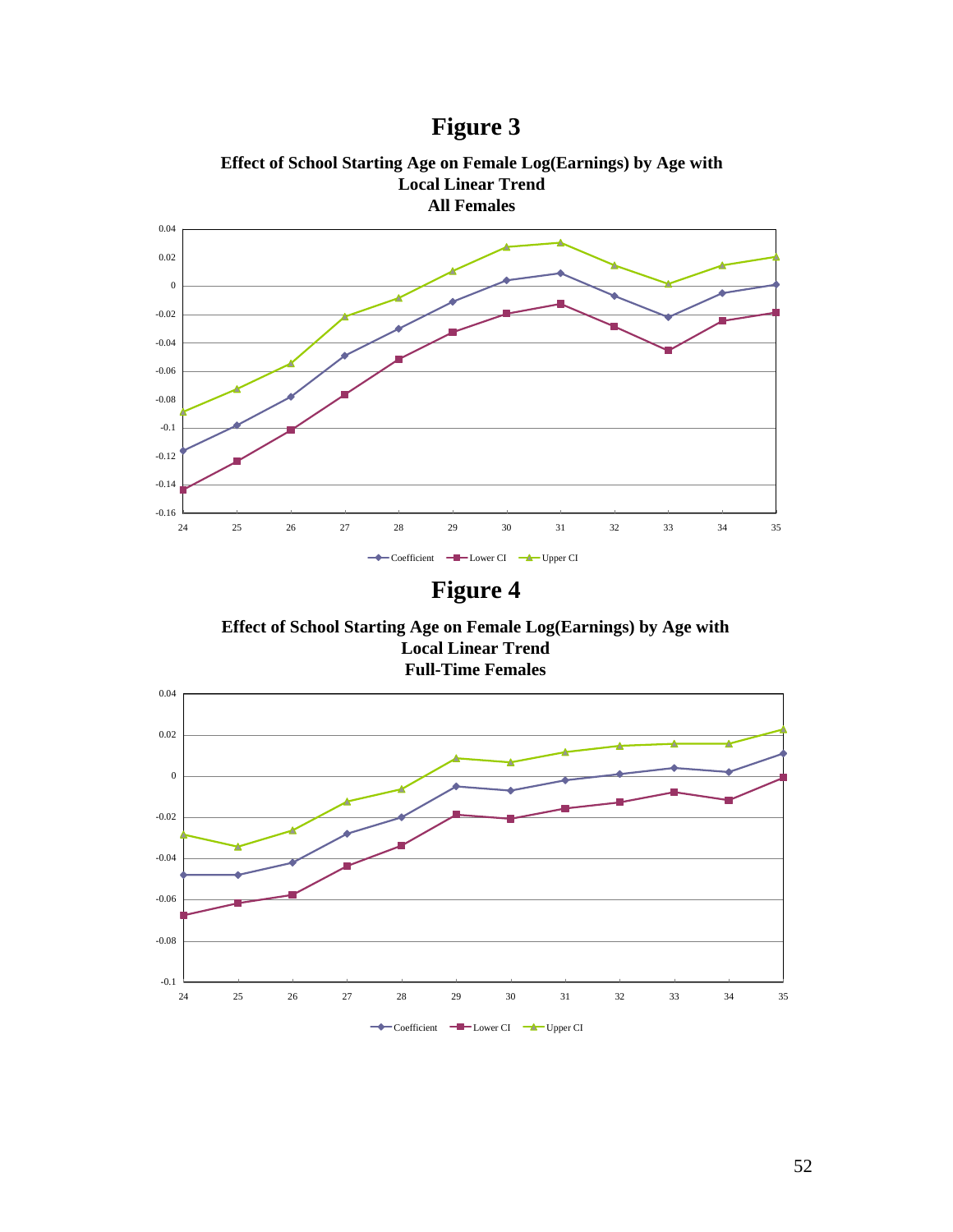



# **Figure 4**

**Effect of School Starting Age on Female Log(Earnings) by Age with Local Linear Trend Full-Time Females**

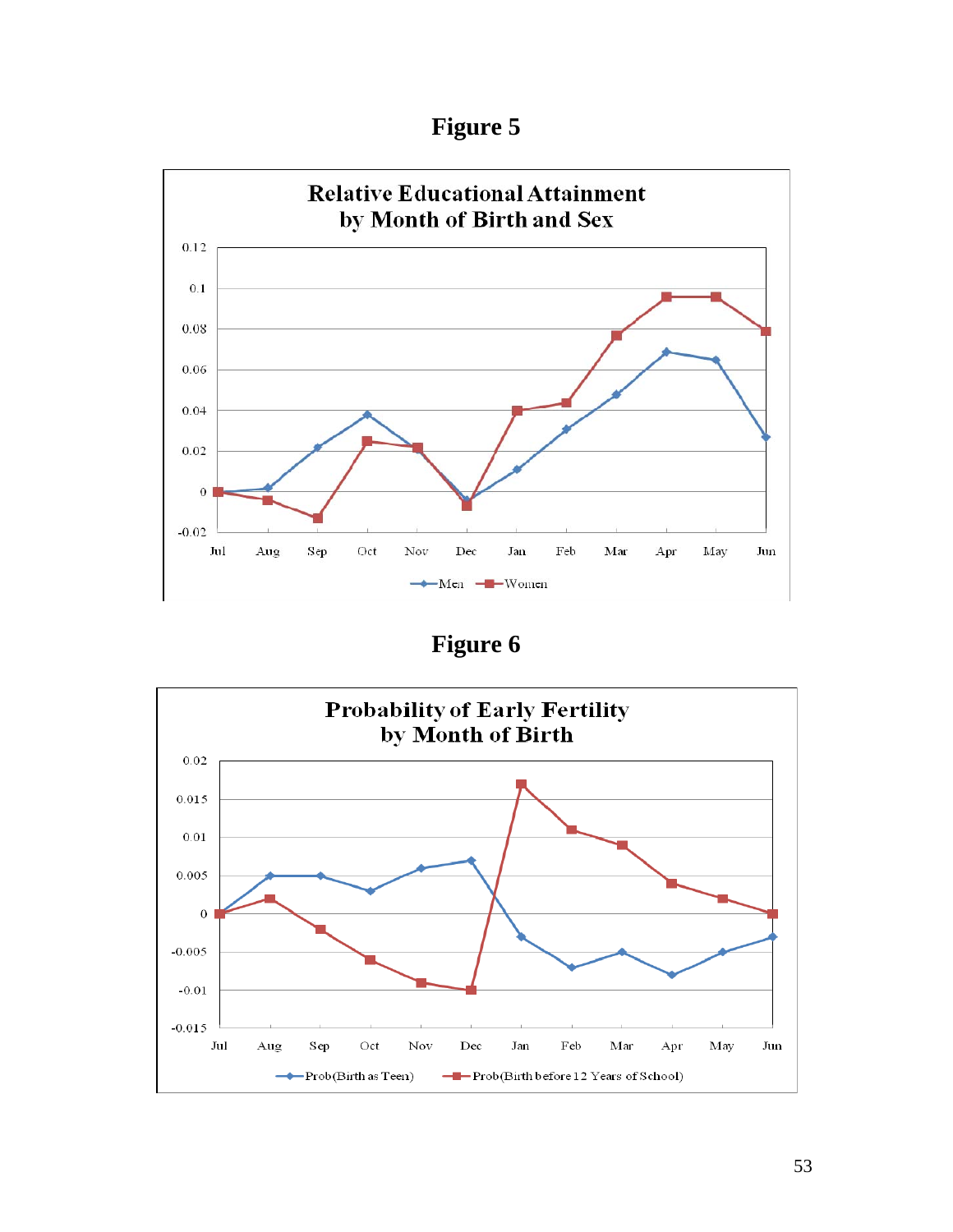**Figure 5** 



**Figure 6** 

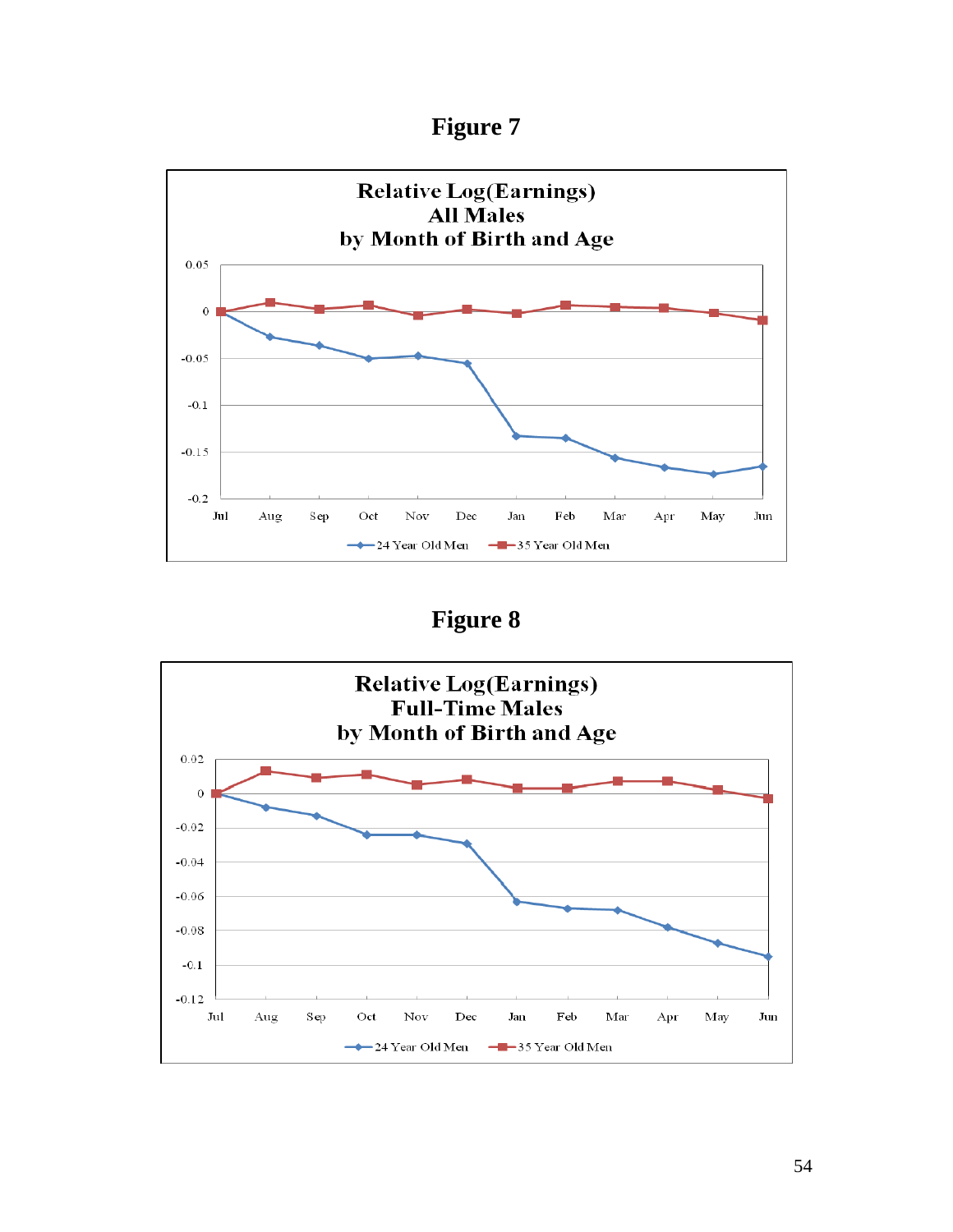



**Figure 8**

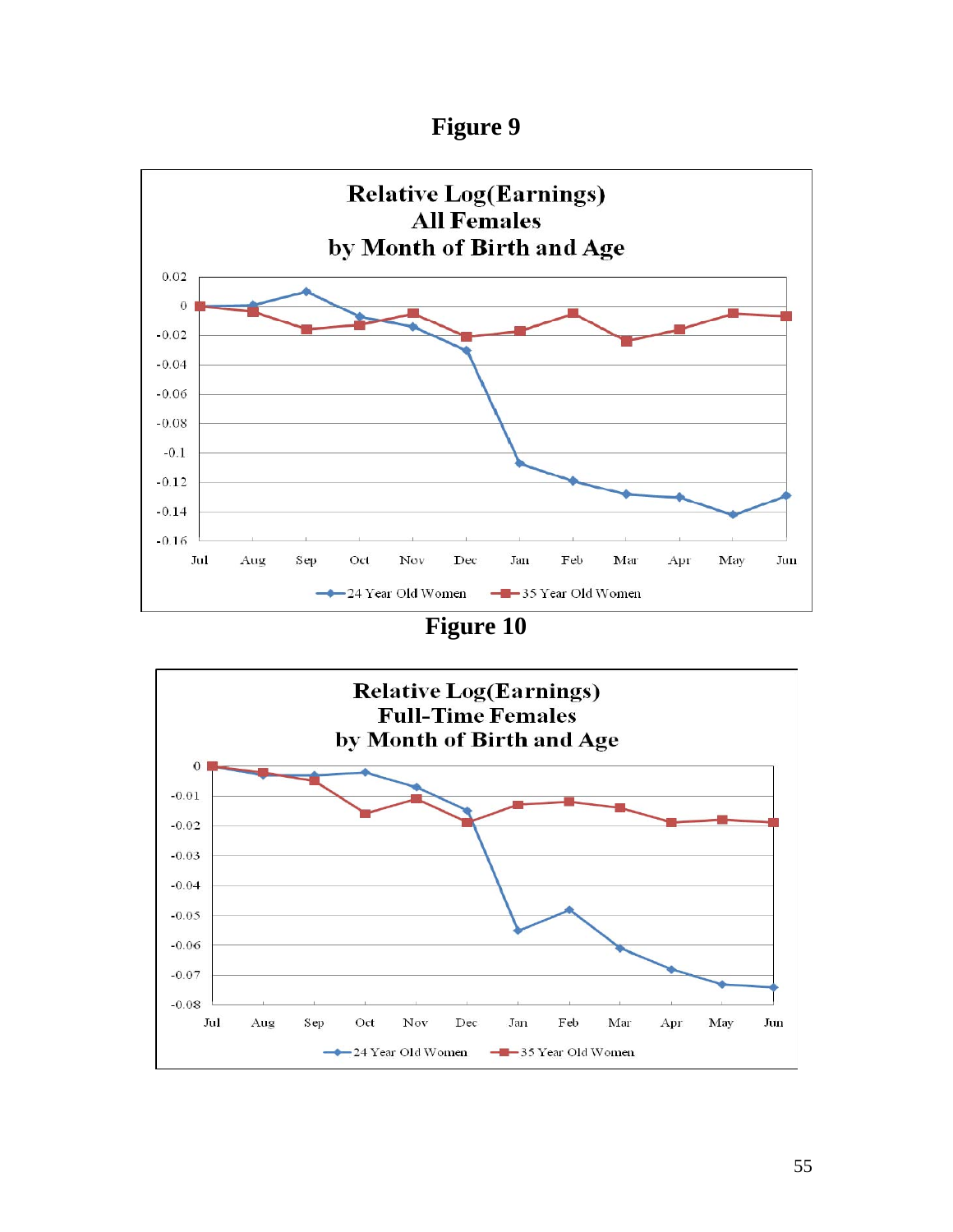



**Figure 10**

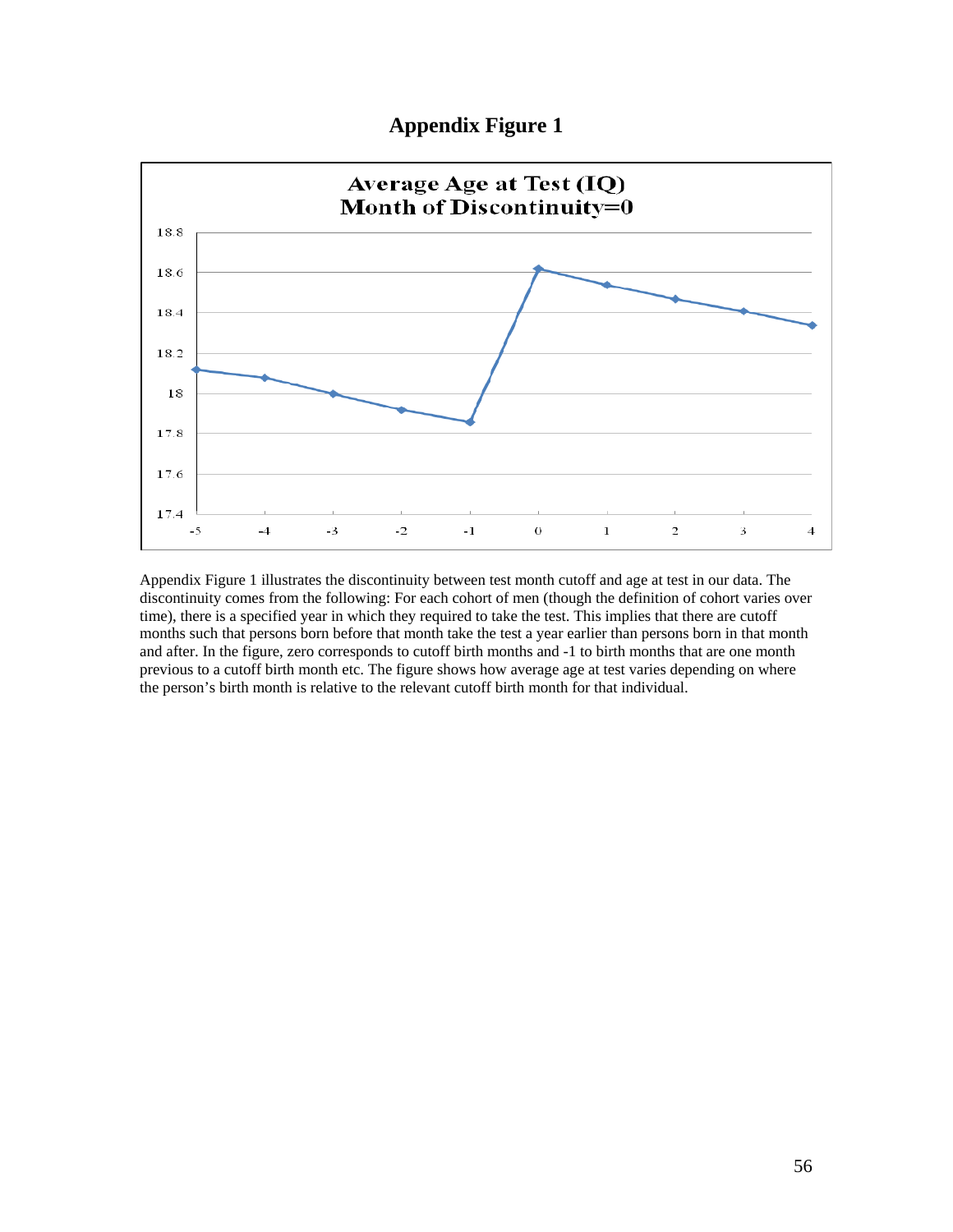### **Appendix Figure 1**



Appendix Figure 1 illustrates the discontinuity between test month cutoff and age at test in our data. The discontinuity comes from the following: For each cohort of men (though the definition of cohort varies over time), there is a specified year in which they required to take the test. This implies that there are cutoff months such that persons born before that month take the test a year earlier than persons born in that month and after. In the figure, zero corresponds to cutoff birth months and -1 to birth months that are one month previous to a cutoff birth month etc. The figure shows how average age at test varies depending on where the person's birth month is relative to the relevant cutoff birth month for that individual.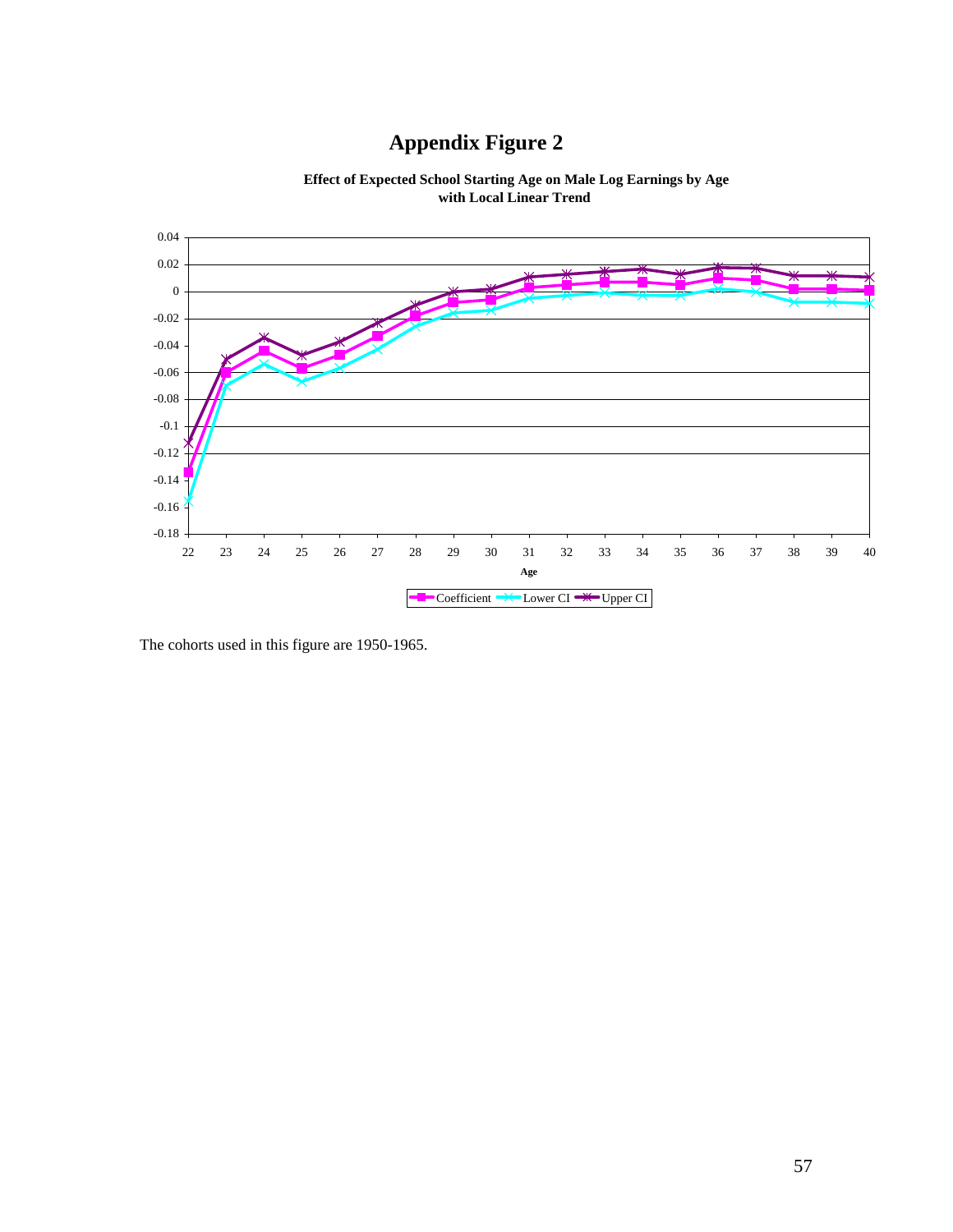# **Appendix Figure 2**



 **Effect of Expected School Starting Age on Male Log Earnings by Age with Local Linear Trend** 

The cohorts used in this figure are 1950-1965.